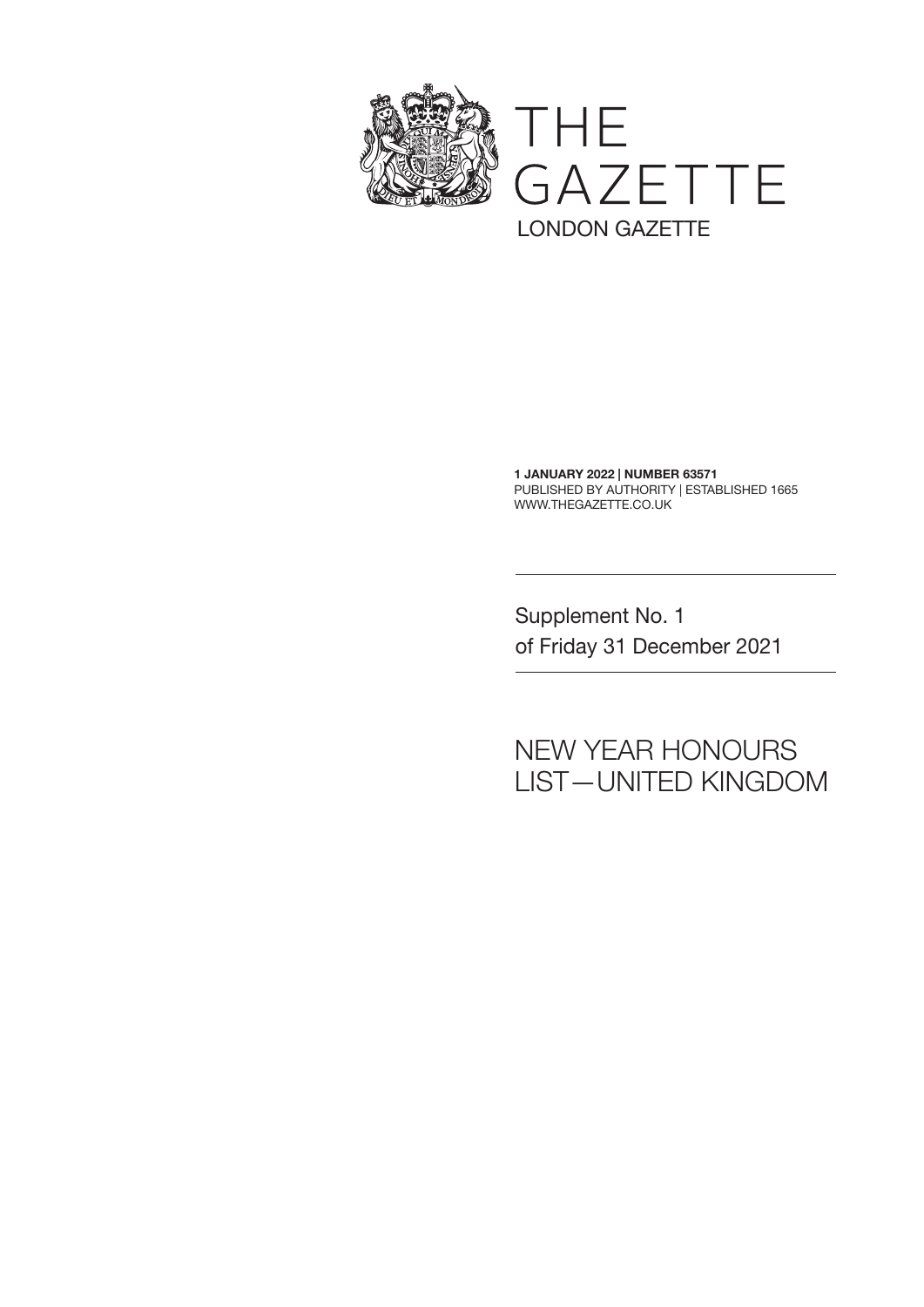

1 JANUARY 2022 | NUMBER 63571 PUBLISHED BY AUTHORITY | ESTABLISHED 1665 WWW.THEGAZETTE.CO.UK

Supplement No. 1 of Friday 31 December 2021

## NEW YEAR HONOURS LIST—UNITED KINGDOM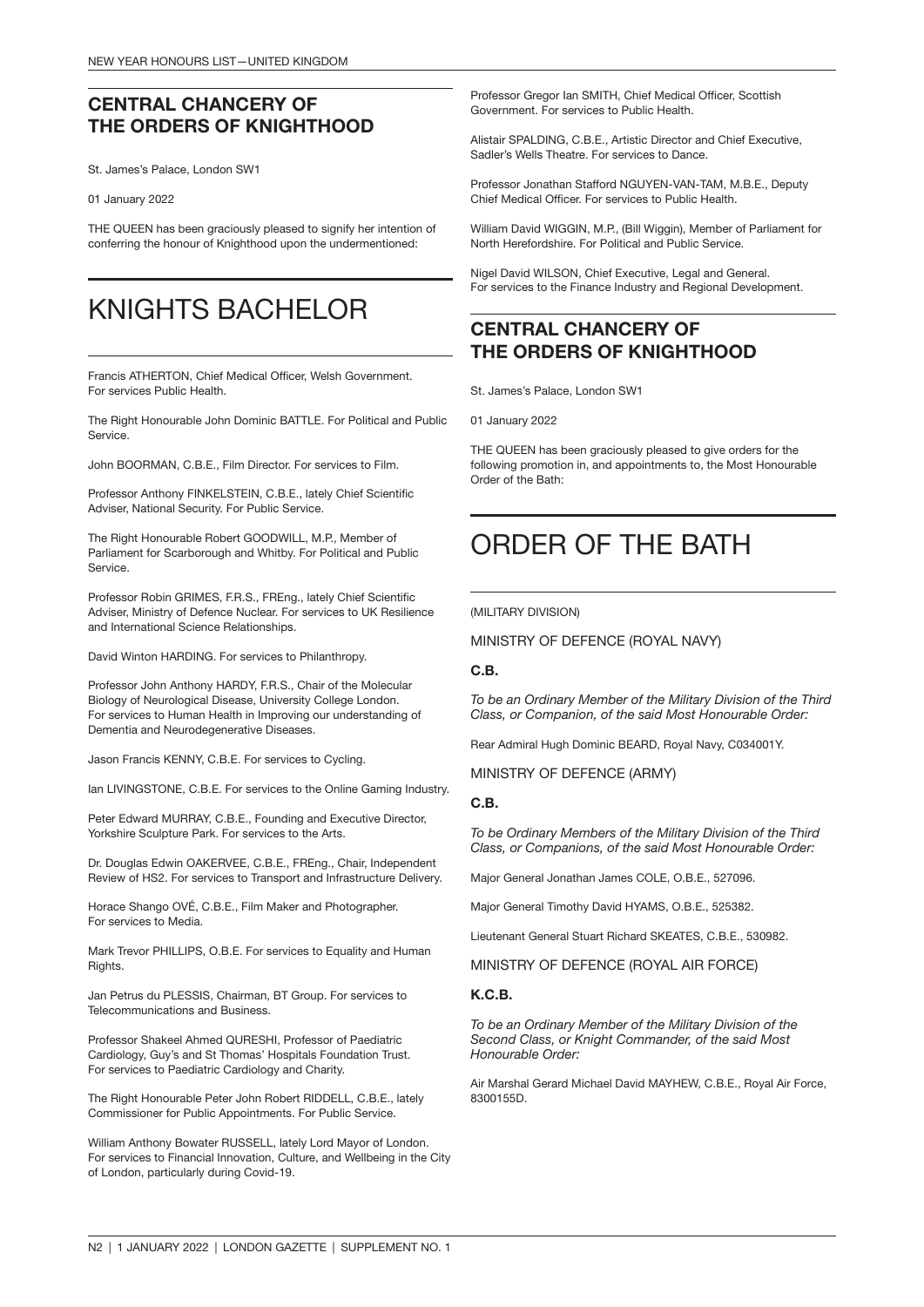### CENTRAL CHANCERY OF THE ORDERS OF KNIGHTHOOD

St. James's Palace, London SW1

01 January 2022

THE QUEEN has been graciously pleased to signify her intention of conferring the honour of Knighthood upon the undermentioned:

## KNIGHTS BACHELOR

Francis ATHERTON, Chief Medical Officer, Welsh Government. For services Public Health.

The Right Honourable John Dominic BATTLE. For Political and Public **Service** 

John BOORMAN, C.B.E., Film Director. For services to Film.

Professor Anthony FINKELSTEIN, C.B.E., lately Chief Scientific Adviser, National Security. For Public Service.

The Right Honourable Robert GOODWILL, M.P., Member of Parliament for Scarborough and Whitby. For Political and Public Service.

Professor Robin GRIMES, F.R.S., FREng., lately Chief Scientific Adviser, Ministry of Defence Nuclear. For services to UK Resilience and International Science Relationships.

David Winton HARDING. For services to Philanthropy.

Professor John Anthony HARDY, F.R.S., Chair of the Molecular Biology of Neurological Disease, University College London. For services to Human Health in Improving our understanding of Dementia and Neurodegenerative Diseases.

Jason Francis KENNY, C.B.E. For services to Cycling.

Ian LIVINGSTONE, C.B.E. For services to the Online Gaming Industry.

Peter Edward MURRAY, C.B.E., Founding and Executive Director, Yorkshire Sculpture Park. For services to the Arts.

Dr. Douglas Edwin OAKERVEE, C.B.E., FREng., Chair, Independent Review of HS2. For services to Transport and Infrastructure Delivery.

Horace Shango OVÉ, C.B.E., Film Maker and Photographer. For services to Media.

Mark Trevor PHILLIPS, O.B.E. For services to Equality and Human Rights.

Jan Petrus du PLESSIS, Chairman, BT Group. For services to Telecommunications and Business.

Professor Shakeel Ahmed QURESHI, Professor of Paediatric Cardiology, Guy's and St Thomas' Hospitals Foundation Trust. For services to Paediatric Cardiology and Charity.

The Right Honourable Peter John Robert RIDDELL, C.B.E., lately Commissioner for Public Appointments. For Public Service.

William Anthony Bowater RUSSELL, lately Lord Mayor of London. For services to Financial Innovation, Culture, and Wellbeing in the City of London, particularly during Covid-19.

Professor Gregor Ian SMITH, Chief Medical Officer, Scottish Government. For services to Public Health.

Alistair SPALDING, C.B.E., Artistic Director and Chief Executive, Sadler's Wells Theatre. For services to Dance.

Professor Jonathan Stafford NGUYEN-VAN-TAM, M.B.E., Deputy Chief Medical Officer. For services to Public Health.

William David WIGGIN, M.P., (Bill Wiggin), Member of Parliament for North Herefordshire. For Political and Public Service.

Nigel David WILSON, Chief Executive, Legal and General. For services to the Finance Industry and Regional Development.

### CENTRAL CHANCERY OF THE ORDERS OF KNIGHTHOOD

St. James's Palace, London SW1

01 January 2022

THE QUEEN has been graciously pleased to give orders for the following promotion in, and appointments to, the Most Honourable Order of the Bath:

## ORDER OF THE BATH

(MILITARY DIVISION)

MINISTRY OF DEFENCE (ROYAL NAVY)

#### C.B.

*To be an Ordinary Member of the Military Division of the Third Class, or Companion, of the said Most Honourable Order:*

Rear Admiral Hugh Dominic BEARD, Royal Navy, C034001Y.

MINISTRY OF DEFENCE (ARMY)

#### C.B.

*To be Ordinary Members of the Military Division of the Third Class, or Companions, of the said Most Honourable Order:*

Major General Jonathan James COLE, O.B.E., 527096.

Major General Timothy David HYAMS, O.B.E., 525382.

Lieutenant General Stuart Richard SKEATES, C.B.E., 530982.

MINISTRY OF DEFENCE (ROYAL AIR FORCE)

#### K.C.B.

*To be an Ordinary Member of the Military Division of the Second Class, or Knight Commander, of the said Most Honourable Order:*

Air Marshal Gerard Michael David MAYHEW, C.B.E., Royal Air Force, 8300155D.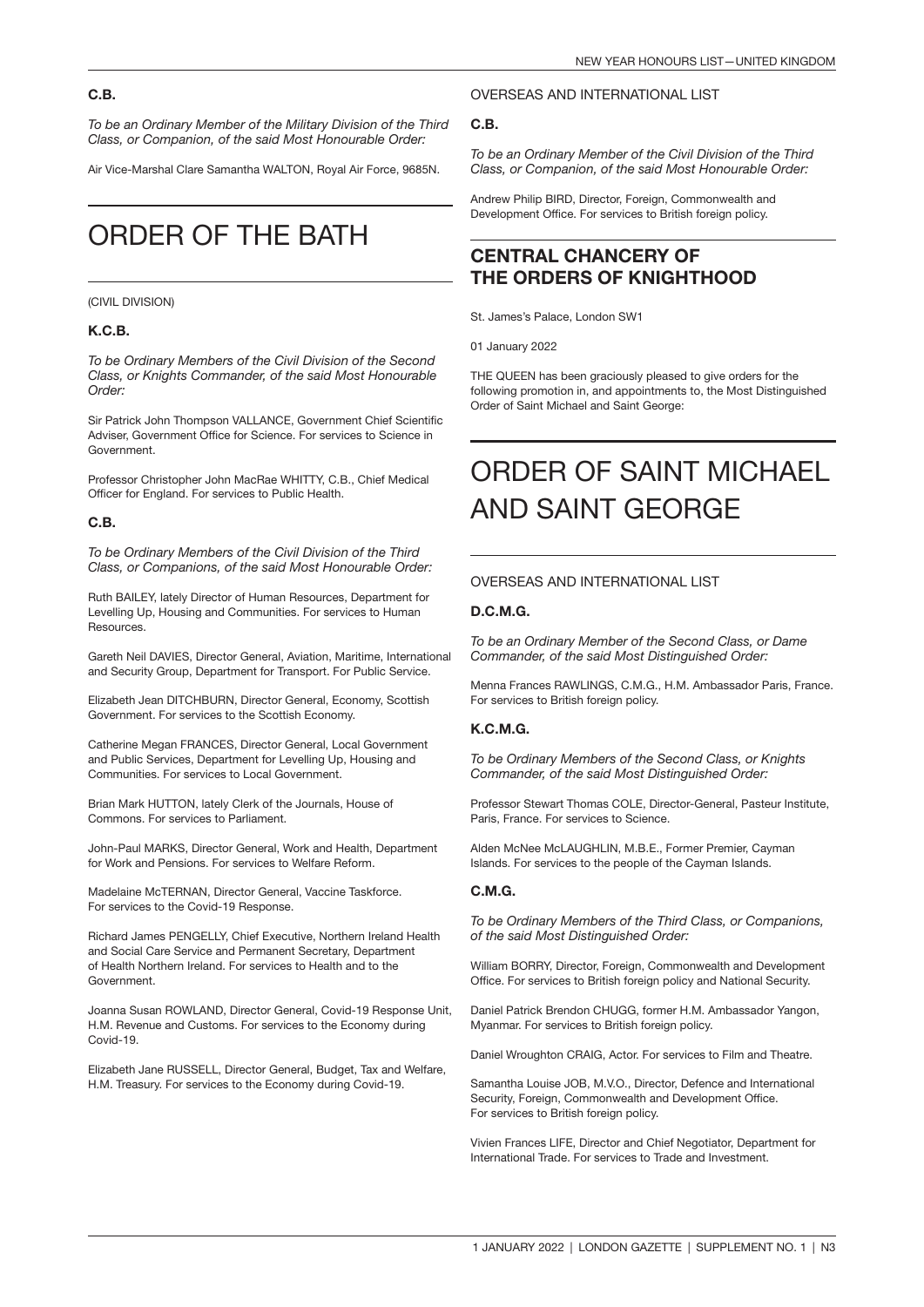#### C.B.

*To be an Ordinary Member of the Military Division of the Third Class, or Companion, of the said Most Honourable Order:*

Air Vice-Marshal Clare Samantha WALTON, Royal Air Force, 9685N.

## ORDER OF THE BATH

#### (CIVIL DIVISION)

#### K.C.B.

*To be Ordinary Members of the Civil Division of the Second Class, or Knights Commander, of the said Most Honourable Order:*

Sir Patrick John Thompson VALLANCE, Government Chief Scientific Adviser, Government Office for Science. For services to Science in Government.

Professor Christopher John MacRae WHITTY, C.B., Chief Medical Officer for England. For services to Public Health.

#### C.B.

*To be Ordinary Members of the Civil Division of the Third Class, or Companions, of the said Most Honourable Order:*

Ruth BAILEY, lately Director of Human Resources, Department for Levelling Up, Housing and Communities. For services to Human Resources.

Gareth Neil DAVIES, Director General, Aviation, Maritime, International and Security Group, Department for Transport. For Public Service.

Elizabeth Jean DITCHBURN, Director General, Economy, Scottish Government. For services to the Scottish Economy.

Catherine Megan FRANCES, Director General, Local Government and Public Services, Department for Levelling Up, Housing and Communities. For services to Local Government.

Brian Mark HUTTON, lately Clerk of the Journals, House of Commons. For services to Parliament.

John-Paul MARKS, Director General, Work and Health, Department for Work and Pensions. For services to Welfare Reform.

Madelaine McTERNAN, Director General, Vaccine Taskforce. For services to the Covid-19 Response.

Richard James PENGELLY, Chief Executive, Northern Ireland Health and Social Care Service and Permanent Secretary, Department of Health Northern Ireland. For services to Health and to the Government.

Joanna Susan ROWLAND, Director General, Covid-19 Response Unit, H.M. Revenue and Customs. For services to the Economy during Covid-19.

Elizabeth Jane RUSSELL, Director General, Budget, Tax and Welfare, H.M. Treasury. For services to the Economy during Covid-19.

#### OVERSEAS AND INTERNATIONAL LIST

#### C.B.

*To be an Ordinary Member of the Civil Division of the Third Class, or Companion, of the said Most Honourable Order:*

Andrew Philip BIRD, Director, Foreign, Commonwealth and Development Office. For services to British foreign policy.

### CENTRAL CHANCERY OF THE ORDERS OF KNIGHTHOOD

St. James's Palace, London SW1

01 January 2022

THE QUEEN has been graciously pleased to give orders for the following promotion in, and appointments to, the Most Distinguished Order of Saint Michael and Saint George:

## ORDER OF SAINT MICHAEL AND SAINT GEORGE

#### OVERSEAS AND INTERNATIONAL LIST

#### D.C.M.G.

*To be an Ordinary Member of the Second Class, or Dame Commander, of the said Most Distinguished Order:*

Menna Frances RAWLINGS, C.M.G., H.M. Ambassador Paris, France. For services to British foreign policy.

#### K.C.M.G.

*To be Ordinary Members of the Second Class, or Knights Commander, of the said Most Distinguished Order:*

Professor Stewart Thomas COLE, Director-General, Pasteur Institute, Paris, France. For services to Science.

Alden McNee McLAUGHLIN, M.B.E., Former Premier, Cayman Islands. For services to the people of the Cayman Islands.

#### C.M.G.

*To be Ordinary Members of the Third Class, or Companions, of the said Most Distinguished Order:*

William BORRY, Director, Foreign, Commonwealth and Development Office. For services to British foreign policy and National Security.

Daniel Patrick Brendon CHUGG, former H.M. Ambassador Yangon, Myanmar. For services to British foreign policy.

Daniel Wroughton CRAIG, Actor. For services to Film and Theatre.

Samantha Louise JOB, M.V.O., Director, Defence and International Security, Foreign, Commonwealth and Development Office. For services to British foreign policy.

Vivien Frances LIFE, Director and Chief Negotiator, Department for International Trade. For services to Trade and Investment.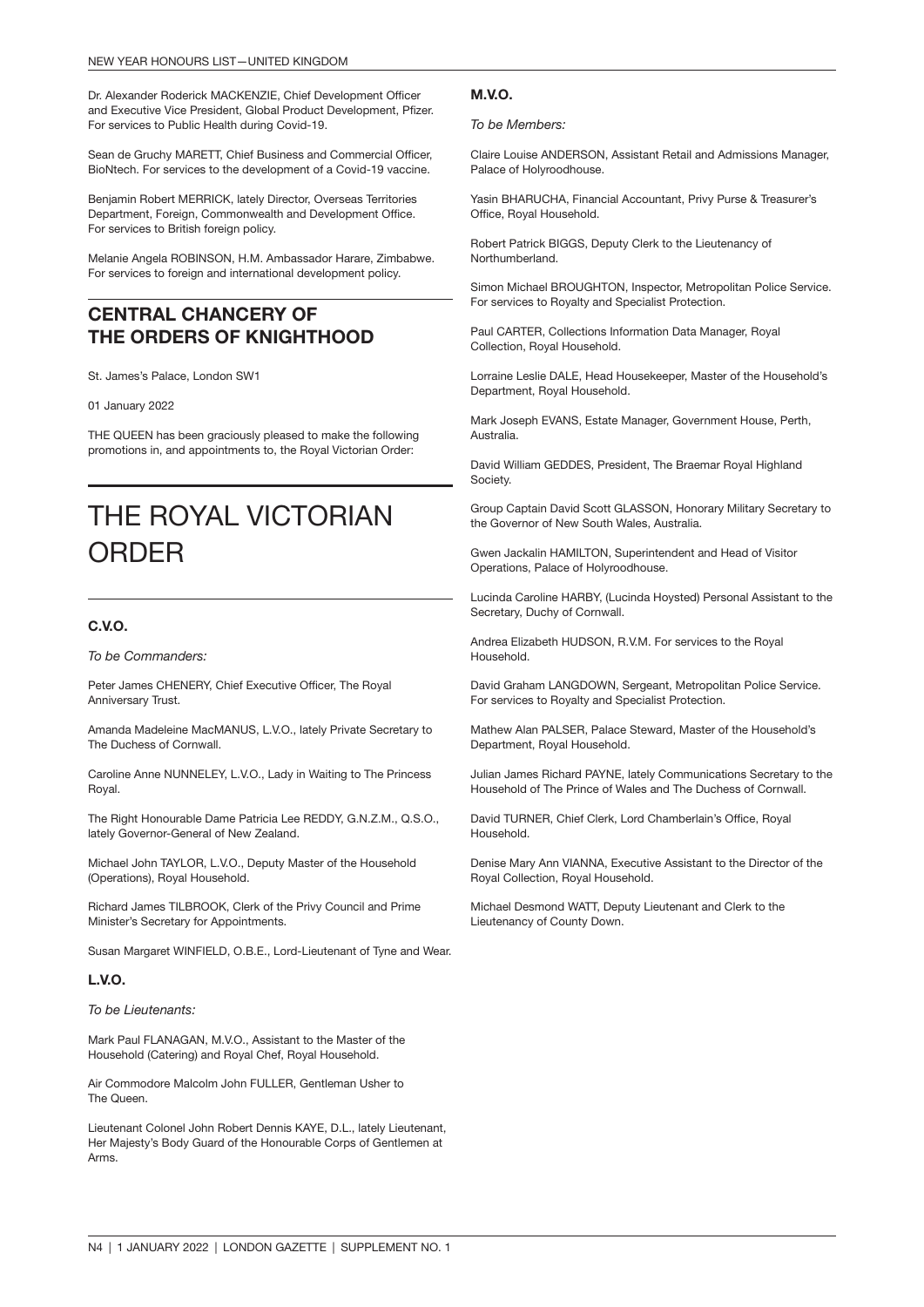Dr. Alexander Roderick MACKENZIE, Chief Development Officer and Executive Vice President, Global Product Development, Pfizer. For services to Public Health during Covid-19.

Sean de Gruchy MARETT, Chief Business and Commercial Officer, BioNtech. For services to the development of a Covid-19 vaccine.

Benjamin Robert MERRICK, lately Director, Overseas Territories Department, Foreign, Commonwealth and Development Office. For services to British foreign policy.

Melanie Angela ROBINSON, H.M. Ambassador Harare, Zimbabwe. For services to foreign and international development policy.

### CENTRAL CHANCERY OF THE ORDERS OF KNIGHTHOOD

St. James's Palace, London SW1

01 January 2022

THE QUEEN has been graciously pleased to make the following promotions in, and appointments to, the Royal Victorian Order:

## THE ROYAL VICTORIAN **ORDER**

#### C.V.O.

*To be Commanders:*

Peter James CHENERY, Chief Executive Officer, The Royal Anniversary Trust.

Amanda Madeleine MacMANUS, L.V.O., lately Private Secretary to The Duchess of Cornwall.

Caroline Anne NUNNELEY, L.V.O., Lady in Waiting to The Princess Royal.

The Right Honourable Dame Patricia Lee REDDY, G.N.Z.M., Q.S.O., lately Governor-General of New Zealand.

Michael John TAYLOR, L.V.O., Deputy Master of the Household (Operations), Royal Household.

Richard James TILBROOK, Clerk of the Privy Council and Prime Minister's Secretary for Appointments.

Susan Margaret WINFIELD, O.B.E., Lord-Lieutenant of Tyne and Wear.

#### L.V.O.

*To be Lieutenants:*

Mark Paul FLANAGAN, M.V.O., Assistant to the Master of the Household (Catering) and Royal Chef, Royal Household.

Air Commodore Malcolm John FULLER, Gentleman Usher to The Queen.

Lieutenant Colonel John Robert Dennis KAYE, D.L., lately Lieutenant, Her Majesty's Body Guard of the Honourable Corps of Gentlemen at Arms.

#### M.V.O.

*To be Members:*

Claire Louise ANDERSON, Assistant Retail and Admissions Manager, Palace of Holyroodhouse.

Yasin BHARUCHA, Financial Accountant, Privy Purse & Treasurer's Office, Royal Household.

Robert Patrick BIGGS, Deputy Clerk to the Lieutenancy of Northumberland.

Simon Michael BROUGHTON, Inspector, Metropolitan Police Service. For services to Royalty and Specialist Protection.

Paul CARTER, Collections Information Data Manager, Royal Collection, Royal Household.

Lorraine Leslie DALE, Head Housekeeper, Master of the Household's Department, Royal Household.

Mark Joseph EVANS, Estate Manager, Government House, Perth, **Australia** 

David William GEDDES, President, The Braemar Royal Highland Society.

Group Captain David Scott GLASSON, Honorary Military Secretary to the Governor of New South Wales, Australia.

Gwen Jackalin HAMILTON, Superintendent and Head of Visitor Operations, Palace of Holyroodhouse.

Lucinda Caroline HARBY, (Lucinda Hoysted) Personal Assistant to the Secretary, Duchy of Cornwall.

Andrea Elizabeth HUDSON, R.V.M. For services to the Royal Household.

David Graham LANGDOWN, Sergeant, Metropolitan Police Service. For services to Royalty and Specialist Protection.

Mathew Alan PALSER, Palace Steward, Master of the Household's Department, Royal Household.

Julian James Richard PAYNE, lately Communications Secretary to the Household of The Prince of Wales and The Duchess of Cornwall.

David TURNER, Chief Clerk, Lord Chamberlain's Office, Royal Household.

Denise Mary Ann VIANNA, Executive Assistant to the Director of the Royal Collection, Royal Household.

Michael Desmond WATT, Deputy Lieutenant and Clerk to the Lieutenancy of County Down.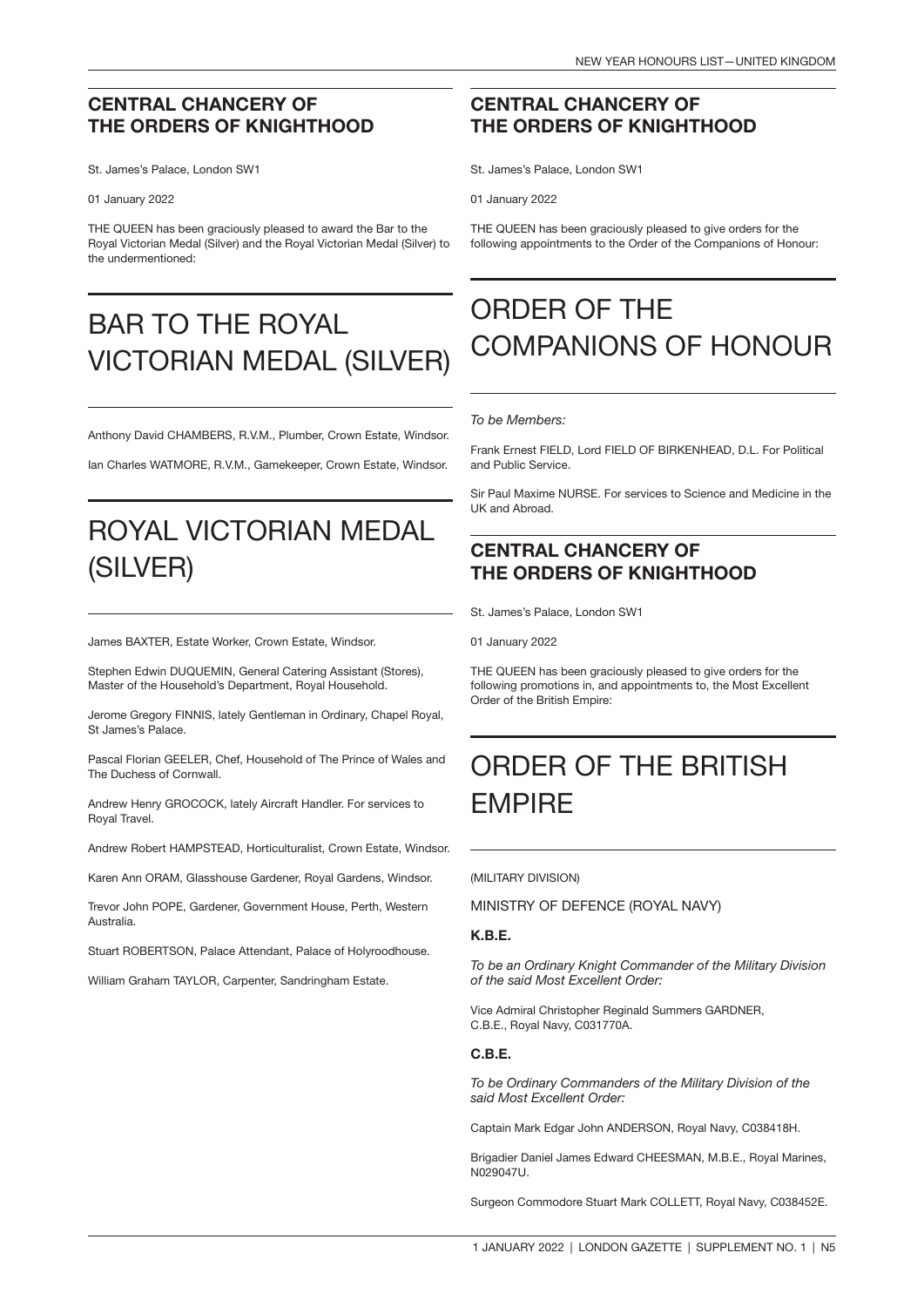### CENTRAL CHANCERY OF THE ORDERS OF KNIGHTHOOD

St. James's Palace, London SW1

01 January 2022

THE QUEEN has been graciously pleased to award the Bar to the Royal Victorian Medal (Silver) and the Royal Victorian Medal (Silver) to the undermentioned:

## BAR TO THE ROYAL VICTORIAN MEDAL (SILVER)

Anthony David CHAMBERS, R.V.M., Plumber, Crown Estate, Windsor.

Ian Charles WATMORE, R.V.M., Gamekeeper, Crown Estate, Windsor.

## ROYAL VICTORIAN MEDAL (SILVER)

James BAXTER, Estate Worker, Crown Estate, Windsor.

Stephen Edwin DUQUEMIN, General Catering Assistant (Stores), Master of the Household's Department, Royal Household.

Jerome Gregory FINNIS, lately Gentleman in Ordinary, Chapel Royal, St James's Palace.

Pascal Florian GEELER, Chef, Household of The Prince of Wales and The Duchess of Cornwall.

Andrew Henry GROCOCK, lately Aircraft Handler. For services to Royal Travel.

Andrew Robert HAMPSTEAD, Horticulturalist, Crown Estate, Windsor.

Karen Ann ORAM, Glasshouse Gardener, Royal Gardens, Windsor.

Trevor John POPE, Gardener, Government House, Perth, Western **Australia** 

Stuart ROBERTSON, Palace Attendant, Palace of Holyroodhouse.

William Graham TAYLOR, Carpenter, Sandringham Estate.

### CENTRAL CHANCERY OF THE ORDERS OF KNIGHTHOOD

St. James's Palace, London SW1

01 January 2022

THE QUEEN has been graciously pleased to give orders for the following appointments to the Order of the Companions of Honour:

## ORDER OF THE COMPANIONS OF HONOUR

#### *To be Members:*

Frank Ernest FIELD, Lord FIELD OF BIRKENHEAD, D.L. For Political and Public Service.

Sir Paul Maxime NURSE. For services to Science and Medicine in the UK and Abroad.

### CENTRAL CHANCERY OF THE ORDERS OF KNIGHTHOOD

St. James's Palace, London SW1

01 January 2022

THE QUEEN has been graciously pleased to give orders for the following promotions in, and appointments to, the Most Excellent Order of the British Empire:

## ORDER OF THE BRITISH EMPIRE

(MILITARY DIVISION)

MINISTRY OF DEFENCE (ROYAL NAVY)

#### K.B.E.

*To be an Ordinary Knight Commander of the Military Division of the said Most Excellent Order:*

Vice Admiral Christopher Reginald Summers GARDNER, C.B.E., Royal Navy, C031770A.

#### C.B.E.

*To be Ordinary Commanders of the Military Division of the said Most Excellent Order:*

Captain Mark Edgar John ANDERSON, Royal Navy, C038418H.

Brigadier Daniel James Edward CHEESMAN, M.B.E., Royal Marines, N029047U.

Surgeon Commodore Stuart Mark COLLETT, Royal Navy, C038452E.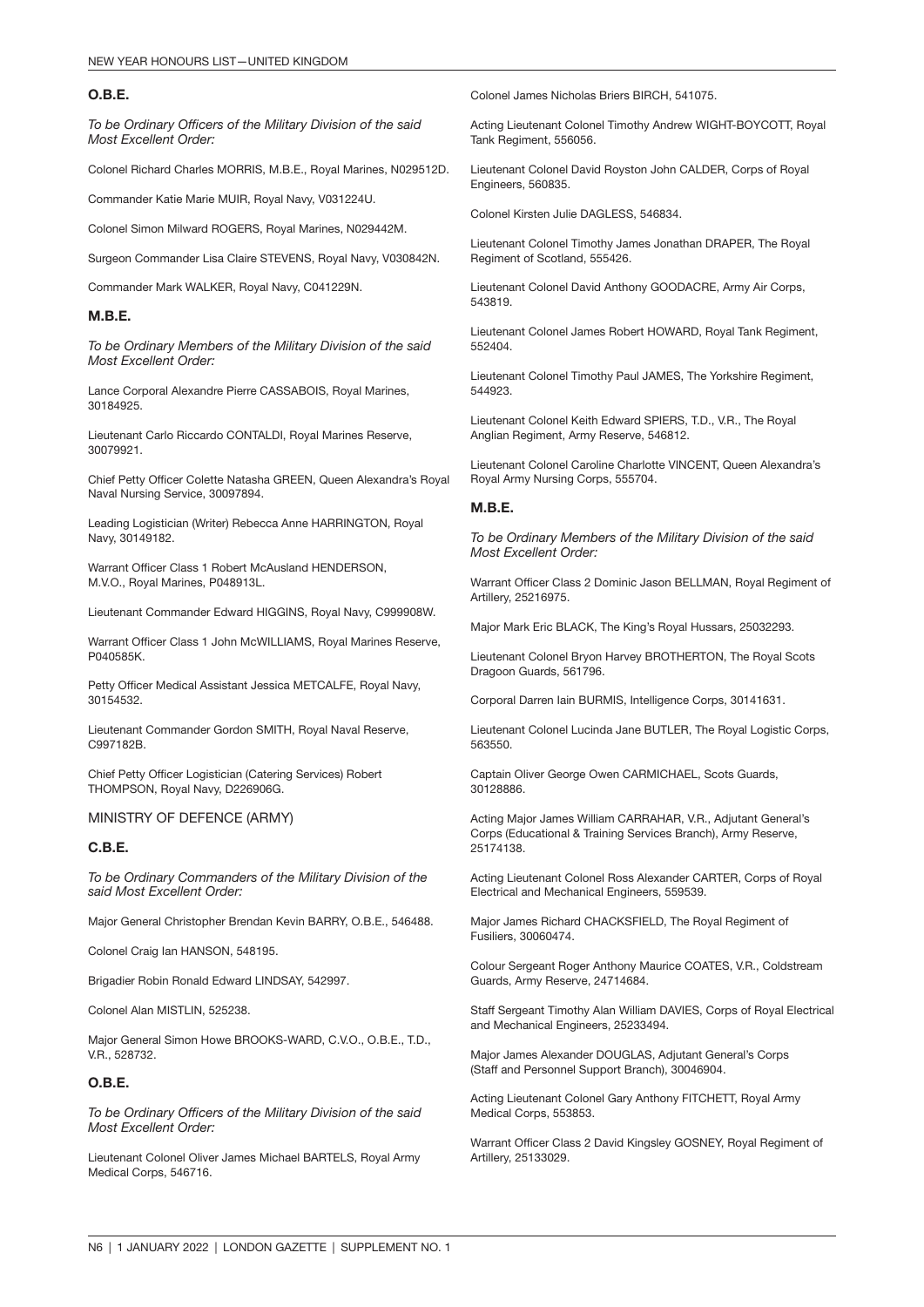#### O.B.E.

*To be Ordinary Officers of the Military Division of the said Most Excellent Order:*

Colonel Richard Charles MORRIS, M.B.E., Royal Marines, N029512D.

Commander Katie Marie MUIR, Royal Navy, V031224U.

Colonel Simon Milward ROGERS, Royal Marines, N029442M.

Surgeon Commander Lisa Claire STEVENS, Royal Navy, V030842N.

Commander Mark WALKER, Royal Navy, C041229N.

#### M.B.E.

*To be Ordinary Members of the Military Division of the said Most Excellent Order:*

Lance Corporal Alexandre Pierre CASSABOIS, Royal Marines, 30184925.

Lieutenant Carlo Riccardo CONTALDI, Royal Marines Reserve, 30079921.

Chief Petty Officer Colette Natasha GREEN, Queen Alexandra's Royal Naval Nursing Service, 30097894.

Leading Logistician (Writer) Rebecca Anne HARRINGTON, Royal Navy, 30149182.

Warrant Officer Class 1 Robert McAusland HENDERSON, M.V.O., Royal Marines, P048913L.

Lieutenant Commander Edward HIGGINS, Royal Navy, C999908W.

Warrant Officer Class 1 John McWILLIAMS, Royal Marines Reserve, P040585K.

Petty Officer Medical Assistant Jessica METCALFE, Royal Navy, 30154532.

Lieutenant Commander Gordon SMITH, Royal Naval Reserve, C997182B.

Chief Petty Officer Logistician (Catering Services) Robert THOMPSON, Royal Navy, D226906G.

MINISTRY OF DEFENCE (ARMY)

#### C.B.E.

*To be Ordinary Commanders of the Military Division of the said Most Excellent Order:*

Major General Christopher Brendan Kevin BARRY, O.B.E., 546488.

Colonel Craig Ian HANSON, 548195.

Brigadier Robin Ronald Edward LINDSAY, 542997.

Colonel Alan MISTLIN, 525238.

Major General Simon Howe BROOKS-WARD, C.V.O., O.B.E., T.D., V.R., 528732.

#### O.B.E.

*To be Ordinary Officers of the Military Division of the said Most Excellent Order:*

Lieutenant Colonel Oliver James Michael BARTELS, Royal Army Medical Corps, 546716.

Colonel James Nicholas Briers BIRCH, 541075.

Acting Lieutenant Colonel Timothy Andrew WIGHT-BOYCOTT, Royal Tank Regiment, 556056.

Lieutenant Colonel David Royston John CALDER, Corps of Royal Engineers, 560835.

Colonel Kirsten Julie DAGLESS, 546834.

Lieutenant Colonel Timothy James Jonathan DRAPER, The Royal Regiment of Scotland, 555426.

Lieutenant Colonel David Anthony GOODACRE, Army Air Corps, 543819.

Lieutenant Colonel James Robert HOWARD, Royal Tank Regiment, 552404.

Lieutenant Colonel Timothy Paul JAMES, The Yorkshire Regiment, 544923.

Lieutenant Colonel Keith Edward SPIERS, T.D., V.R., The Royal Anglian Regiment, Army Reserve, 546812.

Lieutenant Colonel Caroline Charlotte VINCENT, Queen Alexandra's Royal Army Nursing Corps, 555704.

#### M.B.E.

*To be Ordinary Members of the Military Division of the said Most Excellent Order:*

Warrant Officer Class 2 Dominic Jason BELLMAN, Royal Regiment of Artillery, 25216975.

Major Mark Eric BLACK, The King's Royal Hussars, 25032293.

Lieutenant Colonel Bryon Harvey BROTHERTON, The Royal Scots Dragoon Guards, 561796.

Corporal Darren Iain BURMIS, Intelligence Corps, 30141631.

Lieutenant Colonel Lucinda Jane BUTLER, The Royal Logistic Corps, 563550.

Captain Oliver George Owen CARMICHAEL, Scots Guards, 30128886.

Acting Major James William CARRAHAR, V.R., Adjutant General's Corps (Educational & Training Services Branch), Army Reserve, 25174138.

Acting Lieutenant Colonel Ross Alexander CARTER, Corps of Royal Electrical and Mechanical Engineers, 559539.

Major James Richard CHACKSFIELD, The Royal Regiment of Fusiliers, 30060474.

Colour Sergeant Roger Anthony Maurice COATES, V.R., Coldstream Guards, Army Reserve, 24714684.

Staff Sergeant Timothy Alan William DAVIES, Corps of Royal Electrical and Mechanical Engineers, 25233494.

Major James Alexander DOUGLAS, Adjutant General's Corps (Staff and Personnel Support Branch), 30046904.

Acting Lieutenant Colonel Gary Anthony FITCHETT, Royal Army Medical Corps, 553853.

Warrant Officer Class 2 David Kingsley GOSNEY, Royal Regiment of Artillery, 25133029.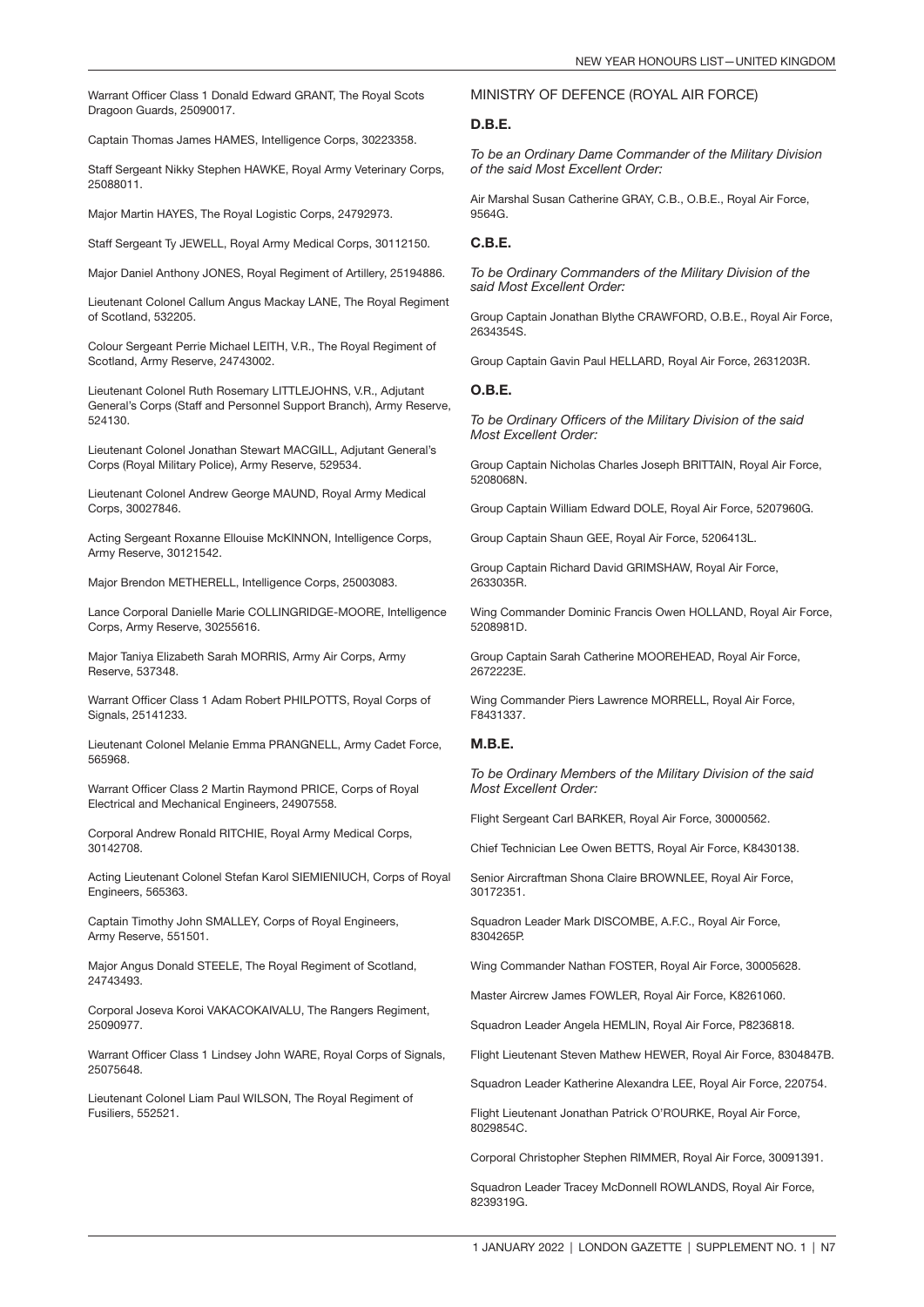Warrant Officer Class 1 Donald Edward GRANT, The Royal Scots Dragoon Guards, 25090017.

Captain Thomas James HAMES, Intelligence Corps, 30223358.

Staff Sergeant Nikky Stephen HAWKE, Royal Army Veterinary Corps, 25088011.

Major Martin HAYES, The Royal Logistic Corps, 24792973.

Staff Sergeant Ty JEWELL, Royal Army Medical Corps, 30112150.

Major Daniel Anthony JONES, Royal Regiment of Artillery, 25194886.

Lieutenant Colonel Callum Angus Mackay LANE, The Royal Regiment of Scotland, 532205.

Colour Sergeant Perrie Michael LEITH, V.R., The Royal Regiment of Scotland, Army Reserve, 24743002.

Lieutenant Colonel Ruth Rosemary LITTLEJOHNS, V.R., Adjutant General's Corps (Staff and Personnel Support Branch), Army Reserve, 524130.

Lieutenant Colonel Jonathan Stewart MACGILL, Adjutant General's Corps (Royal Military Police), Army Reserve, 529534.

Lieutenant Colonel Andrew George MAUND, Royal Army Medical Corps, 30027846.

Acting Sergeant Roxanne Ellouise McKINNON, Intelligence Corps, Army Reserve, 30121542.

Major Brendon METHERELL, Intelligence Corps, 25003083.

Lance Corporal Danielle Marie COLLINGRIDGE-MOORE, Intelligence Corps, Army Reserve, 30255616.

Major Taniya Elizabeth Sarah MORRIS, Army Air Corps, Army Reserve, 537348.

Warrant Officer Class 1 Adam Robert PHILPOTTS, Royal Corps of Signals, 25141233.

Lieutenant Colonel Melanie Emma PRANGNELL, Army Cadet Force, 565968.

Warrant Officer Class 2 Martin Raymond PRICE, Corps of Royal Electrical and Mechanical Engineers, 24907558.

Corporal Andrew Ronald RITCHIE, Royal Army Medical Corps, 30142708.

Acting Lieutenant Colonel Stefan Karol SIEMIENIUCH, Corps of Royal Engineers, 565363.

Captain Timothy John SMALLEY, Corps of Royal Engineers, Army Reserve, 551501.

Major Angus Donald STEELE, The Royal Regiment of Scotland, 24743493.

Corporal Joseva Koroi VAKACOKAIVALU, The Rangers Regiment, 25090977.

Warrant Officer Class 1 Lindsey John WARE, Royal Corps of Signals, 25075648.

Lieutenant Colonel Liam Paul WILSON, The Royal Regiment of Fusiliers, 552521.

#### MINISTRY OF DEFENCE (ROYAL AIR FORCE)

#### D.B.E.

*To be an Ordinary Dame Commander of the Military Division of the said Most Excellent Order:*

Air Marshal Susan Catherine GRAY, C.B., O.B.E., Royal Air Force, 9564G.

#### C.B.E.

*To be Ordinary Commanders of the Military Division of the said Most Excellent Order:*

Group Captain Jonathan Blythe CRAWFORD, O.B.E., Royal Air Force, 2634354S.

Group Captain Gavin Paul HELLARD, Royal Air Force, 2631203R.

#### O.B.E.

*To be Ordinary Officers of the Military Division of the said Most Excellent Order:*

Group Captain Nicholas Charles Joseph BRITTAIN, Royal Air Force, 5208068N.

Group Captain William Edward DOLE, Royal Air Force, 5207960G.

Group Captain Shaun GEE, Royal Air Force, 5206413L.

Group Captain Richard David GRIMSHAW, Royal Air Force, 2633035R.

Wing Commander Dominic Francis Owen HOLLAND, Royal Air Force, 5208981D.

Group Captain Sarah Catherine MOOREHEAD, Royal Air Force, 2672223E.

Wing Commander Piers Lawrence MORRELL, Royal Air Force, F8431337.

#### M.B.E.

*To be Ordinary Members of the Military Division of the said Most Excellent Order:*

Flight Sergeant Carl BARKER, Royal Air Force, 30000562.

Chief Technician Lee Owen BETTS, Royal Air Force, K8430138.

Senior Aircraftman Shona Claire BROWNLEE, Royal Air Force, 30172351.

Squadron Leader Mark DISCOMBE, A.F.C., Royal Air Force, 8304265P.

Wing Commander Nathan FOSTER, Royal Air Force, 30005628.

Master Aircrew James FOWLER, Royal Air Force, K8261060.

Squadron Leader Angela HEMLIN, Royal Air Force, P8236818.

Flight Lieutenant Steven Mathew HEWER, Royal Air Force, 8304847B.

Squadron Leader Katherine Alexandra LEE, Royal Air Force, 220754.

Flight Lieutenant Jonathan Patrick O'ROURKE, Royal Air Force, 8029854C.

Corporal Christopher Stephen RIMMER, Royal Air Force, 30091391.

Squadron Leader Tracey McDonnell ROWLANDS, Royal Air Force, 8239319G.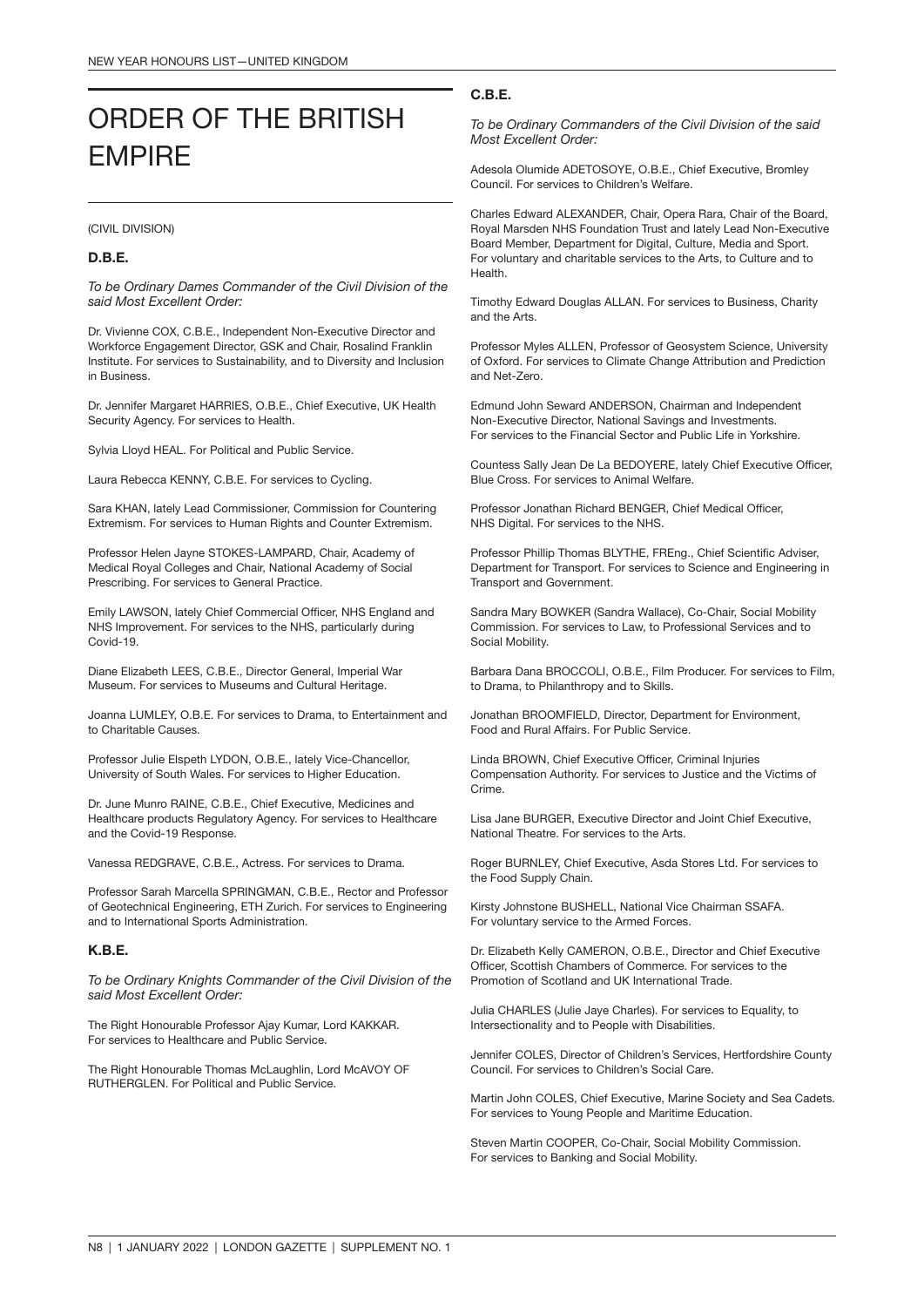## ORDER OF THE BRITISH EMPIRE

(CIVIL DIVISION)

#### D.B.E.

*To be Ordinary Dames Commander of the Civil Division of the said Most Excellent Order:*

Dr. Vivienne COX, C.B.E., Independent Non-Executive Director and Workforce Engagement Director, GSK and Chair, Rosalind Franklin Institute. For services to Sustainability, and to Diversity and Inclusion in Business.

Dr. Jennifer Margaret HARRIES, O.B.E., Chief Executive, UK Health Security Agency. For services to Health.

Sylvia Lloyd HEAL. For Political and Public Service.

Laura Rebecca KENNY, C.B.E. For services to Cycling.

Sara KHAN, lately Lead Commissioner, Commission for Countering Extremism. For services to Human Rights and Counter Extremism.

Professor Helen Jayne STOKES-LAMPARD, Chair, Academy of Medical Royal Colleges and Chair, National Academy of Social Prescribing. For services to General Practice.

Emily LAWSON, lately Chief Commercial Officer, NHS England and NHS Improvement. For services to the NHS, particularly during Covid-19.

Diane Elizabeth LEES, C.B.E., Director General, Imperial War Museum. For services to Museums and Cultural Heritage.

Joanna LUMLEY, O.B.E. For services to Drama, to Entertainment and to Charitable Causes.

Professor Julie Elspeth LYDON, O.B.E., lately Vice-Chancellor, University of South Wales. For services to Higher Education.

Dr. June Munro RAINE, C.B.E., Chief Executive, Medicines and Healthcare products Regulatory Agency. For services to Healthcare and the Covid-19 Response.

Vanessa REDGRAVE, C.B.E., Actress. For services to Drama.

Professor Sarah Marcella SPRINGMAN, C.B.E., Rector and Professor of Geotechnical Engineering, ETH Zurich. For services to Engineering and to International Sports Administration.

#### K.B.E.

*To be Ordinary Knights Commander of the Civil Division of the said Most Excellent Order:*

The Right Honourable Professor Ajay Kumar, Lord KAKKAR. For services to Healthcare and Public Service.

The Right Honourable Thomas McLaughlin, Lord McAVOY OF RUTHERGLEN. For Political and Public Service.

#### C.B.E.

*To be Ordinary Commanders of the Civil Division of the said Most Excellent Order:*

Adesola Olumide ADETOSOYE, O.B.E., Chief Executive, Bromley Council. For services to Children's Welfare.

Charles Edward ALEXANDER, Chair, Opera Rara, Chair of the Board, Royal Marsden NHS Foundation Trust and lately Lead Non-Executive Board Member, Department for Digital, Culture, Media and Sport. For voluntary and charitable services to the Arts, to Culture and to Health.

Timothy Edward Douglas ALLAN. For services to Business, Charity and the Arts.

Professor Myles ALLEN, Professor of Geosystem Science, University of Oxford. For services to Climate Change Attribution and Prediction and Net-Zero.

Edmund John Seward ANDERSON, Chairman and Independent Non-Executive Director, National Savings and Investments. For services to the Financial Sector and Public Life in Yorkshire.

Countess Sally Jean De La BEDOYERE, lately Chief Executive Officer, Blue Cross. For services to Animal Welfare.

Professor Jonathan Richard BENGER, Chief Medical Officer, NHS Digital. For services to the NHS.

Professor Phillip Thomas BLYTHE, FREng., Chief Scientific Adviser, Department for Transport. For services to Science and Engineering in Transport and Government.

Sandra Mary BOWKER (Sandra Wallace), Co-Chair, Social Mobility Commission. For services to Law, to Professional Services and to Social Mobility.

Barbara Dana BROCCOLI, O.B.E., Film Producer. For services to Film, to Drama, to Philanthropy and to Skills.

Jonathan BROOMFIELD, Director, Department for Environment, Food and Rural Affairs. For Public Service.

Linda BROWN, Chief Executive Officer, Criminal Injuries Compensation Authority. For services to Justice and the Victims of Crime.

Lisa Jane BURGER, Executive Director and Joint Chief Executive, National Theatre. For services to the Arts.

Roger BURNLEY, Chief Executive, Asda Stores Ltd. For services to the Food Supply Chain.

Kirsty Johnstone BUSHELL, National Vice Chairman SSAFA. For voluntary service to the Armed Forces.

Dr. Elizabeth Kelly CAMERON, O.B.E., Director and Chief Executive Officer, Scottish Chambers of Commerce. For services to the Promotion of Scotland and UK International Trade.

Julia CHARLES (Julie Jaye Charles). For services to Equality, to Intersectionality and to People with Disabilities.

Jennifer COLES, Director of Children's Services, Hertfordshire County Council. For services to Children's Social Care.

Martin John COLES, Chief Executive, Marine Society and Sea Cadets. For services to Young People and Maritime Education.

Steven Martin COOPER, Co-Chair, Social Mobility Commission. For services to Banking and Social Mobility.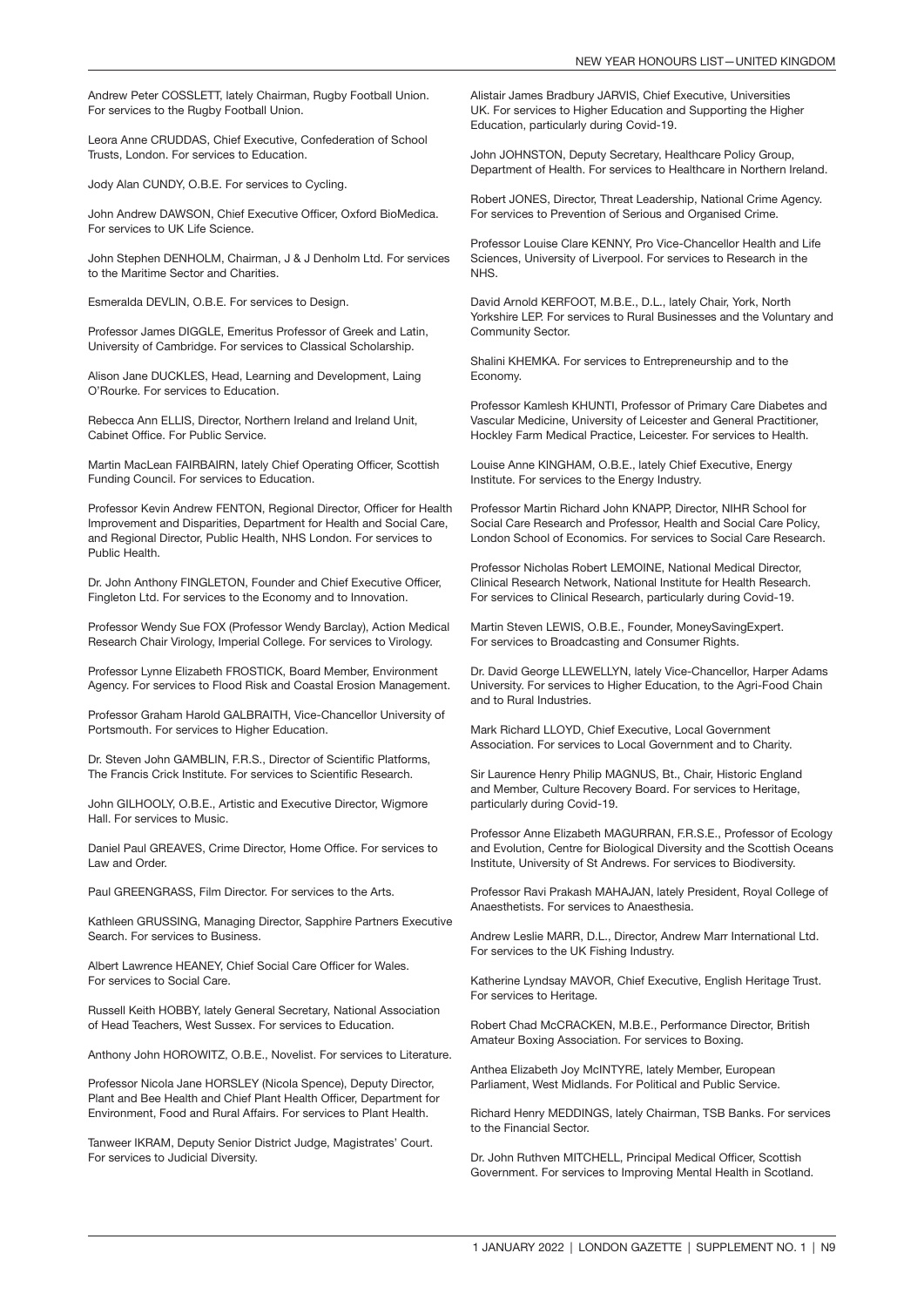Andrew Peter COSSLETT, lately Chairman, Rugby Football Union. For services to the Rugby Football Union.

Leora Anne CRUDDAS, Chief Executive, Confederation of School Trusts, London. For services to Education.

Jody Alan CUNDY, O.B.E. For services to Cycling.

John Andrew DAWSON, Chief Executive Officer, Oxford BioMedica. For services to UK Life Science.

John Stephen DENHOLM, Chairman, J & J Denholm Ltd. For services to the Maritime Sector and Charities.

Esmeralda DEVLIN, O.B.E. For services to Design.

Professor James DIGGLE, Emeritus Professor of Greek and Latin, University of Cambridge. For services to Classical Scholarship.

Alison Jane DUCKLES, Head, Learning and Development, Laing O'Rourke. For services to Education.

Rebecca Ann ELLIS, Director, Northern Ireland and Ireland Unit, Cabinet Office. For Public Service.

Martin MacLean FAIRBAIRN, lately Chief Operating Officer, Scottish Funding Council. For services to Education.

Professor Kevin Andrew FENTON, Regional Director, Officer for Health Improvement and Disparities, Department for Health and Social Care, and Regional Director, Public Health, NHS London. For services to Public Health.

Dr. John Anthony FINGLETON, Founder and Chief Executive Officer, Fingleton Ltd. For services to the Economy and to Innovation.

Professor Wendy Sue FOX (Professor Wendy Barclay), Action Medical Research Chair Virology, Imperial College. For services to Virology.

Professor Lynne Elizabeth FROSTICK, Board Member, Environment Agency. For services to Flood Risk and Coastal Erosion Management.

Professor Graham Harold GALBRAITH, Vice-Chancellor University of Portsmouth. For services to Higher Education.

Dr. Steven John GAMBLIN, F.R.S., Director of Scientific Platforms, The Francis Crick Institute. For services to Scientific Research.

John GILHOOLY, O.B.E., Artistic and Executive Director, Wigmore Hall. For services to Music.

Daniel Paul GREAVES, Crime Director, Home Office. For services to Law and Order

Paul GREENGRASS, Film Director. For services to the Arts.

Kathleen GRUSSING, Managing Director, Sapphire Partners Executive Search. For services to Business.

Albert Lawrence HEANEY, Chief Social Care Officer for Wales. For services to Social Care.

Russell Keith HOBBY, lately General Secretary, National Association of Head Teachers, West Sussex. For services to Education.

Anthony John HOROWITZ, O.B.E., Novelist. For services to Literature.

Professor Nicola Jane HORSLEY (Nicola Spence), Deputy Director, Plant and Bee Health and Chief Plant Health Officer, Department for Environment, Food and Rural Affairs. For services to Plant Health.

Tanweer IKRAM, Deputy Senior District Judge, Magistrates' Court. For services to Judicial Diversity.

Alistair James Bradbury JARVIS, Chief Executive, Universities UK. For services to Higher Education and Supporting the Higher Education, particularly during Covid-19.

John JOHNSTON, Deputy Secretary, Healthcare Policy Group, Department of Health. For services to Healthcare in Northern Ireland.

Robert JONES, Director, Threat Leadership, National Crime Agency. For services to Prevention of Serious and Organised Crime.

Professor Louise Clare KENNY, Pro Vice-Chancellor Health and Life Sciences, University of Liverpool. For services to Research in the NHS.

David Arnold KERFOOT, M.B.E., D.L., lately Chair, York, North Yorkshire LEP. For services to Rural Businesses and the Voluntary and Community Sector.

Shalini KHEMKA. For services to Entrepreneurship and to the Economy.

Professor Kamlesh KHUNTI, Professor of Primary Care Diabetes and Vascular Medicine, University of Leicester and General Practitioner, Hockley Farm Medical Practice, Leicester. For services to Health.

Louise Anne KINGHAM, O.B.E., lately Chief Executive, Energy Institute. For services to the Energy Industry.

Professor Martin Richard John KNAPP, Director, NIHR School for Social Care Research and Professor, Health and Social Care Policy, London School of Economics. For services to Social Care Research.

Professor Nicholas Robert LEMOINE, National Medical Director, Clinical Research Network, National Institute for Health Research. For services to Clinical Research, particularly during Covid-19.

Martin Steven LEWIS, O.B.E., Founder, MoneySavingExpert. For services to Broadcasting and Consumer Rights.

Dr. David George LLEWELLYN, lately Vice-Chancellor, Harper Adams University. For services to Higher Education, to the Agri-Food Chain and to Rural Industries.

Mark Richard LLOYD, Chief Executive, Local Government Association. For services to Local Government and to Charity.

Sir Laurence Henry Philip MAGNUS, Bt., Chair, Historic England and Member, Culture Recovery Board. For services to Heritage, particularly during Covid-19.

Professor Anne Elizabeth MAGURRAN, F.R.S.E., Professor of Ecology and Evolution, Centre for Biological Diversity and the Scottish Oceans Institute, University of St Andrews. For services to Biodiversity.

Professor Ravi Prakash MAHAJAN, lately President, Royal College of Anaesthetists. For services to Anaesthesia.

Andrew Leslie MARR, D.L., Director, Andrew Marr International Ltd. For services to the UK Fishing Industry.

Katherine Lyndsay MAVOR, Chief Executive, English Heritage Trust. For services to Heritage.

Robert Chad McCRACKEN, M.B.E., Performance Director, British Amateur Boxing Association. For services to Boxing.

Anthea Elizabeth Joy McINTYRE, lately Member, European Parliament, West Midlands. For Political and Public Service.

Richard Henry MEDDINGS, lately Chairman, TSB Banks. For services to the Financial Sector.

Dr. John Ruthven MITCHELL, Principal Medical Officer, Scottish Government. For services to Improving Mental Health in Scotland.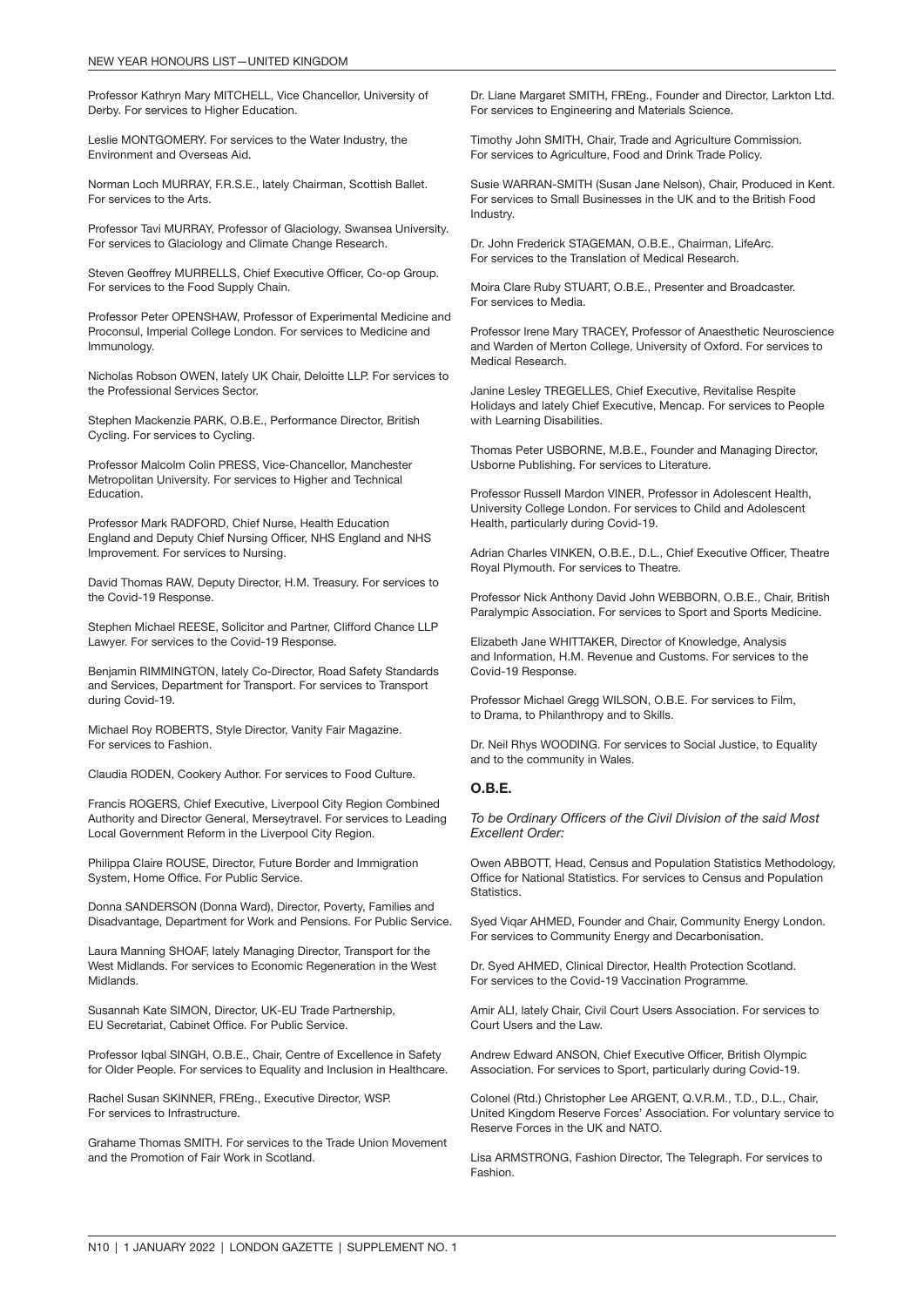Professor Kathryn Mary MITCHELL, Vice Chancellor, University of Derby. For services to Higher Education.

Leslie MONTGOMERY. For services to the Water Industry, the Environment and Overseas Aid.

Norman Loch MURRAY, F.R.S.E., lately Chairman, Scottish Ballet. For services to the Arts.

Professor Tavi MURRAY, Professor of Glaciology, Swansea University. For services to Glaciology and Climate Change Research.

Steven Geoffrey MURRELLS, Chief Executive Officer, Co-op Group. For services to the Food Supply Chain.

Professor Peter OPENSHAW, Professor of Experimental Medicine and Proconsul, Imperial College London. For services to Medicine and Immunology.

Nicholas Robson OWEN, lately UK Chair, Deloitte LLP. For services to the Professional Services Sector.

Stephen Mackenzie PARK, O.B.E., Performance Director, British Cycling. For services to Cycling.

Professor Malcolm Colin PRESS, Vice-Chancellor, Manchester Metropolitan University. For services to Higher and Technical **Education** 

Professor Mark RADFORD, Chief Nurse, Health Education England and Deputy Chief Nursing Officer, NHS England and NHS Improvement. For services to Nursing.

David Thomas RAW, Deputy Director, H.M. Treasury. For services to the Covid-19 Response.

Stephen Michael REESE, Solicitor and Partner, Clifford Chance LLP Lawyer. For services to the Covid-19 Response.

Benjamin RIMMINGTON, lately Co-Director, Road Safety Standards and Services, Department for Transport. For services to Transport during Covid-19.

Michael Roy ROBERTS, Style Director, Vanity Fair Magazine. For services to Fashion.

Claudia RODEN, Cookery Author. For services to Food Culture.

Francis ROGERS, Chief Executive, Liverpool City Region Combined Authority and Director General, Merseytravel. For services to Leading Local Government Reform in the Liverpool City Region.

Philippa Claire ROUSE, Director, Future Border and Immigration System, Home Office. For Public Service.

Donna SANDERSON (Donna Ward), Director, Poverty, Families and Disadvantage, Department for Work and Pensions. For Public Service.

Laura Manning SHOAF, lately Managing Director, Transport for the West Midlands. For services to Economic Regeneration in the West Midlands.

Susannah Kate SIMON, Director, UK-EU Trade Partnership, EU Secretariat, Cabinet Office. For Public Service.

Professor Iqbal SINGH, O.B.E., Chair, Centre of Excellence in Safety for Older People. For services to Equality and Inclusion in Healthcare.

Rachel Susan SKINNER, FREng., Executive Director, WSP. For services to Infrastructure.

Grahame Thomas SMITH. For services to the Trade Union Movement and the Promotion of Fair Work in Scotland.

Dr. Liane Margaret SMITH, FREng., Founder and Director, Larkton Ltd. For services to Engineering and Materials Science.

Timothy John SMITH, Chair, Trade and Agriculture Commission. For services to Agriculture, Food and Drink Trade Policy.

Susie WARRAN-SMITH (Susan Jane Nelson), Chair, Produced in Kent. For services to Small Businesses in the UK and to the British Food Industry.

Dr. John Frederick STAGEMAN, O.B.E., Chairman, LifeArc. For services to the Translation of Medical Research.

Moira Clare Ruby STUART, O.B.E., Presenter and Broadcaster. For services to Media.

Professor Irene Mary TRACEY, Professor of Anaesthetic Neuroscience and Warden of Merton College, University of Oxford. For services to Medical Research.

Janine Lesley TREGELLES, Chief Executive, Revitalise Respite Holidays and lately Chief Executive, Mencap. For services to People with Learning Disabilities.

Thomas Peter USBORNE, M.B.E., Founder and Managing Director, Usborne Publishing. For services to Literature.

Professor Russell Mardon VINER, Professor in Adolescent Health, University College London. For services to Child and Adolescent Health, particularly during Covid-19.

Adrian Charles VINKEN, O.B.E., D.L., Chief Executive Officer, Theatre Royal Plymouth. For services to Theatre.

Professor Nick Anthony David John WEBBORN, O.B.E., Chair, British Paralympic Association. For services to Sport and Sports Medicine.

Elizabeth Jane WHITTAKER, Director of Knowledge, Analysis and Information, H.M. Revenue and Customs. For services to the Covid-19 Response.

Professor Michael Gregg WILSON, O.B.E. For services to Film, to Drama, to Philanthropy and to Skills.

Dr. Neil Rhys WOODING. For services to Social Justice, to Equality and to the community in Wales.

#### O.B.E.

*To be Ordinary Officers of the Civil Division of the said Most Excellent Order:*

Owen ABBOTT, Head, Census and Population Statistics Methodology, Office for National Statistics. For services to Census and Population Statistics.

Syed Viqar AHMED, Founder and Chair, Community Energy London. For services to Community Energy and Decarbonisation.

Dr. Syed AHMED, Clinical Director, Health Protection Scotland. For services to the Covid-19 Vaccination Programme.

Amir ALI, lately Chair, Civil Court Users Association. For services to Court Users and the Law.

Andrew Edward ANSON, Chief Executive Officer, British Olympic Association. For services to Sport, particularly during Covid-19.

Colonel (Rtd.) Christopher Lee ARGENT, Q.V.R.M., T.D., D.L., Chair, United Kingdom Reserve Forces' Association. For voluntary service to Reserve Forces in the UK and NATO.

Lisa ARMSTRONG, Fashion Director, The Telegraph. For services to Fashion.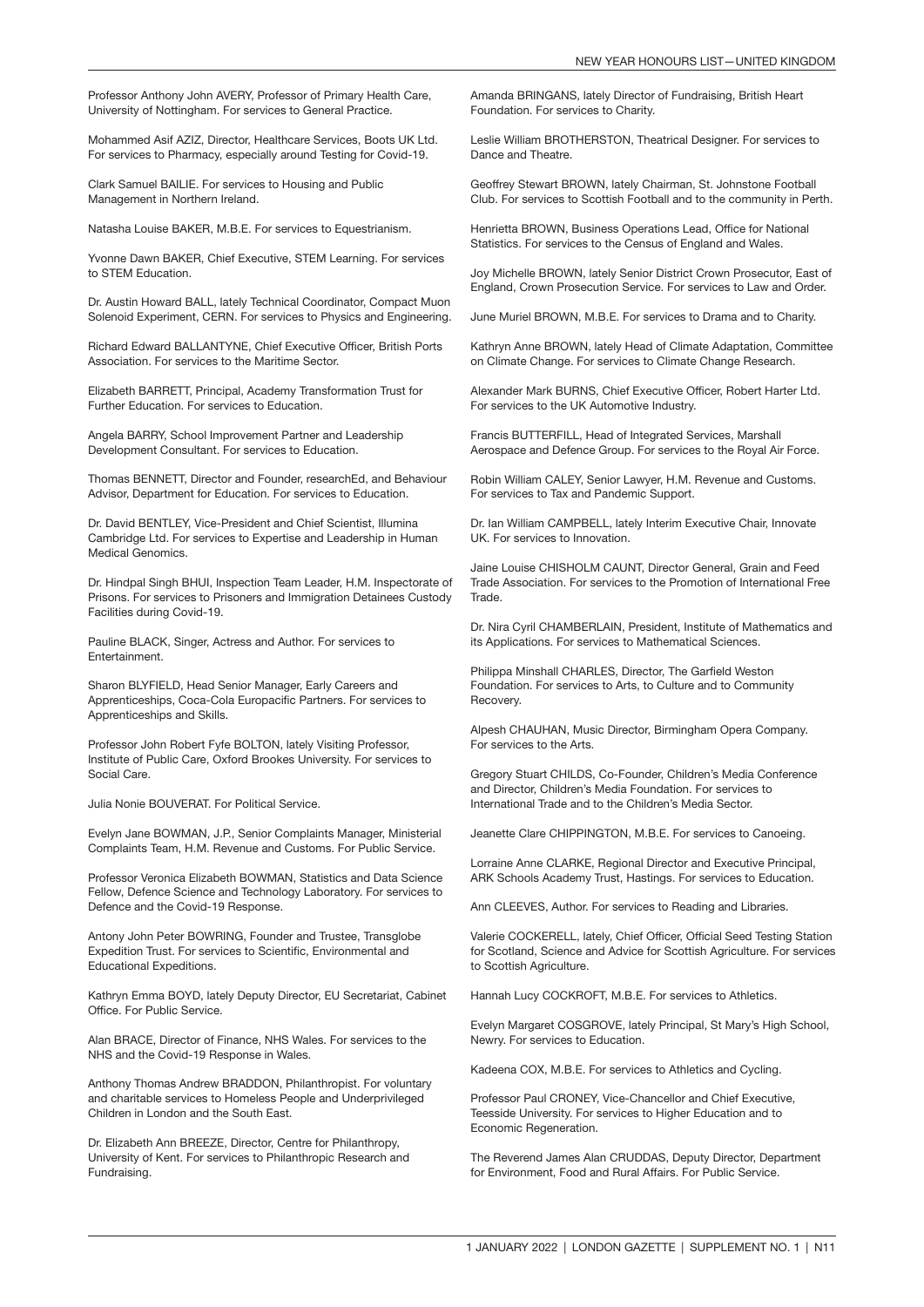Professor Anthony John AVERY, Professor of Primary Health Care, University of Nottingham. For services to General Practice.

Mohammed Asif AZIZ, Director, Healthcare Services, Boots UK Ltd. For services to Pharmacy, especially around Testing for Covid-19.

Clark Samuel BAILIE. For services to Housing and Public Management in Northern Ireland.

Natasha Louise BAKER, M.B.E. For services to Equestrianism.

Yvonne Dawn BAKER, Chief Executive, STEM Learning. For services to STEM Education.

Dr. Austin Howard BALL, lately Technical Coordinator, Compact Muon Solenoid Experiment, CERN. For services to Physics and Engineering.

Richard Edward BALLANTYNE, Chief Executive Officer, British Ports Association. For services to the Maritime Sector.

Elizabeth BARRETT, Principal, Academy Transformation Trust for Further Education. For services to Education.

Angela BARRY, School Improvement Partner and Leadership Development Consultant. For services to Education.

Thomas BENNETT, Director and Founder, researchEd, and Behaviour Advisor, Department for Education. For services to Education.

Dr. David BENTLEY, Vice-President and Chief Scientist, Illumina Cambridge Ltd. For services to Expertise and Leadership in Human Medical Genomics.

Dr. Hindpal Singh BHUI, Inspection Team Leader, H.M. Inspectorate of Prisons. For services to Prisoners and Immigration Detainees Custody Facilities during Covid-19.

Pauline BLACK, Singer, Actress and Author. For services to Entertainment.

Sharon BLYFIELD, Head Senior Manager, Early Careers and Apprenticeships, Coca-Cola Europacific Partners. For services to Apprenticeships and Skills.

Professor John Robert Fyfe BOLTON, lately Visiting Professor, Institute of Public Care, Oxford Brookes University. For services to Social Care.

Julia Nonie BOUVERAT. For Political Service.

Evelyn Jane BOWMAN, J.P., Senior Complaints Manager, Ministerial Complaints Team, H.M. Revenue and Customs. For Public Service.

Professor Veronica Elizabeth BOWMAN, Statistics and Data Science Fellow, Defence Science and Technology Laboratory. For services to Defence and the Covid-19 Response.

Antony John Peter BOWRING, Founder and Trustee, Transglobe Expedition Trust. For services to Scientific, Environmental and Educational Expeditions.

Kathryn Emma BOYD, lately Deputy Director, EU Secretariat, Cabinet Office. For Public Service.

Alan BRACE, Director of Finance, NHS Wales. For services to the NHS and the Covid-19 Response in Wales.

Anthony Thomas Andrew BRADDON, Philanthropist. For voluntary and charitable services to Homeless People and Underprivileged Children in London and the South East.

Dr. Elizabeth Ann BREEZE, Director, Centre for Philanthropy, University of Kent. For services to Philanthropic Research and Fundraising.

Amanda BRINGANS, lately Director of Fundraising, British Heart Foundation. For services to Charity.

Leslie William BROTHERSTON, Theatrical Designer. For services to Dance and Theatre.

Geoffrey Stewart BROWN, lately Chairman, St. Johnstone Football Club. For services to Scottish Football and to the community in Perth.

Henrietta BROWN, Business Operations Lead, Office for National Statistics. For services to the Census of England and Wales.

Joy Michelle BROWN, lately Senior District Crown Prosecutor, East of England, Crown Prosecution Service. For services to Law and Order.

June Muriel BROWN, M.B.E. For services to Drama and to Charity.

Kathryn Anne BROWN, lately Head of Climate Adaptation, Committee on Climate Change. For services to Climate Change Research.

Alexander Mark BURNS, Chief Executive Officer, Robert Harter Ltd. For services to the UK Automotive Industry.

Francis BUTTERFILL, Head of Integrated Services, Marshall Aerospace and Defence Group. For services to the Royal Air Force.

Robin William CALEY, Senior Lawyer, H.M. Revenue and Customs. For services to Tax and Pandemic Support.

Dr. Ian William CAMPBELL, lately Interim Executive Chair, Innovate UK. For services to Innovation.

Jaine Louise CHISHOLM CAUNT, Director General, Grain and Feed Trade Association. For services to the Promotion of International Free **Trade** 

Dr. Nira Cyril CHAMBERLAIN, President, Institute of Mathematics and its Applications. For services to Mathematical Sciences.

Philippa Minshall CHARLES, Director, The Garfield Weston Foundation. For services to Arts, to Culture and to Community Recovery.

Alpesh CHAUHAN, Music Director, Birmingham Opera Company. For services to the Arts.

Gregory Stuart CHILDS, Co-Founder, Children's Media Conference and Director, Children's Media Foundation. For services to International Trade and to the Children's Media Sector.

Jeanette Clare CHIPPINGTON, M.B.E. For services to Canoeing.

Lorraine Anne CLARKE, Regional Director and Executive Principal, ARK Schools Academy Trust, Hastings. For services to Education.

Ann CLEEVES, Author. For services to Reading and Libraries.

Valerie COCKERELL, lately, Chief Officer, Official Seed Testing Station for Scotland, Science and Advice for Scottish Agriculture. For services to Scottish Agriculture.

Hannah Lucy COCKROFT, M.B.E. For services to Athletics.

Evelyn Margaret COSGROVE, lately Principal, St Mary's High School, Newry. For services to Education.

Kadeena COX, M.B.E. For services to Athletics and Cycling.

Professor Paul CRONEY, Vice-Chancellor and Chief Executive, Teesside University. For services to Higher Education and to Economic Regeneration.

The Reverend James Alan CRUDDAS, Deputy Director, Department for Environment, Food and Rural Affairs. For Public Service.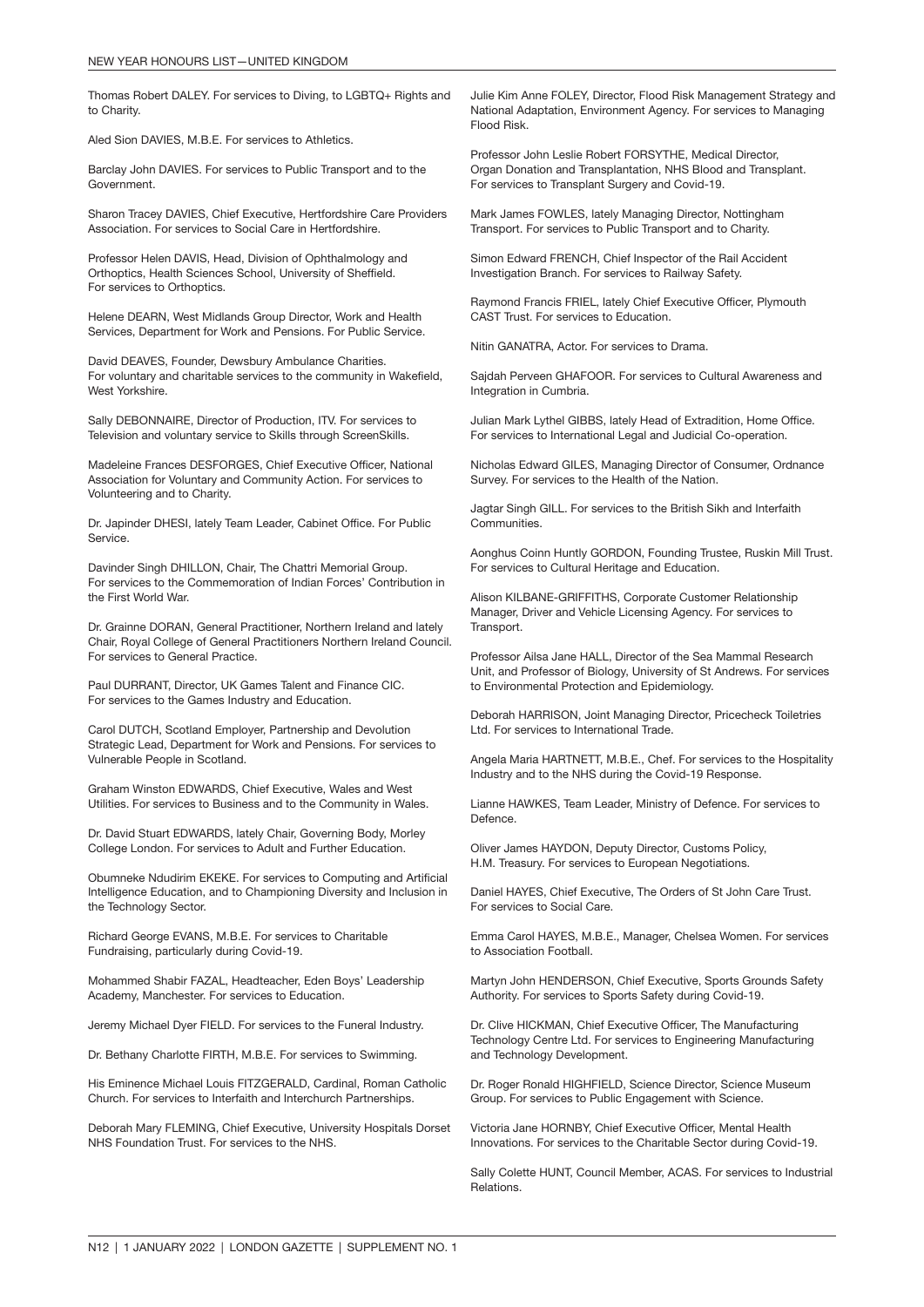Thomas Robert DALEY. For services to Diving, to LGBTQ+ Rights and to Charity.

Aled Sion DAVIES, M.B.E. For services to Athletics.

Barclay John DAVIES. For services to Public Transport and to the Government.

Sharon Tracey DAVIES, Chief Executive, Hertfordshire Care Providers Association. For services to Social Care in Hertfordshire.

Professor Helen DAVIS, Head, Division of Ophthalmology and Orthoptics, Health Sciences School, University of Sheffield. For services to Orthoptics.

Helene DEARN, West Midlands Group Director, Work and Health Services, Department for Work and Pensions. For Public Service.

David DEAVES, Founder, Dewsbury Ambulance Charities. For voluntary and charitable services to the community in Wakefield, West Yorkshire.

Sally DEBONNAIRE, Director of Production, ITV. For services to Television and voluntary service to Skills through ScreenSkills.

Madeleine Frances DESFORGES, Chief Executive Officer, National Association for Voluntary and Community Action. For services to Volunteering and to Charity.

Dr. Japinder DHESI, lately Team Leader, Cabinet Office. For Public Service.

Davinder Singh DHILLON, Chair, The Chattri Memorial Group. For services to the Commemoration of Indian Forces' Contribution in the First World War.

Dr. Grainne DORAN, General Practitioner, Northern Ireland and lately Chair, Royal College of General Practitioners Northern Ireland Council. For services to General Practice.

Paul DURRANT, Director, UK Games Talent and Finance CIC. For services to the Games Industry and Education.

Carol DUTCH, Scotland Employer, Partnership and Devolution Strategic Lead, Department for Work and Pensions. For services to Vulnerable People in Scotland.

Graham Winston EDWARDS, Chief Executive, Wales and West Utilities. For services to Business and to the Community in Wales.

Dr. David Stuart EDWARDS, lately Chair, Governing Body, Morley College London. For services to Adult and Further Education.

Obumneke Ndudirim EKEKE. For services to Computing and Artificial Intelligence Education, and to Championing Diversity and Inclusion in the Technology Sector.

Richard George EVANS, M.B.E. For services to Charitable Fundraising, particularly during Covid-19.

Mohammed Shabir FAZAL, Headteacher, Eden Boys' Leadership Academy, Manchester. For services to Education.

Jeremy Michael Dyer FIELD. For services to the Funeral Industry.

Dr. Bethany Charlotte FIRTH, M.B.E. For services to Swimming.

His Eminence Michael Louis FITZGERALD, Cardinal, Roman Catholic Church. For services to Interfaith and Interchurch Partnerships.

Deborah Mary FLEMING, Chief Executive, University Hospitals Dorset NHS Foundation Trust. For services to the NHS.

Julie Kim Anne FOLEY, Director, Flood Risk Management Strategy and National Adaptation, Environment Agency. For services to Managing Flood Risk.

Professor John Leslie Robert FORSYTHE, Medical Director, Organ Donation and Transplantation, NHS Blood and Transplant. For services to Transplant Surgery and Covid-19.

Mark James FOWLES, lately Managing Director, Nottingham Transport. For services to Public Transport and to Charity.

Simon Edward FRENCH, Chief Inspector of the Rail Accident Investigation Branch. For services to Railway Safety.

Raymond Francis FRIEL, lately Chief Executive Officer, Plymouth CAST Trust. For services to Education.

Nitin GANATRA, Actor. For services to Drama.

Sajdah Perveen GHAFOOR. For services to Cultural Awareness and Integration in Cumbria.

Julian Mark Lythel GIBBS, lately Head of Extradition, Home Office. For services to International Legal and Judicial Co-operation.

Nicholas Edward GILES, Managing Director of Consumer, Ordnance Survey. For services to the Health of the Nation.

Jagtar Singh GILL. For services to the British Sikh and Interfaith Communities.

Aonghus Coinn Huntly GORDON, Founding Trustee, Ruskin Mill Trust. For services to Cultural Heritage and Education.

Alison KILBANE-GRIFFITHS, Corporate Customer Relationship Manager, Driver and Vehicle Licensing Agency. For services to Transport.

Professor Ailsa Jane HALL, Director of the Sea Mammal Research Unit, and Professor of Biology, University of St Andrews. For services to Environmental Protection and Epidemiology.

Deborah HARRISON, Joint Managing Director, Pricecheck Toiletries Ltd. For services to International Trade.

Angela Maria HARTNETT, M.B.E., Chef. For services to the Hospitality Industry and to the NHS during the Covid-19 Response.

Lianne HAWKES, Team Leader, Ministry of Defence. For services to Defence.

Oliver James HAYDON, Deputy Director, Customs Policy, H.M. Treasury. For services to European Negotiations.

Daniel HAYES, Chief Executive, The Orders of St John Care Trust. For services to Social Care.

Emma Carol HAYES, M.B.E., Manager, Chelsea Women. For services to Association Football.

Martyn John HENDERSON, Chief Executive, Sports Grounds Safety Authority. For services to Sports Safety during Covid-19.

Dr. Clive HICKMAN, Chief Executive Officer, The Manufacturing Technology Centre Ltd. For services to Engineering Manufacturing and Technology Development.

Dr. Roger Ronald HIGHFIELD, Science Director, Science Museum Group. For services to Public Engagement with Science.

Victoria Jane HORNBY, Chief Executive Officer, Mental Health Innovations. For services to the Charitable Sector during Covid-19.

Sally Colette HUNT, Council Member, ACAS. For services to Industrial Relations.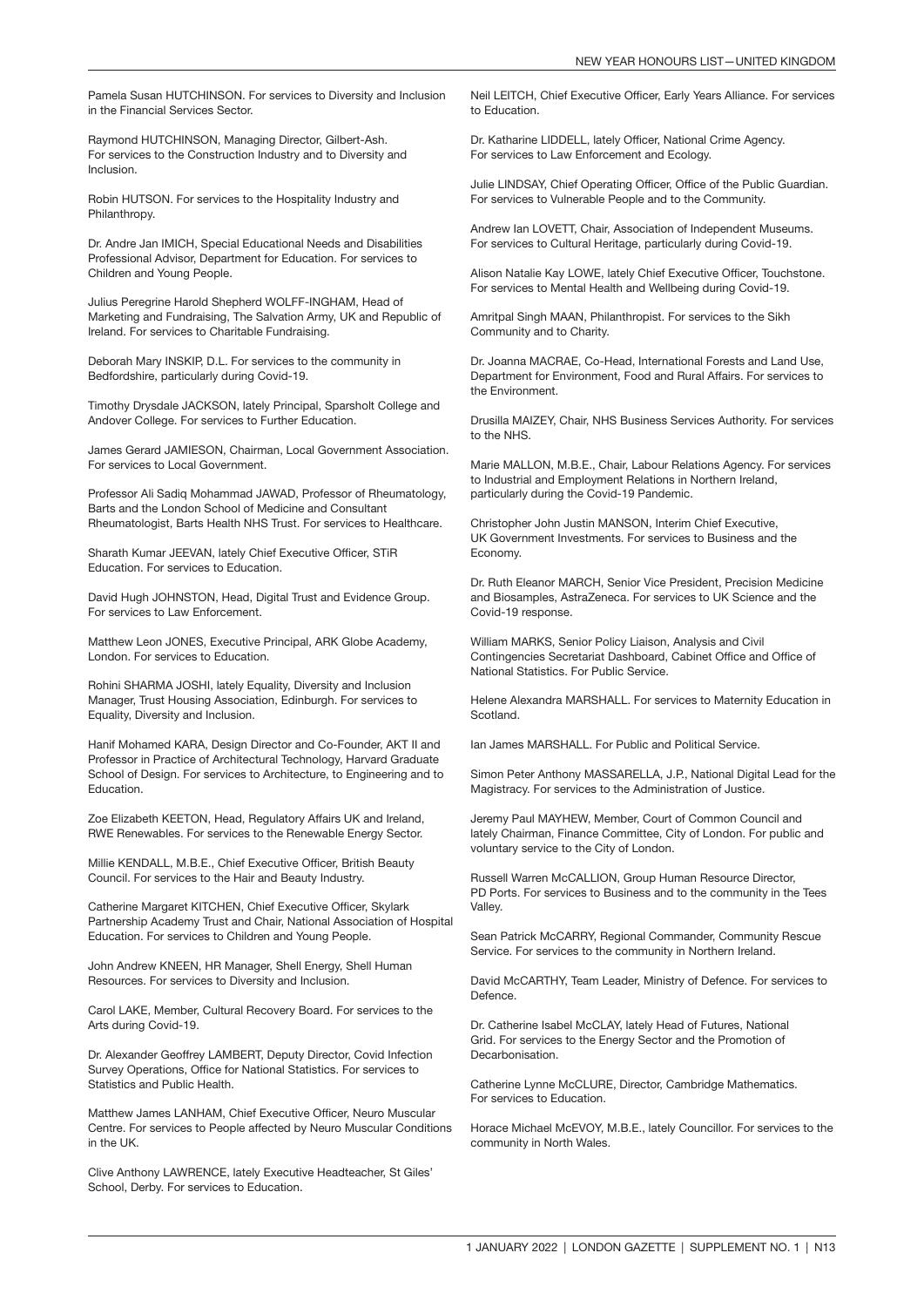Pamela Susan HUTCHINSON. For services to Diversity and Inclusion in the Financial Services Sector.

Raymond HUTCHINSON, Managing Director, Gilbert-Ash. For services to the Construction Industry and to Diversity and Inclusion.

Robin HUTSON. For services to the Hospitality Industry and Philanthropy.

Dr. Andre Jan IMICH, Special Educational Needs and Disabilities Professional Advisor, Department for Education. For services to Children and Young People.

Julius Peregrine Harold Shepherd WOLFF-INGHAM, Head of Marketing and Fundraising, The Salvation Army, UK and Republic of Ireland. For services to Charitable Fundraising.

Deborah Mary INSKIP, D.L. For services to the community in Bedfordshire, particularly during Covid-19.

Timothy Drysdale JACKSON, lately Principal, Sparsholt College and Andover College. For services to Further Education.

James Gerard JAMIESON, Chairman, Local Government Association. For services to Local Government.

Professor Ali Sadiq Mohammad JAWAD, Professor of Rheumatology, Barts and the London School of Medicine and Consultant Rheumatologist, Barts Health NHS Trust. For services to Healthcare.

Sharath Kumar JEEVAN, lately Chief Executive Officer, STiR Education. For services to Education.

David Hugh JOHNSTON, Head, Digital Trust and Evidence Group. For services to Law Enforcement.

Matthew Leon JONES, Executive Principal, ARK Globe Academy, London. For services to Education.

Rohini SHARMA JOSHI, lately Equality, Diversity and Inclusion Manager, Trust Housing Association, Edinburgh. For services to Equality, Diversity and Inclusion.

Hanif Mohamed KARA, Design Director and Co-Founder, AKT II and Professor in Practice of Architectural Technology, Harvard Graduate School of Design. For services to Architecture, to Engineering and to Education.

Zoe Elizabeth KEETON, Head, Regulatory Affairs UK and Ireland, RWE Renewables. For services to the Renewable Energy Sector.

Millie KENDALL, M.B.E., Chief Executive Officer, British Beauty Council. For services to the Hair and Beauty Industry.

Catherine Margaret KITCHEN, Chief Executive Officer, Skylark Partnership Academy Trust and Chair, National Association of Hospital Education. For services to Children and Young People.

John Andrew KNEEN, HR Manager, Shell Energy, Shell Human Resources. For services to Diversity and Inclusion.

Carol LAKE, Member, Cultural Recovery Board. For services to the Arts during Covid-19.

Dr. Alexander Geoffrey LAMBERT, Deputy Director, Covid Infection Survey Operations, Office for National Statistics. For services to Statistics and Public Health.

Matthew James LANHAM, Chief Executive Officer, Neuro Muscular Centre. For services to People affected by Neuro Muscular Conditions in the UK.

Clive Anthony LAWRENCE, lately Executive Headteacher, St Giles' School, Derby. For services to Education.

Neil LEITCH, Chief Executive Officer, Early Years Alliance. For services to Education.

Dr. Katharine LIDDELL, lately Officer, National Crime Agency. For services to Law Enforcement and Ecology.

Julie LINDSAY, Chief Operating Officer, Office of the Public Guardian. For services to Vulnerable People and to the Community.

Andrew Ian LOVETT, Chair, Association of Independent Museums. For services to Cultural Heritage, particularly during Covid-19.

Alison Natalie Kay LOWE, lately Chief Executive Officer, Touchstone. For services to Mental Health and Wellbeing during Covid-19.

Amritpal Singh MAAN, Philanthropist. For services to the Sikh Community and to Charity.

Dr. Joanna MACRAE, Co-Head, International Forests and Land Use, Department for Environment, Food and Rural Affairs. For services to the Environment.

Drusilla MAIZEY, Chair, NHS Business Services Authority. For services to the NHS.

Marie MALLON, M.B.E., Chair, Labour Relations Agency. For services to Industrial and Employment Relations in Northern Ireland, particularly during the Covid-19 Pandemic.

Christopher John Justin MANSON, Interim Chief Executive, UK Government Investments. For services to Business and the Economy.

Dr. Ruth Eleanor MARCH, Senior Vice President, Precision Medicine and Biosamples, AstraZeneca. For services to UK Science and the Covid-19 response.

William MARKS, Senior Policy Liaison, Analysis and Civil Contingencies Secretariat Dashboard, Cabinet Office and Office of National Statistics. For Public Service.

Helene Alexandra MARSHALL. For services to Maternity Education in Scotland.

Ian James MARSHALL. For Public and Political Service.

Simon Peter Anthony MASSARELLA, J.P., National Digital Lead for the Magistracy. For services to the Administration of Justice.

Jeremy Paul MAYHEW, Member, Court of Common Council and lately Chairman, Finance Committee, City of London. For public and voluntary service to the City of London.

Russell Warren McCALLION, Group Human Resource Director, PD Ports. For services to Business and to the community in the Tees Valley.

Sean Patrick McCARRY, Regional Commander, Community Rescue Service. For services to the community in Northern Ireland.

David McCARTHY, Team Leader, Ministry of Defence. For services to Defence.

Dr. Catherine Isabel McCLAY, lately Head of Futures, National Grid. For services to the Energy Sector and the Promotion of **Decarbonisation** 

Catherine Lynne McCLURE, Director, Cambridge Mathematics. For services to Education.

Horace Michael McEVOY, M.B.E., lately Councillor. For services to the community in North Wales.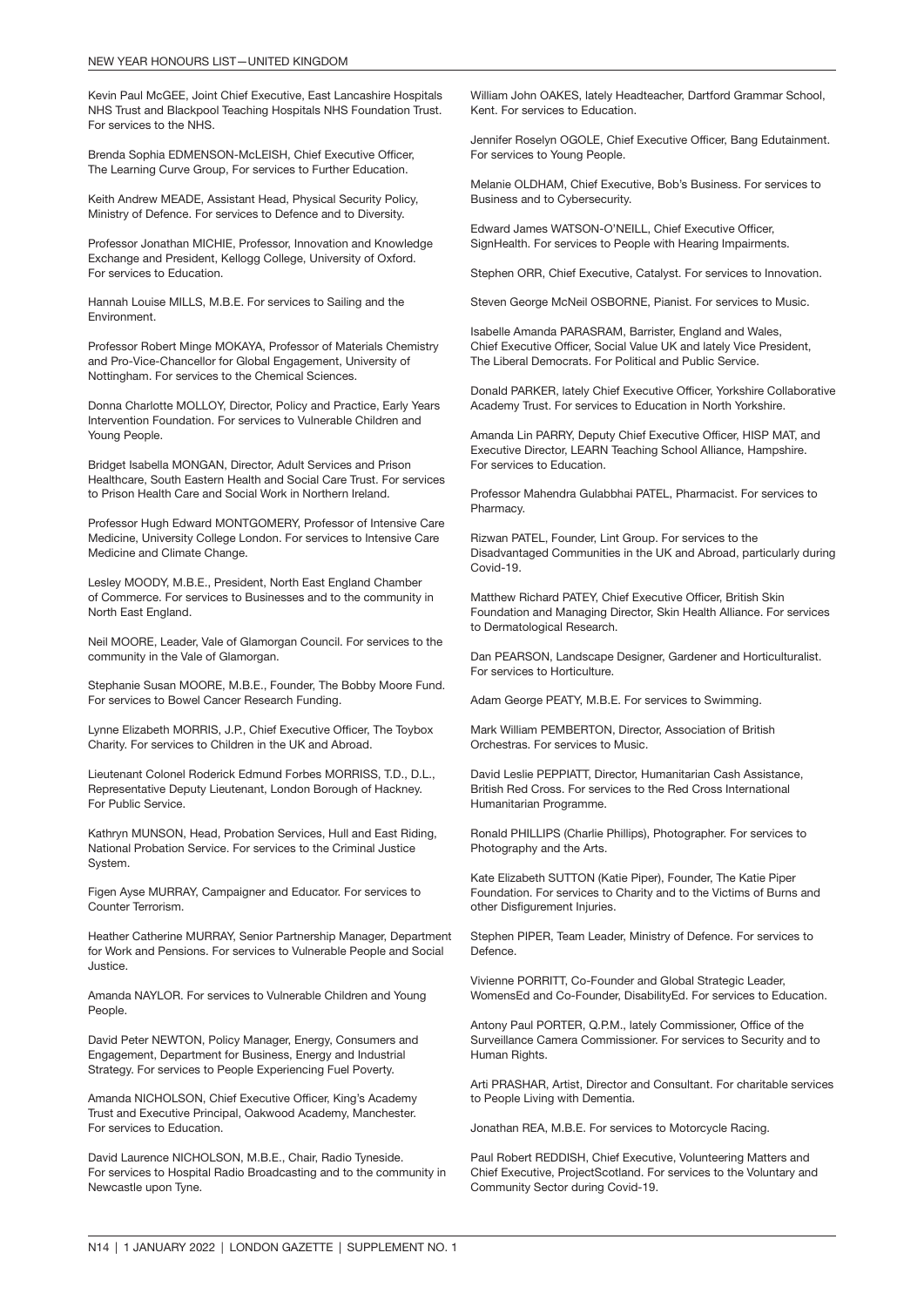Kevin Paul McGEE, Joint Chief Executive, East Lancashire Hospitals NHS Trust and Blackpool Teaching Hospitals NHS Foundation Trust. For services to the NHS.

Brenda Sophia EDMENSON-McLEISH, Chief Executive Officer, The Learning Curve Group, For services to Further Education.

Keith Andrew MEADE, Assistant Head, Physical Security Policy, Ministry of Defence. For services to Defence and to Diversity.

Professor Jonathan MICHIE, Professor, Innovation and Knowledge Exchange and President, Kellogg College, University of Oxford. For services to Education.

Hannah Louise MILLS, M.B.E. For services to Sailing and the Environment.

Professor Robert Minge MOKAYA, Professor of Materials Chemistry and Pro-Vice-Chancellor for Global Engagement, University of Nottingham. For services to the Chemical Sciences.

Donna Charlotte MOLLOY, Director, Policy and Practice, Early Years Intervention Foundation. For services to Vulnerable Children and Young People.

Bridget Isabella MONGAN, Director, Adult Services and Prison Healthcare, South Eastern Health and Social Care Trust. For services to Prison Health Care and Social Work in Northern Ireland.

Professor Hugh Edward MONTGOMERY, Professor of Intensive Care Medicine, University College London. For services to Intensive Care Medicine and Climate Change.

Lesley MOODY, M.B.E., President, North East England Chamber of Commerce. For services to Businesses and to the community in North East England.

Neil MOORE, Leader, Vale of Glamorgan Council. For services to the community in the Vale of Glamorgan.

Stephanie Susan MOORE, M.B.E., Founder, The Bobby Moore Fund. For services to Bowel Cancer Research Funding.

Lynne Elizabeth MORRIS, J.P., Chief Executive Officer, The Toybox Charity. For services to Children in the UK and Abroad.

Lieutenant Colonel Roderick Edmund Forbes MORRISS, T.D., D.L., Representative Deputy Lieutenant, London Borough of Hackney. For Public Service.

Kathryn MUNSON, Head, Probation Services, Hull and East Riding, National Probation Service. For services to the Criminal Justice System.

Figen Ayse MURRAY, Campaigner and Educator. For services to Counter Terrorism.

Heather Catherine MURRAY, Senior Partnership Manager, Department for Work and Pensions. For services to Vulnerable People and Social Justice.

Amanda NAYLOR. For services to Vulnerable Children and Young People.

David Peter NEWTON, Policy Manager, Energy, Consumers and Engagement, Department for Business, Energy and Industrial Strategy. For services to People Experiencing Fuel Poverty.

Amanda NICHOLSON, Chief Executive Officer, King's Academy Trust and Executive Principal, Oakwood Academy, Manchester. For services to Education.

David Laurence NICHOLSON, M.B.E., Chair, Radio Tyneside. For services to Hospital Radio Broadcasting and to the community in Newcastle upon Tyne.

William John OAKES, lately Headteacher, Dartford Grammar School, Kent. For services to Education.

Jennifer Roselyn OGOLE, Chief Executive Officer, Bang Edutainment. For services to Young People.

Melanie OLDHAM, Chief Executive, Bob's Business. For services to Business and to Cybersecurity.

Edward James WATSON-O'NEILL, Chief Executive Officer, SignHealth. For services to People with Hearing Impairments.

Stephen ORR, Chief Executive, Catalyst. For services to Innovation.

Steven George McNeil OSBORNE, Pianist. For services to Music.

Isabelle Amanda PARASRAM, Barrister, England and Wales, Chief Executive Officer, Social Value UK and lately Vice President, The Liberal Democrats. For Political and Public Service.

Donald PARKER, lately Chief Executive Officer, Yorkshire Collaborative Academy Trust. For services to Education in North Yorkshire.

Amanda Lin PARRY, Deputy Chief Executive Officer, HISP MAT, and Executive Director, LEARN Teaching School Alliance, Hampshire. For services to Education.

Professor Mahendra Gulabbhai PATEL, Pharmacist. For services to Pharmacy.

Rizwan PATEL, Founder, Lint Group. For services to the Disadvantaged Communities in the UK and Abroad, particularly during Covid-19.

Matthew Richard PATEY, Chief Executive Officer, British Skin Foundation and Managing Director, Skin Health Alliance. For services to Dermatological Research.

Dan PEARSON, Landscape Designer, Gardener and Horticulturalist. For services to Horticulture.

Adam George PEATY, M.B.E. For services to Swimming.

Mark William PEMBERTON, Director, Association of British Orchestras. For services to Music.

David Leslie PEPPIATT, Director, Humanitarian Cash Assistance, British Red Cross. For services to the Red Cross International Humanitarian Programme.

Ronald PHILLIPS (Charlie Phillips), Photographer. For services to Photography and the Arts.

Kate Elizabeth SUTTON (Katie Piper), Founder, The Katie Piper Foundation. For services to Charity and to the Victims of Burns and other Disfigurement Injuries.

Stephen PIPER, Team Leader, Ministry of Defence. For services to Defence.

Vivienne PORRITT, Co-Founder and Global Strategic Leader, WomensEd and Co-Founder, DisabilityEd. For services to Education.

Antony Paul PORTER, Q.P.M., lately Commissioner, Office of the Surveillance Camera Commissioner. For services to Security and to Human Rights.

Arti PRASHAR, Artist, Director and Consultant. For charitable services to People Living with Dementia.

Jonathan REA, M.B.E. For services to Motorcycle Racing.

Paul Robert REDDISH, Chief Executive, Volunteering Matters and Chief Executive, ProjectScotland. For services to the Voluntary and Community Sector during Covid-19.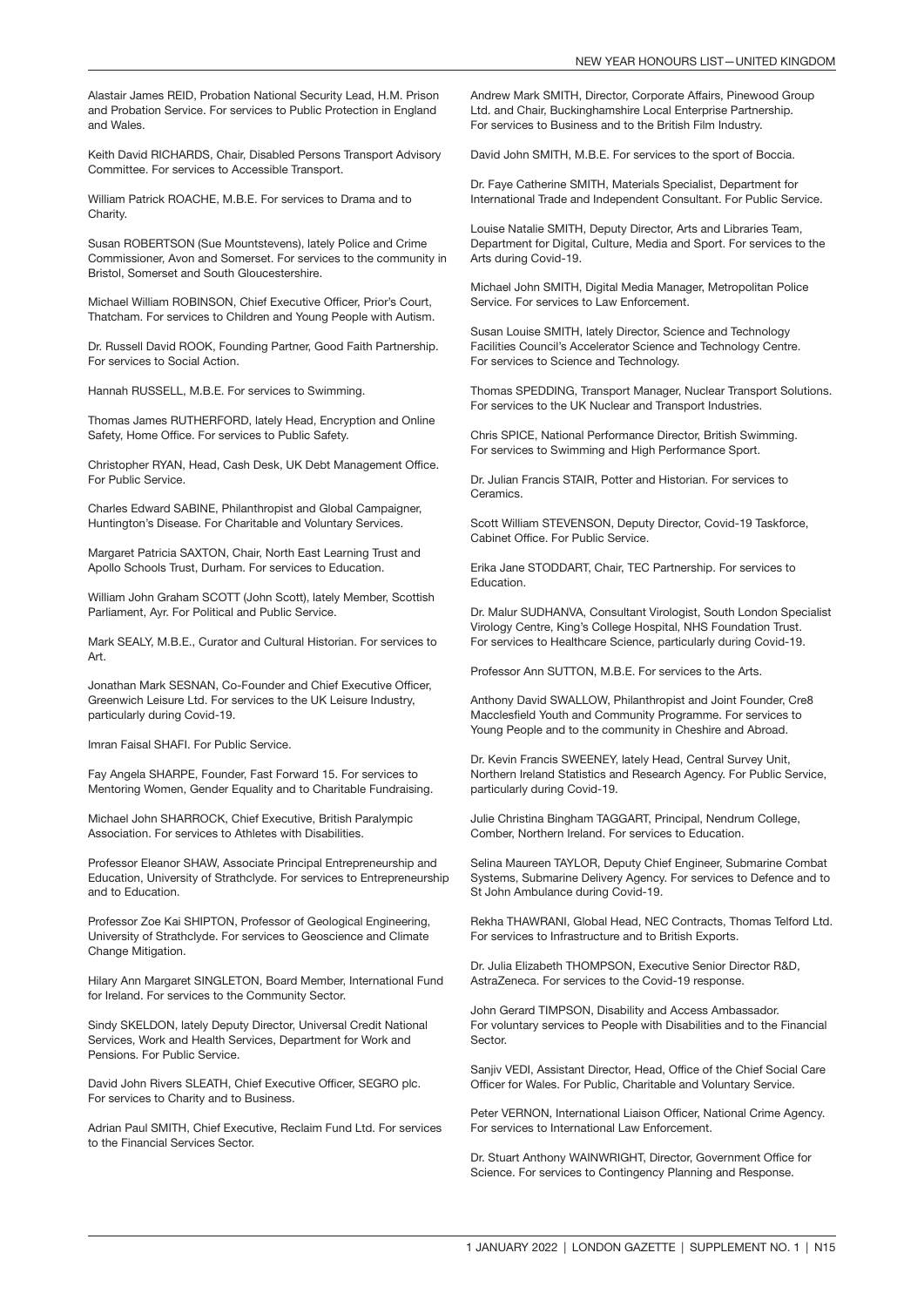Alastair James REID, Probation National Security Lead, H.M. Prison and Probation Service. For services to Public Protection in England and Wales.

Keith David RICHARDS, Chair, Disabled Persons Transport Advisory Committee. For services to Accessible Transport.

William Patrick ROACHE, M.B.E. For services to Drama and to Charity.

Susan ROBERTSON (Sue Mountstevens), lately Police and Crime Commissioner, Avon and Somerset. For services to the community in Bristol, Somerset and South Gloucestershire.

Michael William ROBINSON, Chief Executive Officer, Prior's Court, Thatcham. For services to Children and Young People with Autism.

Dr. Russell David ROOK, Founding Partner, Good Faith Partnership. For services to Social Action.

Hannah RUSSELL, M.B.E. For services to Swimming.

Thomas James RUTHERFORD, lately Head, Encryption and Online Safety, Home Office. For services to Public Safety.

Christopher RYAN, Head, Cash Desk, UK Debt Management Office. For Public Service.

Charles Edward SABINE, Philanthropist and Global Campaigner, Huntington's Disease. For Charitable and Voluntary Services.

Margaret Patricia SAXTON, Chair, North East Learning Trust and Apollo Schools Trust, Durham. For services to Education.

William John Graham SCOTT (John Scott), lately Member, Scottish Parliament, Ayr. For Political and Public Service.

Mark SEALY, M.B.E., Curator and Cultural Historian. For services to Art.

Jonathan Mark SESNAN, Co-Founder and Chief Executive Officer, Greenwich Leisure Ltd. For services to the UK Leisure Industry, particularly during Covid-19.

Imran Faisal SHAFI. For Public Service.

Fay Angela SHARPE, Founder, Fast Forward 15. For services to Mentoring Women, Gender Equality and to Charitable Fundraising.

Michael John SHARROCK, Chief Executive, British Paralympic Association. For services to Athletes with Disabilities.

Professor Eleanor SHAW, Associate Principal Entrepreneurship and Education, University of Strathclyde. For services to Entrepreneurship and to Education.

Professor Zoe Kai SHIPTON, Professor of Geological Engineering, University of Strathclyde. For services to Geoscience and Climate Change Mitigation.

Hilary Ann Margaret SINGLETON, Board Member, International Fund for Ireland. For services to the Community Sector.

Sindy SKELDON, lately Deputy Director, Universal Credit National Services, Work and Health Services, Department for Work and Pensions. For Public Service.

David John Rivers SLEATH, Chief Executive Officer, SEGRO plc. For services to Charity and to Business.

Adrian Paul SMITH, Chief Executive, Reclaim Fund Ltd. For services to the Financial Services Sector.

Andrew Mark SMITH, Director, Corporate Affairs, Pinewood Group Ltd. and Chair, Buckinghamshire Local Enterprise Partnership. For services to Business and to the British Film Industry.

David John SMITH, M.B.E. For services to the sport of Boccia.

Dr. Faye Catherine SMITH, Materials Specialist, Department for International Trade and Independent Consultant. For Public Service.

Louise Natalie SMITH, Deputy Director, Arts and Libraries Team, Department for Digital, Culture, Media and Sport. For services to the Arts during Covid-19.

Michael John SMITH, Digital Media Manager, Metropolitan Police Service. For services to Law Enforcement.

Susan Louise SMITH, lately Director, Science and Technology Facilities Council's Accelerator Science and Technology Centre. For services to Science and Technology.

Thomas SPEDDING, Transport Manager, Nuclear Transport Solutions. For services to the UK Nuclear and Transport Industries.

Chris SPICE, National Performance Director, British Swimming. For services to Swimming and High Performance Sport.

Dr. Julian Francis STAIR, Potter and Historian. For services to **Ceramics** 

Scott William STEVENSON, Deputy Director, Covid-19 Taskforce, Cabinet Office. For Public Service.

Erika Jane STODDART, Chair, TEC Partnership. For services to Education.

Dr. Malur SUDHANVA, Consultant Virologist, South London Specialist Virology Centre, King's College Hospital, NHS Foundation Trust. For services to Healthcare Science, particularly during Covid-19.

Professor Ann SUTTON, M.B.E. For services to the Arts.

Anthony David SWALLOW, Philanthropist and Joint Founder, Cre8 Macclesfield Youth and Community Programme. For services to Young People and to the community in Cheshire and Abroad.

Dr. Kevin Francis SWEENEY, lately Head, Central Survey Unit, Northern Ireland Statistics and Research Agency. For Public Service, particularly during Covid-19.

Julie Christina Bingham TAGGART, Principal, Nendrum College, Comber, Northern Ireland. For services to Education.

Selina Maureen TAYLOR, Deputy Chief Engineer, Submarine Combat Systems, Submarine Delivery Agency. For services to Defence and to St John Ambulance during Covid-19.

Rekha THAWRANI, Global Head, NEC Contracts, Thomas Telford Ltd. For services to Infrastructure and to British Exports.

Dr. Julia Elizabeth THOMPSON, Executive Senior Director R&D, AstraZeneca. For services to the Covid-19 response.

John Gerard TIMPSON, Disability and Access Ambassador. For voluntary services to People with Disabilities and to the Financial Sector.

Sanjiv VEDI, Assistant Director, Head, Office of the Chief Social Care Officer for Wales. For Public, Charitable and Voluntary Service.

Peter VERNON, International Liaison Officer, National Crime Agency. For services to International Law Enforcement.

Dr. Stuart Anthony WAINWRIGHT, Director, Government Office for Science. For services to Contingency Planning and Response.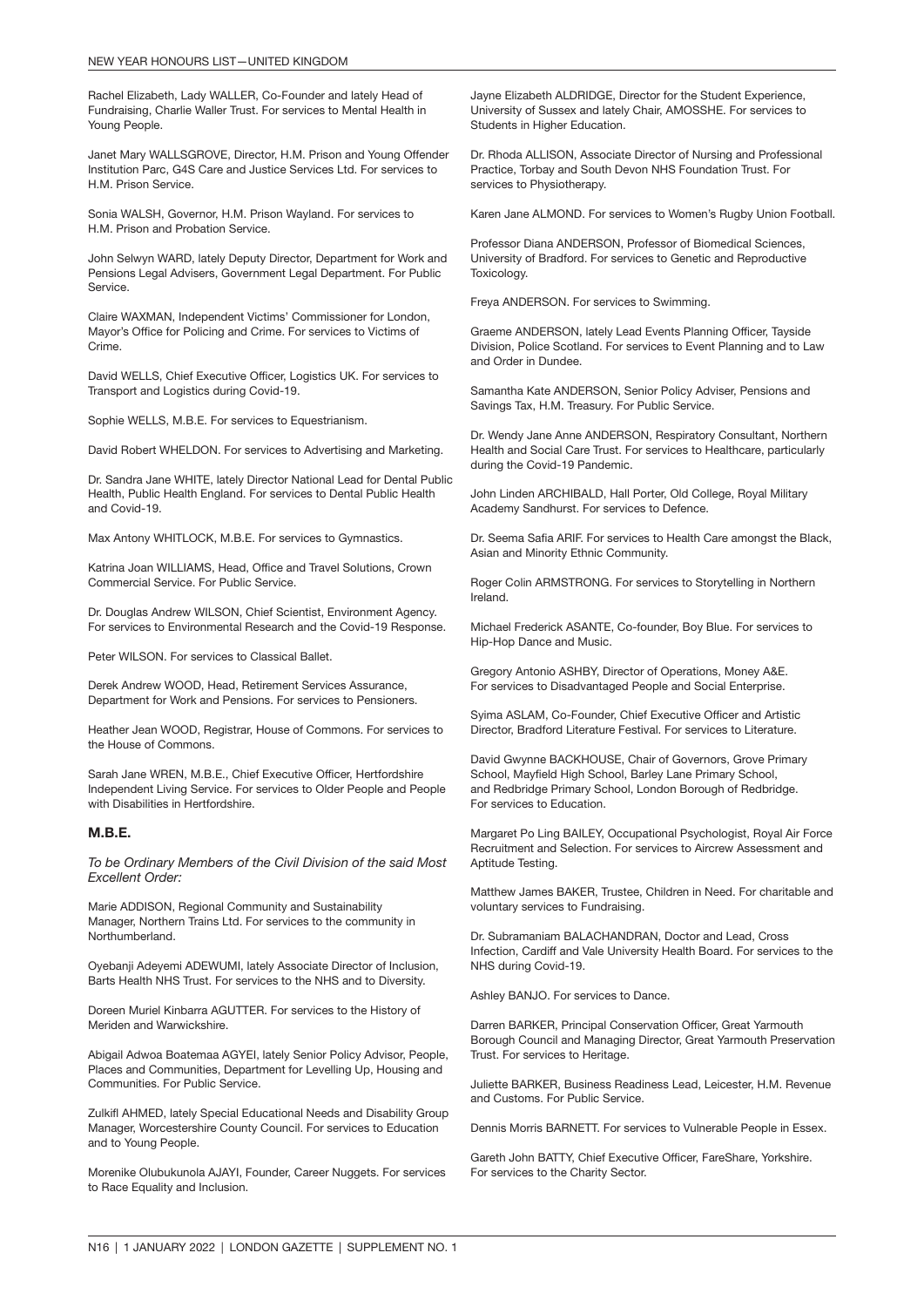Rachel Elizabeth, Lady WALLER, Co-Founder and lately Head of Fundraising, Charlie Waller Trust. For services to Mental Health in Young People.

Janet Mary WALLSGROVE, Director, H.M. Prison and Young Offender Institution Parc, G4S Care and Justice Services Ltd. For services to H.M. Prison Service.

Sonia WALSH, Governor, H.M. Prison Wayland. For services to H.M. Prison and Probation Service.

John Selwyn WARD, lately Deputy Director, Department for Work and Pensions Legal Advisers, Government Legal Department. For Public Service.

Claire WAXMAN, Independent Victims' Commissioner for London, Mayor's Office for Policing and Crime. For services to Victims of Crime.

David WELLS, Chief Executive Officer, Logistics UK. For services to Transport and Logistics during Covid-19.

Sophie WELLS, M.B.E. For services to Equestrianism.

David Robert WHELDON. For services to Advertising and Marketing.

Dr. Sandra Jane WHITE, lately Director National Lead for Dental Public Health, Public Health England. For services to Dental Public Health and Covid-19.

Max Antony WHITLOCK, M.B.E. For services to Gymnastics.

Katrina Joan WILLIAMS, Head, Office and Travel Solutions, Crown Commercial Service. For Public Service.

Dr. Douglas Andrew WILSON, Chief Scientist, Environment Agency. For services to Environmental Research and the Covid-19 Response.

Peter WILSON. For services to Classical Ballet.

Derek Andrew WOOD, Head, Retirement Services Assurance, Department for Work and Pensions. For services to Pensioners.

Heather Jean WOOD, Registrar, House of Commons. For services to the House of Commons.

Sarah Jane WREN, M.B.E., Chief Executive Officer, Hertfordshire Independent Living Service. For services to Older People and People with Disabilities in Hertfordshire.

#### M.B.E.

*To be Ordinary Members of the Civil Division of the said Most Excellent Order:*

Marie ADDISON, Regional Community and Sustainability Manager, Northern Trains Ltd. For services to the community in Northumberland.

Oyebanji Adeyemi ADEWUMI, lately Associate Director of Inclusion, Barts Health NHS Trust. For services to the NHS and to Diversity.

Doreen Muriel Kinbarra AGUTTER. For services to the History of Meriden and Warwickshire.

Abigail Adwoa Boatemaa AGYEI, lately Senior Policy Advisor, People, Places and Communities, Department for Levelling Up, Housing and Communities. For Public Service.

Zulkifl AHMED, lately Special Educational Needs and Disability Group Manager, Worcestershire County Council. For services to Education and to Young People.

Morenike Olubukunola AJAYI, Founder, Career Nuggets. For services to Race Equality and Inclusion.

Jayne Elizabeth ALDRIDGE, Director for the Student Experience, University of Sussex and lately Chair, AMOSSHE. For services to Students in Higher Education.

Dr. Rhoda ALLISON, Associate Director of Nursing and Professional Practice, Torbay and South Devon NHS Foundation Trust. For services to Physiotherapy.

Karen Jane ALMOND. For services to Women's Rugby Union Football.

Professor Diana ANDERSON, Professor of Biomedical Sciences, University of Bradford. For services to Genetic and Reproductive Toxicology.

Freya ANDERSON. For services to Swimming.

Graeme ANDERSON, lately Lead Events Planning Officer, Tayside Division, Police Scotland. For services to Event Planning and to Law and Order in Dundee.

Samantha Kate ANDERSON, Senior Policy Adviser, Pensions and Savings Tax, H.M. Treasury. For Public Service.

Dr. Wendy Jane Anne ANDERSON, Respiratory Consultant, Northern Health and Social Care Trust. For services to Healthcare, particularly during the Covid-19 Pandemic.

John Linden ARCHIBALD, Hall Porter, Old College, Royal Military Academy Sandhurst. For services to Defence.

Dr. Seema Safia ARIF. For services to Health Care amongst the Black, Asian and Minority Ethnic Community.

Roger Colin ARMSTRONG. For services to Storytelling in Northern Ireland.

Michael Frederick ASANTE, Co-founder, Boy Blue. For services to Hip-Hop Dance and Music.

Gregory Antonio ASHBY, Director of Operations, Money A&E. For services to Disadvantaged People and Social Enterprise.

Syima ASLAM, Co-Founder, Chief Executive Officer and Artistic Director, Bradford Literature Festival. For services to Literature.

David Gwynne BACKHOUSE, Chair of Governors, Grove Primary School, Mayfield High School, Barley Lane Primary School, and Redbridge Primary School, London Borough of Redbridge. For services to Education.

Margaret Po Ling BAILEY, Occupational Psychologist, Royal Air Force Recruitment and Selection. For services to Aircrew Assessment and Aptitude Testing.

Matthew James BAKER, Trustee, Children in Need. For charitable and voluntary services to Fundraising.

Dr. Subramaniam BALACHANDRAN, Doctor and Lead, Cross Infection, Cardiff and Vale University Health Board. For services to the NHS during Covid-19.

Ashley BANJO. For services to Dance.

Darren BARKER, Principal Conservation Officer, Great Yarmouth Borough Council and Managing Director, Great Yarmouth Preservation Trust. For services to Heritage.

Juliette BARKER, Business Readiness Lead, Leicester, H.M. Revenue and Customs. For Public Service.

Dennis Morris BARNETT. For services to Vulnerable People in Essex.

Gareth John BATTY, Chief Executive Officer, FareShare, Yorkshire. For services to the Charity Sector.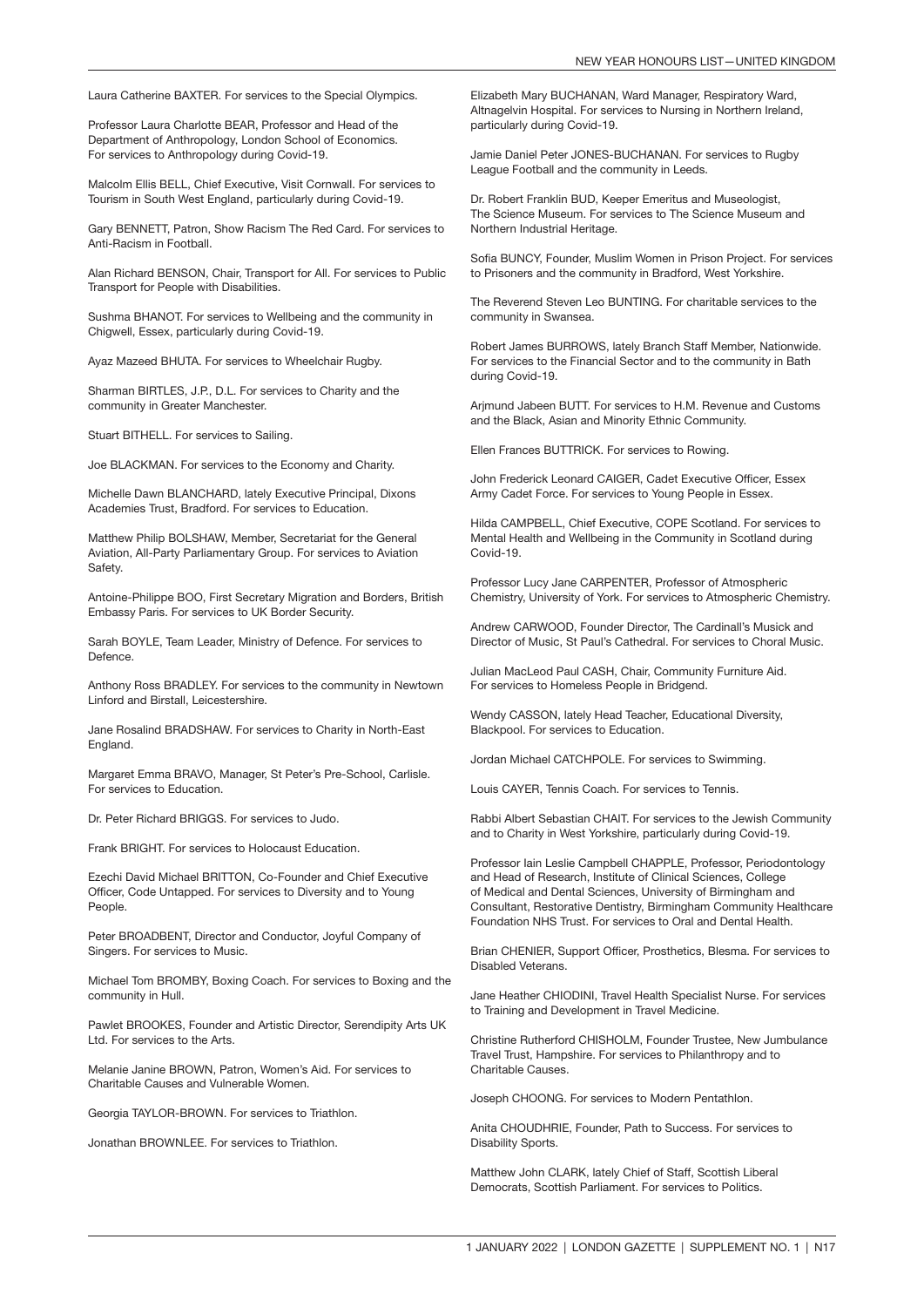Laura Catherine BAXTER. For services to the Special Olympics.

Professor Laura Charlotte BEAR, Professor and Head of the Department of Anthropology, London School of Economics. For services to Anthropology during Covid-19.

Malcolm Ellis BELL, Chief Executive, Visit Cornwall. For services to Tourism in South West England, particularly during Covid-19.

Gary BENNETT, Patron, Show Racism The Red Card. For services to Anti-Racism in Football.

Alan Richard BENSON, Chair, Transport for All. For services to Public Transport for People with Disabilities.

Sushma BHANOT. For services to Wellbeing and the community in Chigwell, Essex, particularly during Covid-19.

Ayaz Mazeed BHUTA. For services to Wheelchair Rugby.

Sharman BIRTLES, J.P., D.L. For services to Charity and the community in Greater Manchester.

Stuart BITHELL. For services to Sailing.

Joe BLACKMAN. For services to the Economy and Charity.

Michelle Dawn BLANCHARD, lately Executive Principal, Dixons Academies Trust, Bradford. For services to Education.

Matthew Philip BOLSHAW, Member, Secretariat for the General Aviation, All-Party Parliamentary Group. For services to Aviation Safety.

Antoine-Philippe BOO, First Secretary Migration and Borders, British Embassy Paris. For services to UK Border Security.

Sarah BOYLE, Team Leader, Ministry of Defence. For services to Defence.

Anthony Ross BRADLEY. For services to the community in Newtown Linford and Birstall, Leicestershire.

Jane Rosalind BRADSHAW. For services to Charity in North-East England.

Margaret Emma BRAVO, Manager, St Peter's Pre-School, Carlisle. For services to Education.

Dr. Peter Richard BRIGGS. For services to Judo.

Frank BRIGHT. For services to Holocaust Education.

Ezechi David Michael BRITTON, Co-Founder and Chief Executive Officer, Code Untapped. For services to Diversity and to Young People.

Peter BROADBENT, Director and Conductor, Joyful Company of Singers. For services to Music.

Michael Tom BROMBY, Boxing Coach. For services to Boxing and the community in Hull.

Pawlet BROOKES, Founder and Artistic Director, Serendipity Arts UK Ltd. For services to the Arts.

Melanie Janine BROWN, Patron, Women's Aid. For services to Charitable Causes and Vulnerable Women.

Georgia TAYLOR-BROWN. For services to Triathlon.

Jonathan BROWNLEE. For services to Triathlon.

Elizabeth Mary BUCHANAN, Ward Manager, Respiratory Ward, Altnagelvin Hospital. For services to Nursing in Northern Ireland, particularly during Covid-19.

Jamie Daniel Peter JONES-BUCHANAN. For services to Rugby League Football and the community in Leeds.

Dr. Robert Franklin BUD, Keeper Emeritus and Museologist, The Science Museum. For services to The Science Museum and Northern Industrial Heritage.

Sofia BUNCY, Founder, Muslim Women in Prison Project. For services to Prisoners and the community in Bradford, West Yorkshire.

The Reverend Steven Leo BUNTING. For charitable services to the community in Swansea.

Robert James BURROWS, lately Branch Staff Member, Nationwide. For services to the Financial Sector and to the community in Bath during Covid-19.

Arjmund Jabeen BUTT. For services to H.M. Revenue and Customs and the Black, Asian and Minority Ethnic Community.

Ellen Frances BUTTRICK. For services to Rowing.

John Frederick Leonard CAIGER, Cadet Executive Officer, Essex Army Cadet Force. For services to Young People in Essex.

Hilda CAMPBELL, Chief Executive, COPE Scotland. For services to Mental Health and Wellbeing in the Community in Scotland during Covid-19.

Professor Lucy Jane CARPENTER, Professor of Atmospheric Chemistry, University of York. For services to Atmospheric Chemistry.

Andrew CARWOOD, Founder Director, The Cardinall's Musick and Director of Music, St Paul's Cathedral. For services to Choral Music.

Julian MacLeod Paul CASH, Chair, Community Furniture Aid. For services to Homeless People in Bridgend.

Wendy CASSON, lately Head Teacher, Educational Diversity, Blackpool. For services to Education.

Jordan Michael CATCHPOLE. For services to Swimming.

Louis CAYER, Tennis Coach. For services to Tennis.

Rabbi Albert Sebastian CHAIT. For services to the Jewish Community and to Charity in West Yorkshire, particularly during Covid-19.

Professor Iain Leslie Campbell CHAPPLE, Professor, Periodontology and Head of Research, Institute of Clinical Sciences, College of Medical and Dental Sciences, University of Birmingham and Consultant, Restorative Dentistry, Birmingham Community Healthcare Foundation NHS Trust. For services to Oral and Dental Health.

Brian CHENIER, Support Officer, Prosthetics, Blesma. For services to Disabled Veterans.

Jane Heather CHIODINI, Travel Health Specialist Nurse. For services to Training and Development in Travel Medicine.

Christine Rutherford CHISHOLM, Founder Trustee, New Jumbulance Travel Trust, Hampshire. For services to Philanthropy and to Charitable Causes.

Joseph CHOONG. For services to Modern Pentathlon.

Anita CHOUDHRIE, Founder, Path to Success. For services to Disability Sports.

Matthew John CLARK, lately Chief of Staff, Scottish Liberal Democrats, Scottish Parliament. For services to Politics.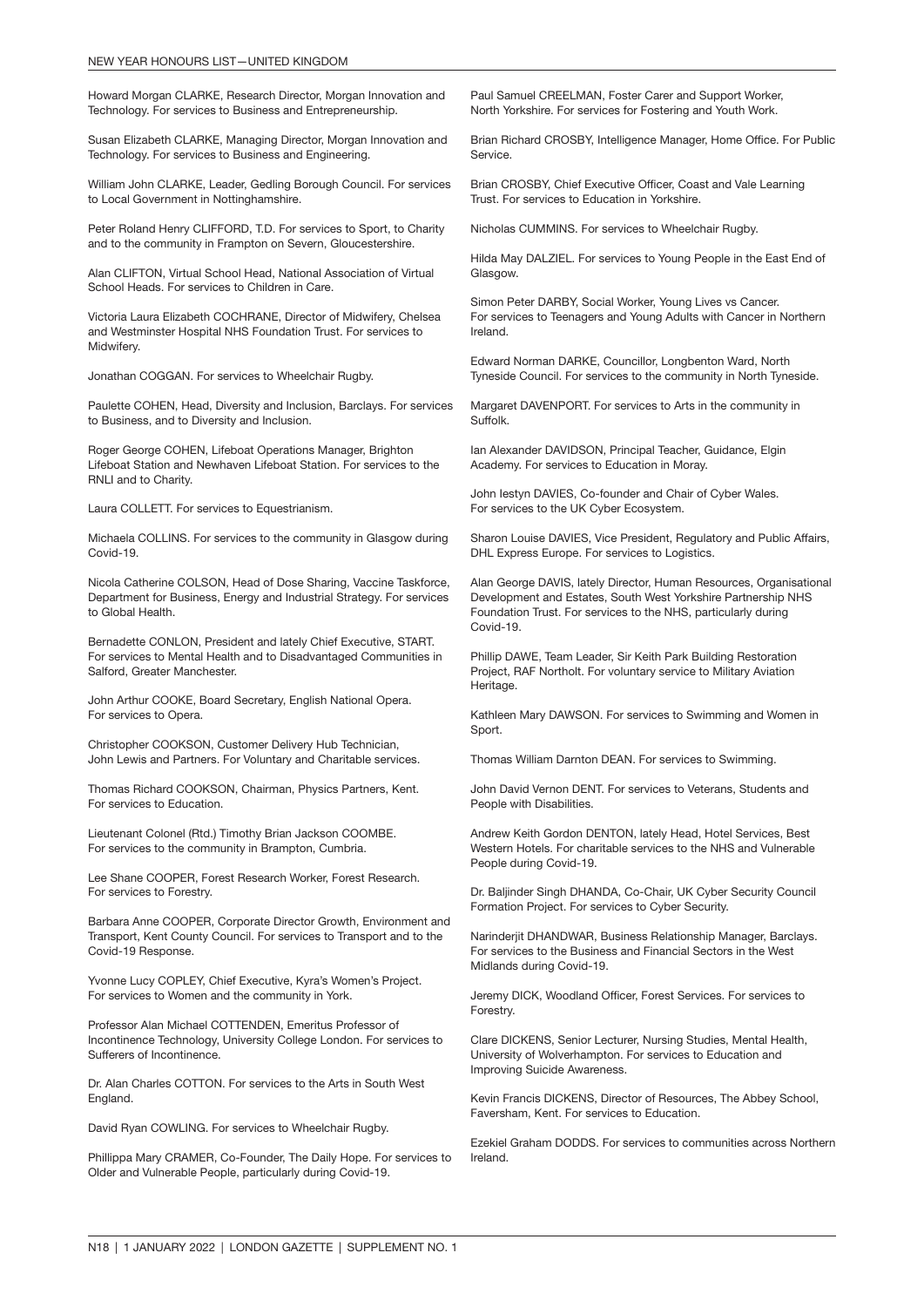Howard Morgan CLARKE, Research Director, Morgan Innovation and Technology. For services to Business and Entrepreneurship.

Susan Elizabeth CLARKE, Managing Director, Morgan Innovation and Technology. For services to Business and Engineering.

William John CLARKE, Leader, Gedling Borough Council. For services to Local Government in Nottinghamshire.

Peter Roland Henry CLIFFORD, T.D. For services to Sport, to Charity and to the community in Frampton on Severn, Gloucestershire.

Alan CLIFTON, Virtual School Head, National Association of Virtual School Heads. For services to Children in Care.

Victoria Laura Elizabeth COCHRANE, Director of Midwifery, Chelsea and Westminster Hospital NHS Foundation Trust. For services to Midwifery.

Jonathan COGGAN. For services to Wheelchair Rugby.

Paulette COHEN, Head, Diversity and Inclusion, Barclays. For services to Business, and to Diversity and Inclusion.

Roger George COHEN, Lifeboat Operations Manager, Brighton Lifeboat Station and Newhaven Lifeboat Station. For services to the RNLI and to Charity.

Laura COLLETT. For services to Equestrianism.

Michaela COLLINS. For services to the community in Glasgow during Covid-19.

Nicola Catherine COLSON, Head of Dose Sharing, Vaccine Taskforce, Department for Business, Energy and Industrial Strategy. For services to Global Health.

Bernadette CONLON, President and lately Chief Executive, START. For services to Mental Health and to Disadvantaged Communities in Salford, Greater Manchester.

John Arthur COOKE, Board Secretary, English National Opera. For services to Opera.

Christopher COOKSON, Customer Delivery Hub Technician, John Lewis and Partners. For Voluntary and Charitable services.

Thomas Richard COOKSON, Chairman, Physics Partners, Kent. For services to Education.

Lieutenant Colonel (Rtd.) Timothy Brian Jackson COOMBE. For services to the community in Brampton, Cumbria.

Lee Shane COOPER, Forest Research Worker, Forest Research. For services to Forestry.

Barbara Anne COOPER, Corporate Director Growth, Environment and Transport, Kent County Council. For services to Transport and to the Covid-19 Response.

Yvonne Lucy COPLEY, Chief Executive, Kyra's Women's Project. For services to Women and the community in York.

Professor Alan Michael COTTENDEN, Emeritus Professor of Incontinence Technology, University College London. For services to Sufferers of Incontinence.

Dr. Alan Charles COTTON. For services to the Arts in South West England.

David Ryan COWLING. For services to Wheelchair Rugby.

Phillippa Mary CRAMER, Co-Founder, The Daily Hope. For services to Older and Vulnerable People, particularly during Covid-19.

Paul Samuel CREELMAN, Foster Carer and Support Worker, North Yorkshire. For services for Fostering and Youth Work.

Brian Richard CROSBY, Intelligence Manager, Home Office. For Public Service.

Brian CROSBY, Chief Executive Officer, Coast and Vale Learning Trust. For services to Education in Yorkshire.

Nicholas CUMMINS. For services to Wheelchair Rugby.

Hilda May DALZIEL. For services to Young People in the East End of Glasgow.

Simon Peter DARBY, Social Worker, Young Lives vs Cancer. For services to Teenagers and Young Adults with Cancer in Northern Ireland.

Edward Norman DARKE, Councillor, Longbenton Ward, North Tyneside Council. For services to the community in North Tyneside.

Margaret DAVENPORT. For services to Arts in the community in Suffolk.

Ian Alexander DAVIDSON, Principal Teacher, Guidance, Elgin Academy. For services to Education in Moray.

John Iestyn DAVIES, Co-founder and Chair of Cyber Wales. For services to the UK Cyber Ecosystem.

Sharon Louise DAVIES, Vice President, Regulatory and Public Affairs, DHL Express Europe. For services to Logistics.

Alan George DAVIS, lately Director, Human Resources, Organisational Development and Estates, South West Yorkshire Partnership NHS Foundation Trust. For services to the NHS, particularly during Covid-19.

Phillip DAWE, Team Leader, Sir Keith Park Building Restoration Project, RAF Northolt. For voluntary service to Military Aviation Heritage.

Kathleen Mary DAWSON. For services to Swimming and Women in Sport.

Thomas William Darnton DEAN. For services to Swimming.

John David Vernon DENT. For services to Veterans, Students and People with Disabilities.

Andrew Keith Gordon DENTON, lately Head, Hotel Services, Best Western Hotels. For charitable services to the NHS and Vulnerable People during Covid-19.

Dr. Baljinder Singh DHANDA, Co-Chair, UK Cyber Security Council Formation Project. For services to Cyber Security.

Narinderjit DHANDWAR, Business Relationship Manager, Barclays. For services to the Business and Financial Sectors in the West Midlands during Covid-19.

Jeremy DICK, Woodland Officer, Forest Services. For services to Forestry.

Clare DICKENS, Senior Lecturer, Nursing Studies, Mental Health, University of Wolverhampton. For services to Education and Improving Suicide Awareness.

Kevin Francis DICKENS, Director of Resources, The Abbey School, Faversham, Kent. For services to Education.

Ezekiel Graham DODDS. For services to communities across Northern Ireland.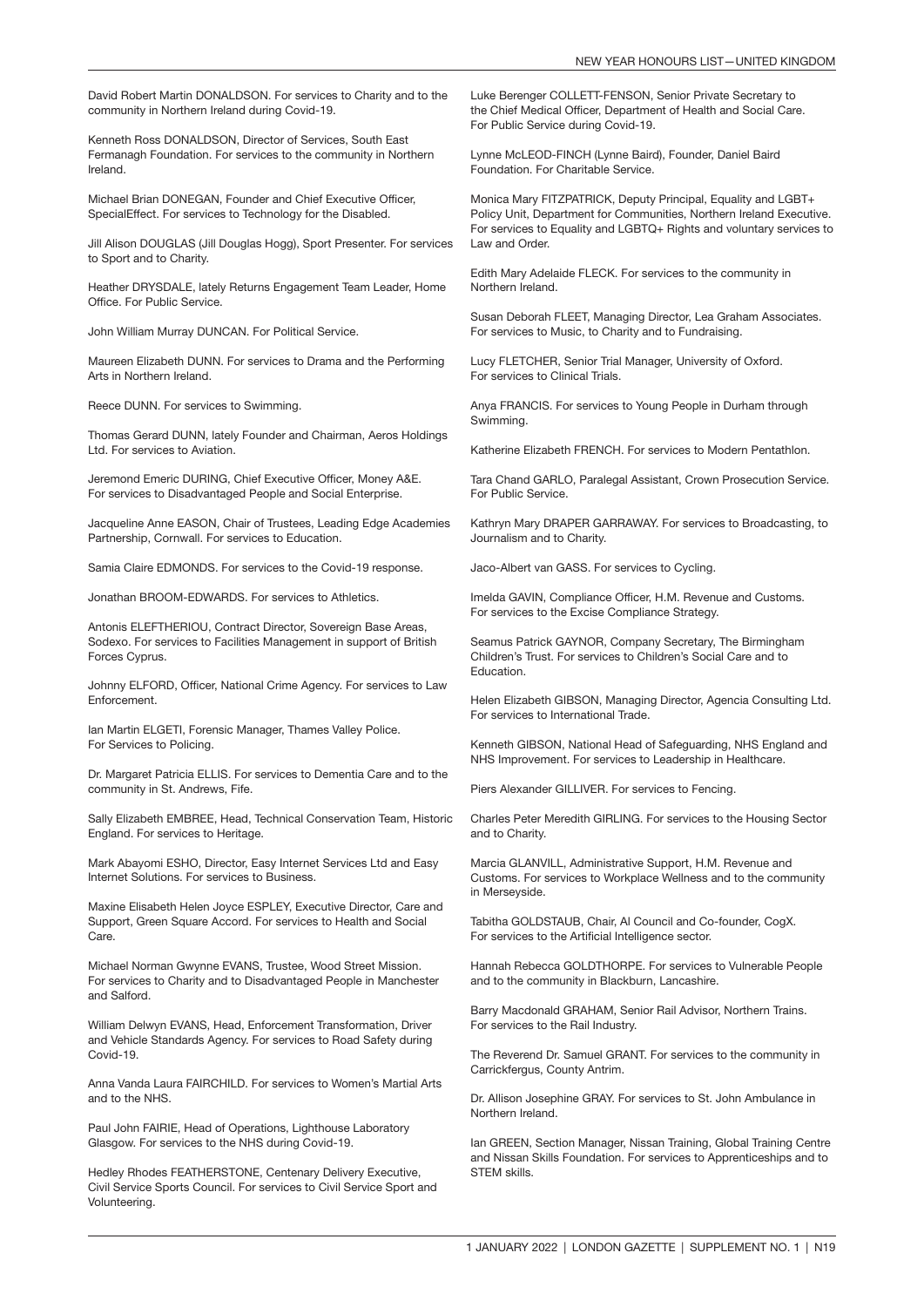David Robert Martin DONALDSON. For services to Charity and to the community in Northern Ireland during Covid-19.

Kenneth Ross DONALDSON, Director of Services, South East Fermanagh Foundation. For services to the community in Northern Ireland.

Michael Brian DONEGAN, Founder and Chief Executive Officer, SpecialEffect. For services to Technology for the Disabled.

Jill Alison DOUGLAS (Jill Douglas Hogg), Sport Presenter. For services to Sport and to Charity.

Heather DRYSDALE, lately Returns Engagement Team Leader, Home Office. For Public Service.

John William Murray DUNCAN. For Political Service.

Maureen Elizabeth DUNN. For services to Drama and the Performing Arts in Northern Ireland.

Reece DUNN. For services to Swimming.

Thomas Gerard DUNN, lately Founder and Chairman, Aeros Holdings Ltd. For services to Aviation.

Jeremond Emeric DURING, Chief Executive Officer, Money A&E. For services to Disadvantaged People and Social Enterprise.

Jacqueline Anne EASON, Chair of Trustees, Leading Edge Academies Partnership, Cornwall. For services to Education.

Samia Claire EDMONDS. For services to the Covid-19 response.

Jonathan BROOM-EDWARDS. For services to Athletics.

Antonis ELEFTHERIOU, Contract Director, Sovereign Base Areas, Sodexo. For services to Facilities Management in support of British Forces Cyprus.

Johnny ELFORD, Officer, National Crime Agency. For services to Law Enforcement.

Ian Martin ELGETI, Forensic Manager, Thames Valley Police. For Services to Policing.

Dr. Margaret Patricia ELLIS. For services to Dementia Care and to the community in St. Andrews, Fife.

Sally Elizabeth EMBREE, Head, Technical Conservation Team, Historic England. For services to Heritage.

Mark Abayomi ESHO, Director, Easy Internet Services Ltd and Easy Internet Solutions. For services to Business.

Maxine Elisabeth Helen Joyce ESPLEY, Executive Director, Care and Support, Green Square Accord. For services to Health and Social Care.

Michael Norman Gwynne EVANS, Trustee, Wood Street Mission. For services to Charity and to Disadvantaged People in Manchester and Salford.

William Delwyn EVANS, Head, Enforcement Transformation, Driver and Vehicle Standards Agency. For services to Road Safety during Covid-19.

Anna Vanda Laura FAIRCHILD. For services to Women's Martial Arts and to the NHS.

Paul John FAIRIE, Head of Operations, Lighthouse Laboratory Glasgow. For services to the NHS during Covid-19.

Hedley Rhodes FEATHERSTONE, Centenary Delivery Executive, Civil Service Sports Council. For services to Civil Service Sport and Volunteering.

Luke Berenger COLLETT-FENSON, Senior Private Secretary to the Chief Medical Officer, Department of Health and Social Care. For Public Service during Covid-19.

Lynne McLEOD-FINCH (Lynne Baird), Founder, Daniel Baird Foundation. For Charitable Service.

Monica Mary FITZPATRICK, Deputy Principal, Equality and LGBT+ Policy Unit, Department for Communities, Northern Ireland Executive. For services to Equality and LGBTQ+ Rights and voluntary services to Law and Order.

Edith Mary Adelaide FLECK. For services to the community in Northern Ireland.

Susan Deborah FLEET, Managing Director, Lea Graham Associates. For services to Music, to Charity and to Fundraising.

Lucy FLETCHER, Senior Trial Manager, University of Oxford. For services to Clinical Trials.

Anya FRANCIS. For services to Young People in Durham through Swimming.

Katherine Elizabeth FRENCH. For services to Modern Pentathlon.

Tara Chand GARLO, Paralegal Assistant, Crown Prosecution Service. For Public Service.

Kathryn Mary DRAPER GARRAWAY. For services to Broadcasting, to Journalism and to Charity.

Jaco-Albert van GASS. For services to Cycling.

Imelda GAVIN, Compliance Officer, H.M. Revenue and Customs. For services to the Excise Compliance Strategy.

Seamus Patrick GAYNOR, Company Secretary, The Birmingham Children's Trust. For services to Children's Social Care and to Education.

Helen Elizabeth GIBSON, Managing Director, Agencia Consulting Ltd. For services to International Trade.

Kenneth GIBSON, National Head of Safeguarding, NHS England and NHS Improvement. For services to Leadership in Healthcare.

Piers Alexander GILLIVER. For services to Fencing.

Charles Peter Meredith GIRLING. For services to the Housing Sector and to Charity.

Marcia GLANVILL, Administrative Support, H.M. Revenue and Customs. For services to Workplace Wellness and to the community in Merseyside.

Tabitha GOLDSTAUB, Chair, Al Council and Co-founder, CogX. For services to the Artificial Intelligence sector.

Hannah Rebecca GOLDTHORPE. For services to Vulnerable People and to the community in Blackburn, Lancashire.

Barry Macdonald GRAHAM, Senior Rail Advisor, Northern Trains. For services to the Rail Industry.

The Reverend Dr. Samuel GRANT. For services to the community in Carrickfergus, County Antrim.

Dr. Allison Josephine GRAY. For services to St. John Ambulance in Northern Ireland.

Ian GREEN, Section Manager, Nissan Training, Global Training Centre and Nissan Skills Foundation. For services to Apprenticeships and to STEM skills.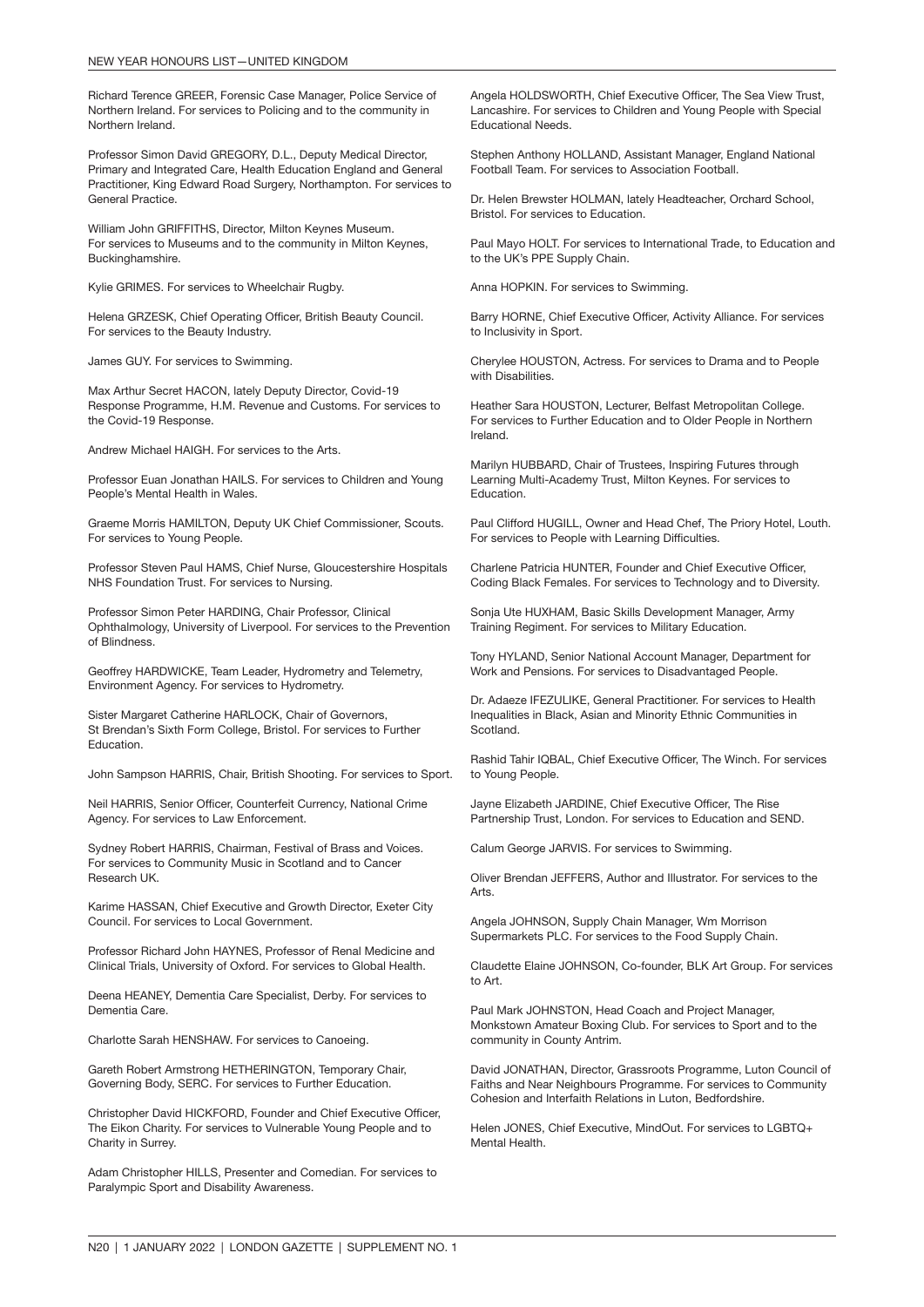Richard Terence GREER, Forensic Case Manager, Police Service of Northern Ireland. For services to Policing and to the community in Northern Ireland.

Professor Simon David GREGORY, D.L., Deputy Medical Director, Primary and Integrated Care, Health Education England and General Practitioner, King Edward Road Surgery, Northampton. For services to General Practice.

William John GRIFFITHS, Director, Milton Keynes Museum. For services to Museums and to the community in Milton Keynes, Buckinghamshire.

Kylie GRIMES. For services to Wheelchair Rugby.

Helena GRZESK, Chief Operating Officer, British Beauty Council. For services to the Beauty Industry.

James GUY. For services to Swimming.

Max Arthur Secret HACON, lately Deputy Director, Covid-19 Response Programme, H.M. Revenue and Customs. For services to the Covid-19 Response.

Andrew Michael HAIGH. For services to the Arts.

Professor Euan Jonathan HAILS. For services to Children and Young People's Mental Health in Wales.

Graeme Morris HAMILTON, Deputy UK Chief Commissioner, Scouts. For services to Young People.

Professor Steven Paul HAMS, Chief Nurse, Gloucestershire Hospitals NHS Foundation Trust. For services to Nursing.

Professor Simon Peter HARDING, Chair Professor, Clinical Ophthalmology, University of Liverpool. For services to the Prevention of Blindness.

Geoffrey HARDWICKE, Team Leader, Hydrometry and Telemetry, Environment Agency. For services to Hydrometry.

Sister Margaret Catherine HARLOCK, Chair of Governors, St Brendan's Sixth Form College, Bristol. For services to Further Education.

John Sampson HARRIS, Chair, British Shooting. For services to Sport.

Neil HARRIS, Senior Officer, Counterfeit Currency, National Crime Agency. For services to Law Enforcement.

Sydney Robert HARRIS, Chairman, Festival of Brass and Voices. For services to Community Music in Scotland and to Cancer Research UK.

Karime HASSAN, Chief Executive and Growth Director, Exeter City Council. For services to Local Government.

Professor Richard John HAYNES, Professor of Renal Medicine and Clinical Trials, University of Oxford. For services to Global Health.

Deena HEANEY, Dementia Care Specialist, Derby. For services to Dementia Care.

Charlotte Sarah HENSHAW. For services to Canoeing.

Gareth Robert Armstrong HETHERINGTON, Temporary Chair, Governing Body, SERC. For services to Further Education.

Christopher David HICKFORD, Founder and Chief Executive Officer, The Eikon Charity. For services to Vulnerable Young People and to Charity in Surrey.

Adam Christopher HILLS, Presenter and Comedian. For services to Paralympic Sport and Disability Awareness.

Angela HOLDSWORTH, Chief Executive Officer, The Sea View Trust, Lancashire. For services to Children and Young People with Special Educational Needs.

Stephen Anthony HOLLAND, Assistant Manager, England National Football Team. For services to Association Football.

Dr. Helen Brewster HOLMAN, lately Headteacher, Orchard School, Bristol. For services to Education.

Paul Mayo HOLT. For services to International Trade, to Education and to the UK's PPE Supply Chain.

Anna HOPKIN. For services to Swimming.

Barry HORNE, Chief Executive Officer, Activity Alliance. For services to Inclusivity in Sport.

Cherylee HOUSTON, Actress. For services to Drama and to People with Disabilities.

Heather Sara HOUSTON, Lecturer, Belfast Metropolitan College. For services to Further Education and to Older People in Northern Ireland.

Marilyn HUBBARD, Chair of Trustees, Inspiring Futures through Learning Multi-Academy Trust, Milton Keynes. For services to Education.

Paul Clifford HUGILL, Owner and Head Chef, The Priory Hotel, Louth. For services to People with Learning Difficulties.

Charlene Patricia HUNTER, Founder and Chief Executive Officer, Coding Black Females. For services to Technology and to Diversity.

Sonja Ute HUXHAM, Basic Skills Development Manager, Army Training Regiment. For services to Military Education.

Tony HYLAND, Senior National Account Manager, Department for Work and Pensions. For services to Disadvantaged People.

Dr. Adaeze IFEZULIKE, General Practitioner. For services to Health Inequalities in Black, Asian and Minority Ethnic Communities in Scotland.

Rashid Tahir IQBAL, Chief Executive Officer, The Winch. For services to Young People.

Jayne Elizabeth JARDINE, Chief Executive Officer, The Rise Partnership Trust, London. For services to Education and SEND.

Calum George JARVIS. For services to Swimming.

Oliver Brendan JEFFERS, Author and Illustrator. For services to the Arts.

Angela JOHNSON, Supply Chain Manager, Wm Morrison Supermarkets PLC. For services to the Food Supply Chain.

Claudette Elaine JOHNSON, Co-founder, BLK Art Group. For services to Art.

Paul Mark JOHNSTON, Head Coach and Project Manager, Monkstown Amateur Boxing Club. For services to Sport and to the community in County Antrim.

David JONATHAN, Director, Grassroots Programme, Luton Council of Faiths and Near Neighbours Programme. For services to Community Cohesion and Interfaith Relations in Luton, Bedfordshire.

Helen JONES, Chief Executive, MindOut. For services to LGBTQ+ Mental Health.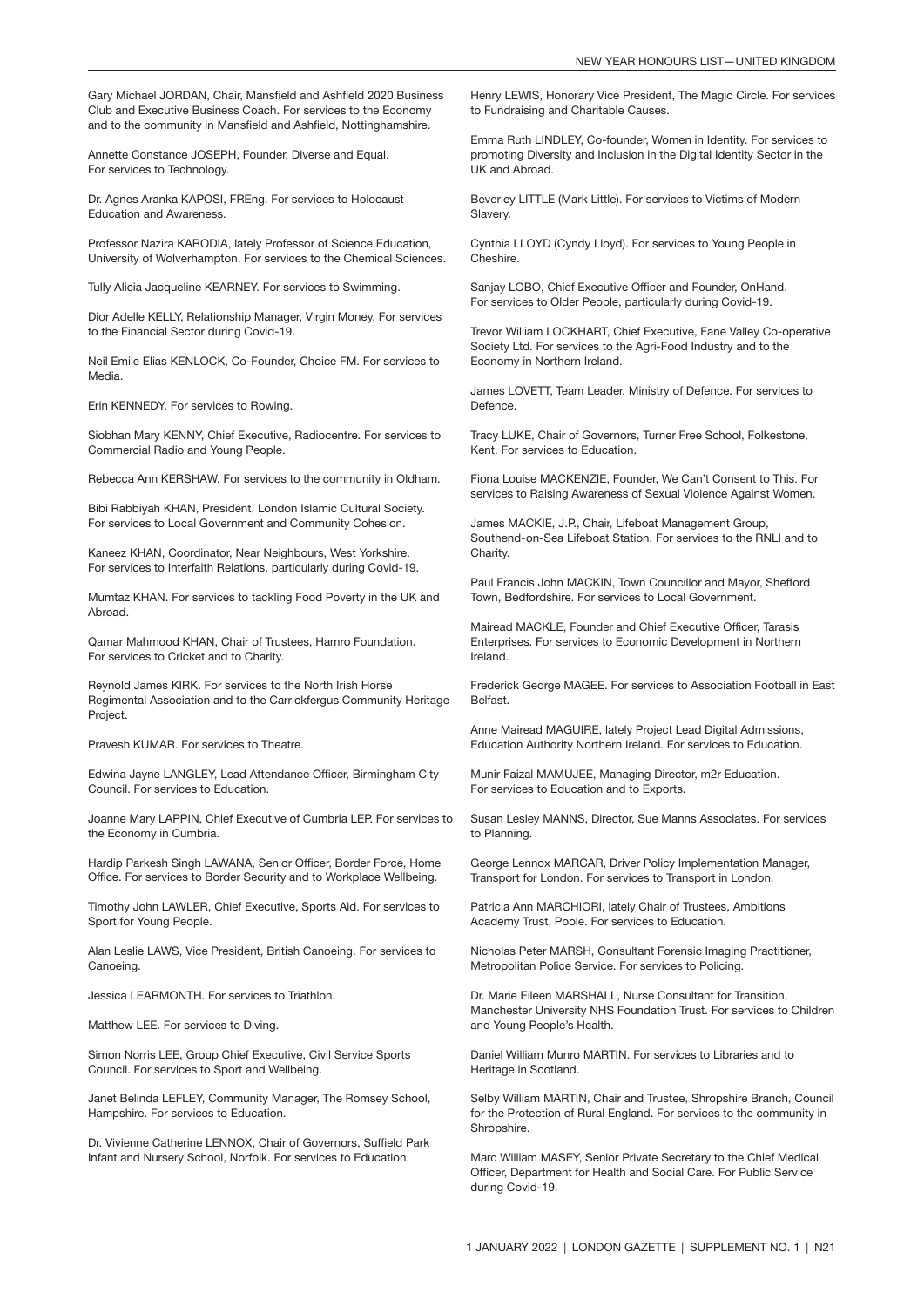Gary Michael JORDAN, Chair, Mansfield and Ashfield 2020 Business Club and Executive Business Coach. For services to the Economy and to the community in Mansfield and Ashfield, Nottinghamshire.

Annette Constance JOSEPH, Founder, Diverse and Equal. For services to Technology.

Dr. Agnes Aranka KAPOSI, FREng. For services to Holocaust Education and Awareness.

Professor Nazira KARODIA, lately Professor of Science Education, University of Wolverhampton. For services to the Chemical Sciences.

Tully Alicia Jacqueline KEARNEY. For services to Swimming.

Dior Adelle KELLY, Relationship Manager, Virgin Money. For services to the Financial Sector during Covid-19.

Neil Emile Elias KENLOCK, Co-Founder, Choice FM. For services to Media.

Erin KENNEDY. For services to Rowing.

Siobhan Mary KENNY, Chief Executive, Radiocentre. For services to Commercial Radio and Young People.

Rebecca Ann KERSHAW. For services to the community in Oldham.

Bibi Rabbiyah KHAN, President, London Islamic Cultural Society. For services to Local Government and Community Cohesion.

Kaneez KHAN, Coordinator, Near Neighbours, West Yorkshire. For services to Interfaith Relations, particularly during Covid-19.

Mumtaz KHAN. For services to tackling Food Poverty in the UK and Abroad.

Qamar Mahmood KHAN, Chair of Trustees, Hamro Foundation. For services to Cricket and to Charity.

Reynold James KIRK. For services to the North Irish Horse Regimental Association and to the Carrickfergus Community Heritage Project.

Pravesh KUMAR. For services to Theatre.

Edwina Jayne LANGLEY, Lead Attendance Officer, Birmingham City Council. For services to Education.

Joanne Mary LAPPIN, Chief Executive of Cumbria LEP. For services to the Economy in Cumbria.

Hardip Parkesh Singh LAWANA, Senior Officer, Border Force, Home Office. For services to Border Security and to Workplace Wellbeing.

Timothy John LAWLER, Chief Executive, Sports Aid. For services to Sport for Young People.

Alan Leslie LAWS, Vice President, British Canoeing. For services to Canoeing.

Jessica LEARMONTH. For services to Triathlon.

Matthew LEE. For services to Diving.

Simon Norris LEE, Group Chief Executive, Civil Service Sports Council. For services to Sport and Wellbeing.

Janet Belinda LEFLEY, Community Manager, The Romsey School, Hampshire. For services to Education.

Dr. Vivienne Catherine LENNOX, Chair of Governors, Suffield Park Infant and Nursery School, Norfolk. For services to Education.

Henry LEWIS, Honorary Vice President, The Magic Circle. For services to Fundraising and Charitable Causes.

Emma Ruth LINDLEY, Co-founder, Women in Identity. For services to promoting Diversity and Inclusion in the Digital Identity Sector in the UK and Abroad.

Beverley LITTLE (Mark Little). For services to Victims of Modern Slavery.

Cynthia LLOYD (Cyndy Lloyd). For services to Young People in Cheshire.

Sanjay LOBO, Chief Executive Officer and Founder, OnHand. For services to Older People, particularly during Covid-19.

Trevor William LOCKHART, Chief Executive, Fane Valley Co-operative Society Ltd. For services to the Agri-Food Industry and to the Economy in Northern Ireland.

James LOVETT, Team Leader, Ministry of Defence. For services to Defence.

Tracy LUKE, Chair of Governors, Turner Free School, Folkestone, Kent. For services to Education.

Fiona Louise MACKENZIE, Founder, We Can't Consent to This. For services to Raising Awareness of Sexual Violence Against Women.

James MACKIE, J.P., Chair, Lifeboat Management Group, Southend-on-Sea Lifeboat Station. For services to the RNLI and to Charity.

Paul Francis John MACKIN, Town Councillor and Mayor, Shefford Town, Bedfordshire. For services to Local Government.

Mairead MACKLE, Founder and Chief Executive Officer, Tarasis Enterprises. For services to Economic Development in Northern Ireland.

Frederick George MAGEE. For services to Association Football in East Belfast.

Anne Mairead MAGUIRE, lately Project Lead Digital Admissions, Education Authority Northern Ireland. For services to Education.

Munir Faizal MAMUJEE, Managing Director, m2r Education. For services to Education and to Exports.

Susan Lesley MANNS, Director, Sue Manns Associates. For services to Planning.

George Lennox MARCAR, Driver Policy Implementation Manager, Transport for London. For services to Transport in London.

Patricia Ann MARCHIORI, lately Chair of Trustees, Ambitions Academy Trust, Poole. For services to Education.

Nicholas Peter MARSH, Consultant Forensic Imaging Practitioner, Metropolitan Police Service. For services to Policing.

Dr. Marie Eileen MARSHALL, Nurse Consultant for Transition, Manchester University NHS Foundation Trust. For services to Children and Young People's Health.

Daniel William Munro MARTIN. For services to Libraries and to Heritage in Scotland.

Selby William MARTIN, Chair and Trustee, Shropshire Branch, Council for the Protection of Rural England. For services to the community in Shropshire.

Marc William MASEY, Senior Private Secretary to the Chief Medical Officer, Department for Health and Social Care. For Public Service during Covid-19.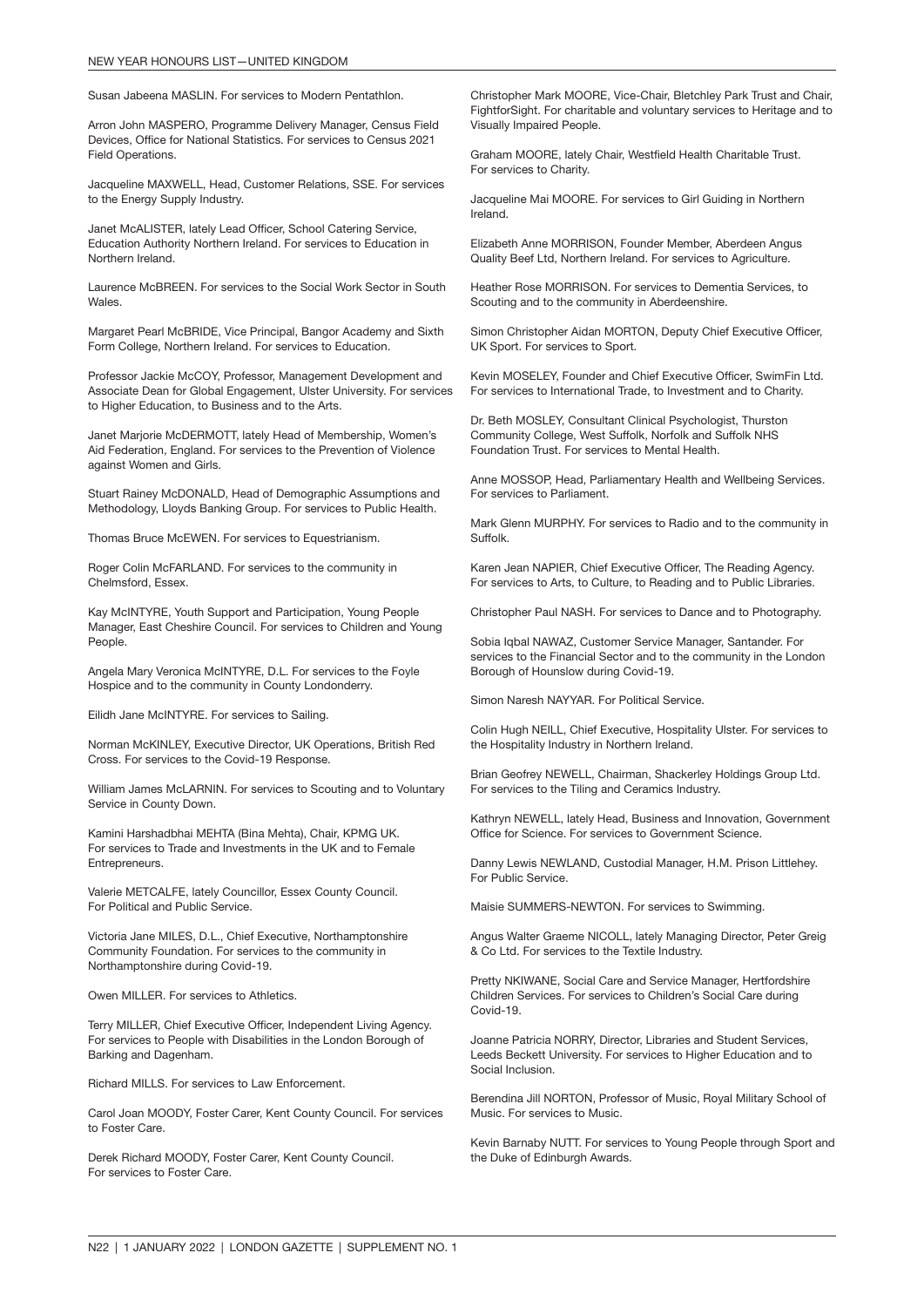Susan Jabeena MASLIN. For services to Modern Pentathlon.

Arron John MASPERO, Programme Delivery Manager, Census Field Devices, Office for National Statistics. For services to Census 2021 Field Operations.

Jacqueline MAXWELL, Head, Customer Relations, SSE. For services to the Energy Supply Industry.

Janet McALISTER, lately Lead Officer, School Catering Service, Education Authority Northern Ireland. For services to Education in Northern Ireland.

Laurence McBREEN. For services to the Social Work Sector in South Wales.

Margaret Pearl McBRIDE, Vice Principal, Bangor Academy and Sixth Form College, Northern Ireland. For services to Education.

Professor Jackie McCOY, Professor, Management Development and Associate Dean for Global Engagement, Ulster University. For services to Higher Education, to Business and to the Arts.

Janet Marjorie McDERMOTT, lately Head of Membership, Women's Aid Federation, England. For services to the Prevention of Violence against Women and Girls.

Stuart Rainey McDONALD, Head of Demographic Assumptions and Methodology, Lloyds Banking Group. For services to Public Health.

Thomas Bruce McEWEN. For services to Equestrianism.

Roger Colin McFARLAND. For services to the community in Chelmsford, Essex.

Kay McINTYRE, Youth Support and Participation, Young People Manager, East Cheshire Council. For services to Children and Young People.

Angela Mary Veronica McINTYRE, D.L. For services to the Foyle Hospice and to the community in County Londonderry.

Eilidh Jane McINTYRE. For services to Sailing.

Norman McKINLEY, Executive Director, UK Operations, British Red Cross. For services to the Covid-19 Response.

William James McLARNIN. For services to Scouting and to Voluntary Service in County Down.

Kamini Harshadbhai MEHTA (Bina Mehta), Chair, KPMG UK. For services to Trade and Investments in the UK and to Female Entrepreneurs.

Valerie METCALFE, lately Councillor, Essex County Council. For Political and Public Service.

Victoria Jane MILES, D.L., Chief Executive, Northamptonshire Community Foundation. For services to the community in Northamptonshire during Covid-19.

Owen MILLER. For services to Athletics.

Terry MILLER, Chief Executive Officer, Independent Living Agency. For services to People with Disabilities in the London Borough of Barking and Dagenham.

Richard MILLS. For services to Law Enforcement.

Carol Joan MOODY, Foster Carer, Kent County Council. For services to Foster Care.

Derek Richard MOODY, Foster Carer, Kent County Council. For services to Foster Care.

Christopher Mark MOORE, Vice-Chair, Bletchley Park Trust and Chair, FightforSight. For charitable and voluntary services to Heritage and to Visually Impaired People.

Graham MOORE, lately Chair, Westfield Health Charitable Trust. For services to Charity.

Jacqueline Mai MOORE. For services to Girl Guiding in Northern Ireland.

Elizabeth Anne MORRISON, Founder Member, Aberdeen Angus Quality Beef Ltd, Northern Ireland. For services to Agriculture.

Heather Rose MORRISON. For services to Dementia Services, to Scouting and to the community in Aberdeenshire.

Simon Christopher Aidan MORTON, Deputy Chief Executive Officer, UK Sport. For services to Sport.

Kevin MOSELEY, Founder and Chief Executive Officer, SwimFin Ltd. For services to International Trade, to Investment and to Charity.

Dr. Beth MOSLEY, Consultant Clinical Psychologist, Thurston Community College, West Suffolk, Norfolk and Suffolk NHS Foundation Trust. For services to Mental Health.

Anne MOSSOP, Head, Parliamentary Health and Wellbeing Services. For services to Parliament.

Mark Glenn MURPHY. For services to Radio and to the community in Suffolk.

Karen Jean NAPIER, Chief Executive Officer, The Reading Agency. For services to Arts, to Culture, to Reading and to Public Libraries.

Christopher Paul NASH. For services to Dance and to Photography.

Sobia Iqbal NAWAZ, Customer Service Manager, Santander. For services to the Financial Sector and to the community in the London Borough of Hounslow during Covid-19.

Simon Naresh NAYYAR. For Political Service.

Colin Hugh NEILL, Chief Executive, Hospitality Ulster. For services to the Hospitality Industry in Northern Ireland.

Brian Geofrey NEWELL, Chairman, Shackerley Holdings Group Ltd. For services to the Tiling and Ceramics Industry.

Kathryn NEWELL, lately Head, Business and Innovation, Government Office for Science. For services to Government Science.

Danny Lewis NEWLAND, Custodial Manager, H.M. Prison Littlehey. For Public Service.

Maisie SUMMERS-NEWTON. For services to Swimming.

Angus Walter Graeme NICOLL, lately Managing Director, Peter Greig & Co Ltd. For services to the Textile Industry.

Pretty NKIWANE, Social Care and Service Manager, Hertfordshire Children Services. For services to Children's Social Care during Covid-19.

Joanne Patricia NORRY, Director, Libraries and Student Services, Leeds Beckett University. For services to Higher Education and to Social Inclusion.

Berendina Jill NORTON, Professor of Music, Royal Military School of Music. For services to Music.

Kevin Barnaby NUTT. For services to Young People through Sport and the Duke of Edinburgh Awards.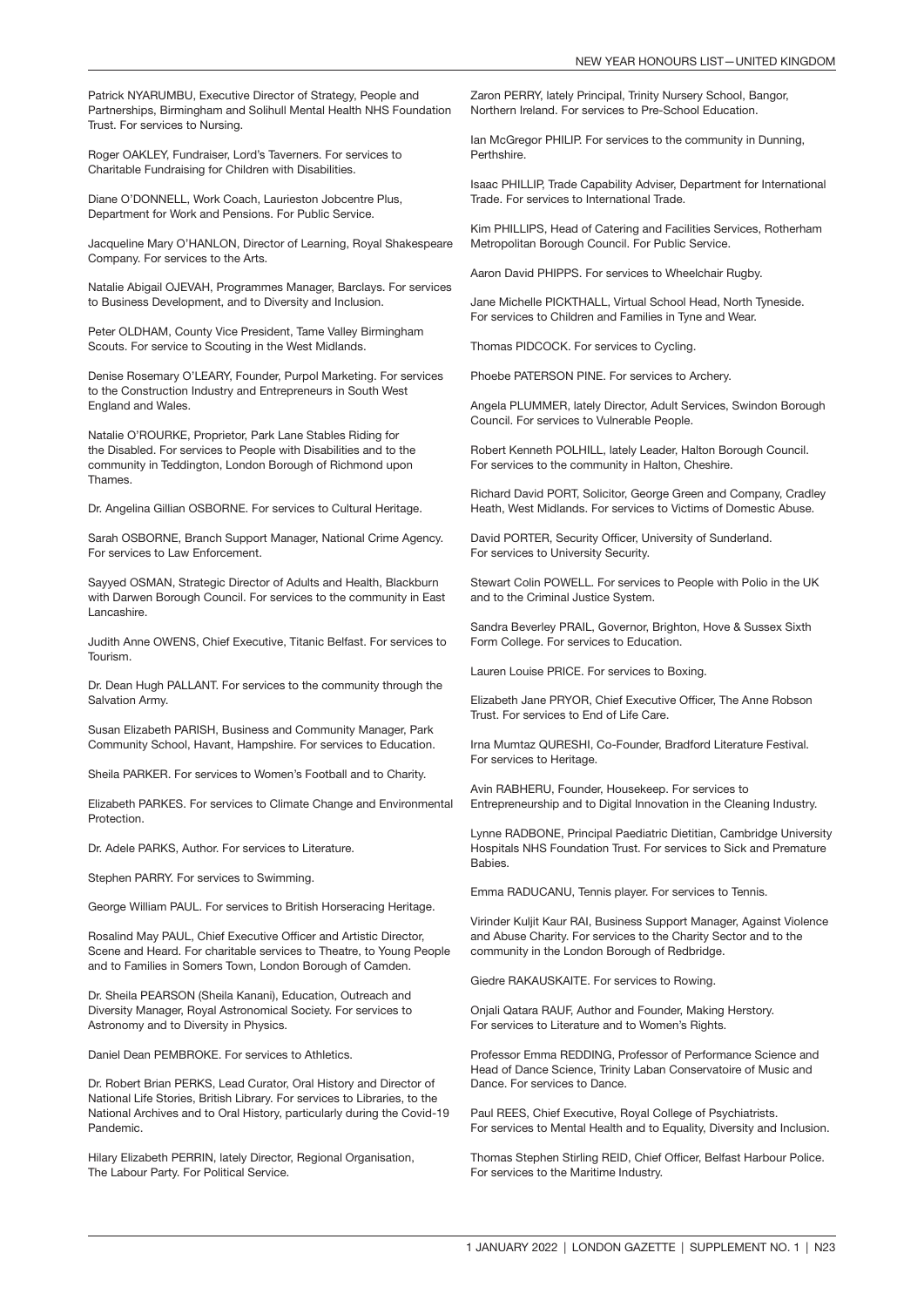Patrick NYARUMBU, Executive Director of Strategy, People and Partnerships, Birmingham and Solihull Mental Health NHS Foundation Trust. For services to Nursing.

Roger OAKLEY, Fundraiser, Lord's Taverners. For services to Charitable Fundraising for Children with Disabilities.

Diane O'DONNELL, Work Coach, Laurieston Jobcentre Plus, Department for Work and Pensions. For Public Service.

Jacqueline Mary O'HANLON, Director of Learning, Royal Shakespeare Company. For services to the Arts.

Natalie Abigail OJEVAH, Programmes Manager, Barclays. For services to Business Development, and to Diversity and Inclusion.

Peter OLDHAM, County Vice President, Tame Valley Birmingham Scouts. For service to Scouting in the West Midlands.

Denise Rosemary O'LEARY, Founder, Purpol Marketing. For services to the Construction Industry and Entrepreneurs in South West England and Wales.

Natalie O'ROURKE, Proprietor, Park Lane Stables Riding for the Disabled. For services to People with Disabilities and to the community in Teddington, London Borough of Richmond upon Thames.

Dr. Angelina Gillian OSBORNE. For services to Cultural Heritage.

Sarah OSBORNE, Branch Support Manager, National Crime Agency. For services to Law Enforcement.

Sayyed OSMAN, Strategic Director of Adults and Health, Blackburn with Darwen Borough Council. For services to the community in East Lancashire.

Judith Anne OWENS, Chief Executive, Titanic Belfast. For services to Tourism.

Dr. Dean Hugh PALLANT. For services to the community through the Salvation Army.

Susan Elizabeth PARISH, Business and Community Manager, Park Community School, Havant, Hampshire. For services to Education.

Sheila PARKER. For services to Women's Football and to Charity.

Elizabeth PARKES. For services to Climate Change and Environmental Protection.

Dr. Adele PARKS, Author. For services to Literature.

Stephen PARRY. For services to Swimming.

George William PAUL. For services to British Horseracing Heritage.

Rosalind May PAUL, Chief Executive Officer and Artistic Director, Scene and Heard. For charitable services to Theatre, to Young People and to Families in Somers Town, London Borough of Camden.

Dr. Sheila PEARSON (Sheila Kanani), Education, Outreach and Diversity Manager, Royal Astronomical Society. For services to Astronomy and to Diversity in Physics.

Daniel Dean PEMBROKE. For services to Athletics.

Dr. Robert Brian PERKS, Lead Curator, Oral History and Director of National Life Stories, British Library. For services to Libraries, to the National Archives and to Oral History, particularly during the Covid-19 Pandemic.

Hilary Elizabeth PERRIN, lately Director, Regional Organisation, The Labour Party. For Political Service.

Zaron PERRY, lately Principal, Trinity Nursery School, Bangor, Northern Ireland. For services to Pre-School Education.

Ian McGregor PHILIP. For services to the community in Dunning, Perthshire.

Isaac PHILLIP, Trade Capability Adviser, Department for International Trade. For services to International Trade.

Kim PHILLIPS, Head of Catering and Facilities Services, Rotherham Metropolitan Borough Council. For Public Service.

Aaron David PHIPPS. For services to Wheelchair Rugby.

Jane Michelle PICKTHALL, Virtual School Head, North Tyneside. For services to Children and Families in Tyne and Wear.

Thomas PIDCOCK. For services to Cycling.

Phoebe PATERSON PINE. For services to Archery.

Angela PLUMMER, lately Director, Adult Services, Swindon Borough Council. For services to Vulnerable People.

Robert Kenneth POLHILL, lately Leader, Halton Borough Council. For services to the community in Halton, Cheshire.

Richard David PORT, Solicitor, George Green and Company, Cradley Heath, West Midlands. For services to Victims of Domestic Abuse.

David PORTER, Security Officer, University of Sunderland. For services to University Security.

Stewart Colin POWELL. For services to People with Polio in the UK and to the Criminal Justice System.

Sandra Beverley PRAIL, Governor, Brighton, Hove & Sussex Sixth Form College. For services to Education.

Lauren Louise PRICE. For services to Boxing.

Elizabeth Jane PRYOR, Chief Executive Officer, The Anne Robson Trust. For services to End of Life Care.

Irna Mumtaz QURESHI, Co-Founder, Bradford Literature Festival. For services to Heritage.

Avin RABHERU, Founder, Housekeep. For services to Entrepreneurship and to Digital Innovation in the Cleaning Industry.

Lynne RADBONE, Principal Paediatric Dietitian, Cambridge University Hospitals NHS Foundation Trust. For services to Sick and Premature **Babies** 

Emma RADUCANU, Tennis player. For services to Tennis.

Virinder Kuljit Kaur RAI, Business Support Manager, Against Violence and Abuse Charity. For services to the Charity Sector and to the community in the London Borough of Redbridge.

Giedre RAKAUSKAITE. For services to Rowing.

Onjali Qatara RAUF, Author and Founder, Making Herstory. For services to Literature and to Women's Rights.

Professor Emma REDDING, Professor of Performance Science and Head of Dance Science, Trinity Laban Conservatoire of Music and Dance. For services to Dance.

Paul REES, Chief Executive, Royal College of Psychiatrists. For services to Mental Health and to Equality, Diversity and Inclusion.

Thomas Stephen Stirling REID, Chief Officer, Belfast Harbour Police. For services to the Maritime Industry.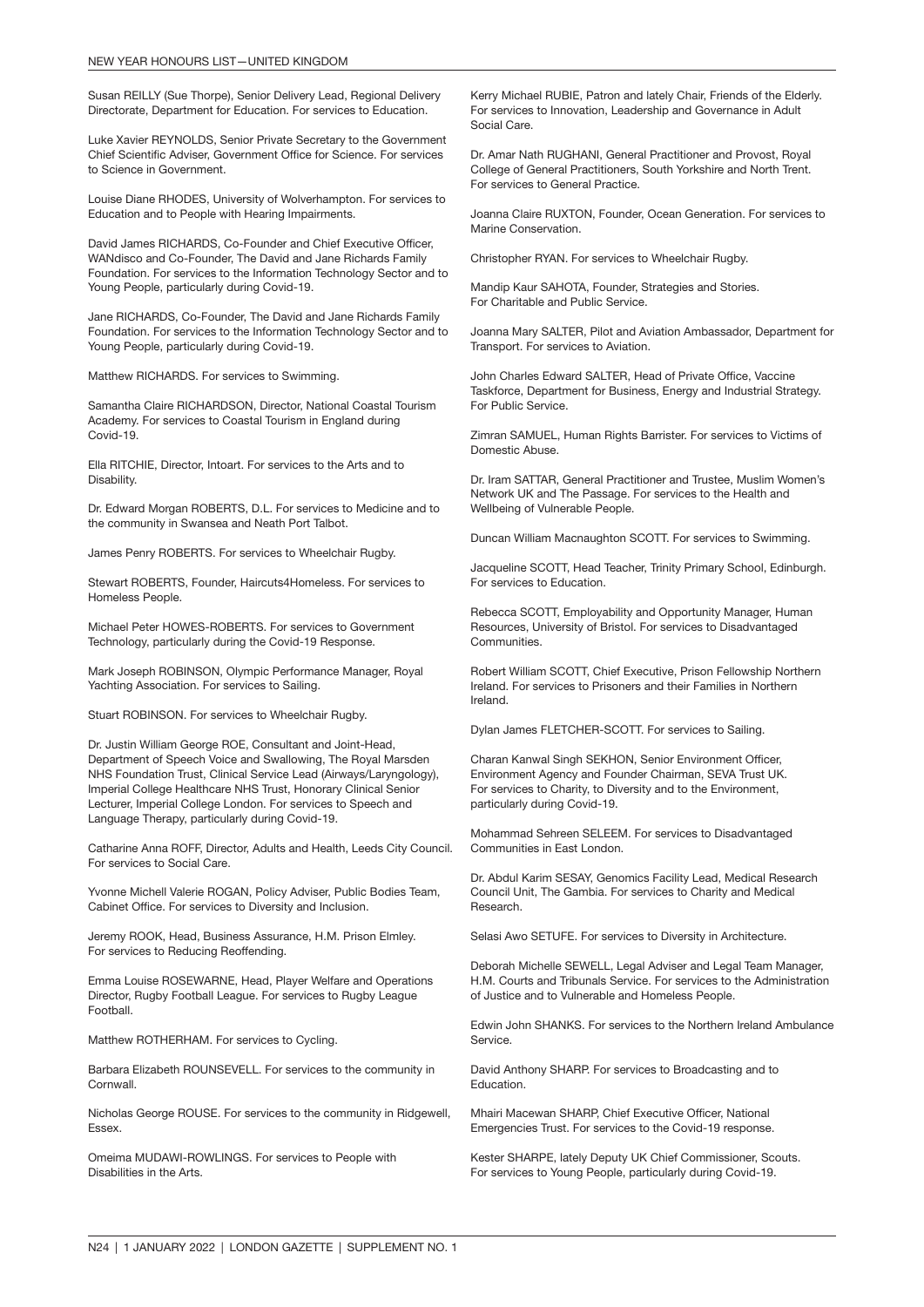Susan REILLY (Sue Thorpe), Senior Delivery Lead, Regional Delivery Directorate, Department for Education. For services to Education.

Luke Xavier REYNOLDS, Senior Private Secretary to the Government Chief Scientific Adviser, Government Office for Science. For services to Science in Government.

Louise Diane RHODES, University of Wolverhampton. For services to Education and to People with Hearing Impairments.

David James RICHARDS, Co-Founder and Chief Executive Officer, WANdisco and Co-Founder, The David and Jane Richards Family Foundation. For services to the Information Technology Sector and to Young People, particularly during Covid-19.

Jane RICHARDS, Co-Founder, The David and Jane Richards Family Foundation. For services to the Information Technology Sector and to Young People, particularly during Covid-19.

Matthew RICHARDS. For services to Swimming.

Samantha Claire RICHARDSON, Director, National Coastal Tourism Academy. For services to Coastal Tourism in England during Covid-19.

Ella RITCHIE, Director, Intoart. For services to the Arts and to Disability.

Dr. Edward Morgan ROBERTS, D.L. For services to Medicine and to the community in Swansea and Neath Port Talbot.

James Penry ROBERTS. For services to Wheelchair Rugby.

Stewart ROBERTS, Founder, Haircuts4Homeless. For services to Homeless People.

Michael Peter HOWES-ROBERTS. For services to Government Technology, particularly during the Covid-19 Response.

Mark Joseph ROBINSON, Olympic Performance Manager, Royal Yachting Association. For services to Sailing.

Stuart ROBINSON. For services to Wheelchair Rugby.

Dr. Justin William George ROE, Consultant and Joint-Head, Department of Speech Voice and Swallowing, The Royal Marsden NHS Foundation Trust, Clinical Service Lead (Airways/Laryngology), Imperial College Healthcare NHS Trust, Honorary Clinical Senior Lecturer, Imperial College London. For services to Speech and Language Therapy, particularly during Covid-19.

Catharine Anna ROFF, Director, Adults and Health, Leeds City Council. For services to Social Care.

Yvonne Michell Valerie ROGAN, Policy Adviser, Public Bodies Team, Cabinet Office. For services to Diversity and Inclusion.

Jeremy ROOK, Head, Business Assurance, H.M. Prison Elmley. For services to Reducing Reoffending.

Emma Louise ROSEWARNE, Head, Player Welfare and Operations Director, Rugby Football League. For services to Rugby League Football.

Matthew ROTHERHAM. For services to Cycling.

Barbara Elizabeth ROUNSEVELL. For services to the community in Cornwall.

Nicholas George ROUSE. For services to the community in Ridgewell, Essex.

Omeima MUDAWI-ROWLINGS. For services to People with Disabilities in the Arts.

Kerry Michael RUBIE, Patron and lately Chair, Friends of the Elderly. For services to Innovation, Leadership and Governance in Adult Social Care.

Dr. Amar Nath RUGHANI, General Practitioner and Provost, Royal College of General Practitioners, South Yorkshire and North Trent. For services to General Practice.

Joanna Claire RUXTON, Founder, Ocean Generation. For services to Marine Conservation.

Christopher RYAN. For services to Wheelchair Rugby.

Mandip Kaur SAHOTA, Founder, Strategies and Stories. For Charitable and Public Service.

Joanna Mary SALTER, Pilot and Aviation Ambassador, Department for Transport. For services to Aviation.

John Charles Edward SALTER, Head of Private Office, Vaccine Taskforce, Department for Business, Energy and Industrial Strategy. For Public Service.

Zimran SAMUEL, Human Rights Barrister. For services to Victims of Domestic Abuse.

Dr. Iram SATTAR, General Practitioner and Trustee, Muslim Women's Network UK and The Passage. For services to the Health and Wellbeing of Vulnerable People.

Duncan William Macnaughton SCOTT. For services to Swimming.

Jacqueline SCOTT, Head Teacher, Trinity Primary School, Edinburgh. For services to Education.

Rebecca SCOTT, Employability and Opportunity Manager, Human Resources, University of Bristol. For services to Disadvantaged Communities.

Robert William SCOTT, Chief Executive, Prison Fellowship Northern Ireland. For services to Prisoners and their Families in Northern Ireland.

Dylan James FLETCHER-SCOTT. For services to Sailing.

Charan Kanwal Singh SEKHON, Senior Environment Officer, Environment Agency and Founder Chairman, SEVA Trust UK. For services to Charity, to Diversity and to the Environment, particularly during Covid-19.

Mohammad Sehreen SELEEM. For services to Disadvantaged Communities in East London.

Dr. Abdul Karim SESAY, Genomics Facility Lead, Medical Research Council Unit, The Gambia. For services to Charity and Medical Research.

Selasi Awo SETUFE. For services to Diversity in Architecture.

Deborah Michelle SEWELL, Legal Adviser and Legal Team Manager, H.M. Courts and Tribunals Service. For services to the Administration of Justice and to Vulnerable and Homeless People.

Edwin John SHANKS. For services to the Northern Ireland Ambulance Service.

David Anthony SHARP. For services to Broadcasting and to Education.

Mhairi Macewan SHARP, Chief Executive Officer, National Emergencies Trust. For services to the Covid-19 response.

Kester SHARPE, lately Deputy UK Chief Commissioner, Scouts. For services to Young People, particularly during Covid-19.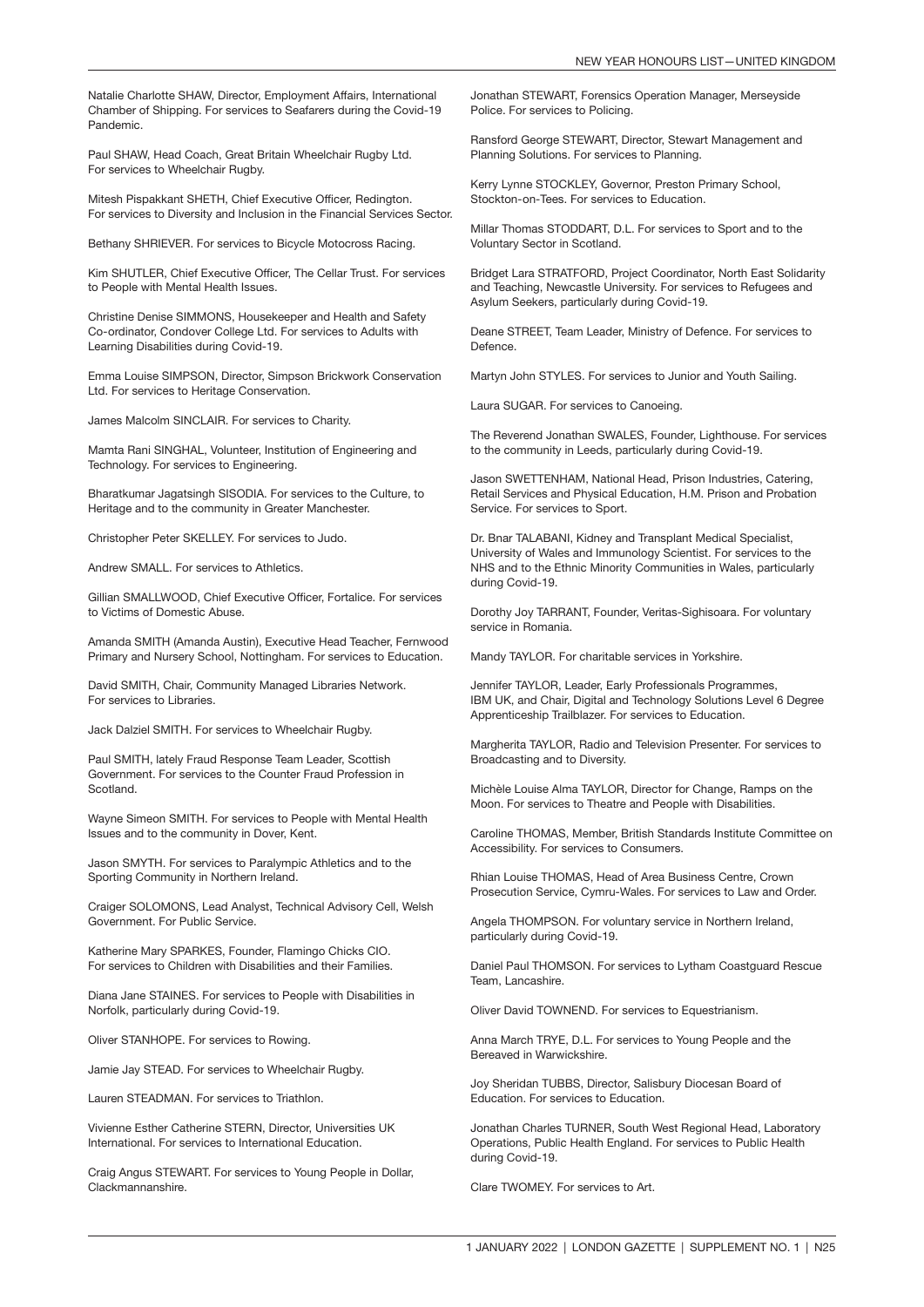Natalie Charlotte SHAW, Director, Employment Affairs, International Chamber of Shipping. For services to Seafarers during the Covid-19 Pandemic.

Paul SHAW, Head Coach, Great Britain Wheelchair Rugby Ltd. For services to Wheelchair Rugby.

Mitesh Pispakkant SHETH, Chief Executive Officer, Redington. For services to Diversity and Inclusion in the Financial Services Sector.

Bethany SHRIEVER. For services to Bicycle Motocross Racing.

Kim SHUTLER, Chief Executive Officer, The Cellar Trust. For services to People with Mental Health Issues.

Christine Denise SIMMONS, Housekeeper and Health and Safety Co-ordinator, Condover College Ltd. For services to Adults with Learning Disabilities during Covid-19.

Emma Louise SIMPSON, Director, Simpson Brickwork Conservation Ltd. For services to Heritage Conservation.

James Malcolm SINCLAIR. For services to Charity.

Mamta Rani SINGHAL, Volunteer, Institution of Engineering and Technology. For services to Engineering.

Bharatkumar Jagatsingh SISODIA. For services to the Culture, to Heritage and to the community in Greater Manchester.

Christopher Peter SKELLEY. For services to Judo.

Andrew SMALL. For services to Athletics.

Gillian SMALLWOOD, Chief Executive Officer, Fortalice. For services to Victims of Domestic Abuse.

Amanda SMITH (Amanda Austin), Executive Head Teacher, Fernwood Primary and Nursery School, Nottingham. For services to Education.

David SMITH, Chair, Community Managed Libraries Network. For services to Libraries.

Jack Dalziel SMITH. For services to Wheelchair Rugby.

Paul SMITH, lately Fraud Response Team Leader, Scottish Government. For services to the Counter Fraud Profession in Scotland.

Wayne Simeon SMITH. For services to People with Mental Health Issues and to the community in Dover, Kent.

Jason SMYTH. For services to Paralympic Athletics and to the Sporting Community in Northern Ireland.

Craiger SOLOMONS, Lead Analyst, Technical Advisory Cell, Welsh Government. For Public Service.

Katherine Mary SPARKES, Founder, Flamingo Chicks CIO. For services to Children with Disabilities and their Families.

Diana Jane STAINES. For services to People with Disabilities in Norfolk, particularly during Covid-19.

Oliver STANHOPE. For services to Rowing.

Jamie Jay STEAD. For services to Wheelchair Rugby.

Lauren STEADMAN. For services to Triathlon.

Vivienne Esther Catherine STERN, Director, Universities UK International. For services to International Education.

Craig Angus STEWART. For services to Young People in Dollar, Clackmannanshire.

Jonathan STEWART, Forensics Operation Manager, Merseyside Police. For services to Policing.

Ransford George STEWART, Director, Stewart Management and Planning Solutions. For services to Planning.

Kerry Lynne STOCKLEY, Governor, Preston Primary School Stockton-on-Tees. For services to Education.

Millar Thomas STODDART, D.L. For services to Sport and to the Voluntary Sector in Scotland.

Bridget Lara STRATFORD, Project Coordinator, North East Solidarity and Teaching, Newcastle University. For services to Refugees and Asylum Seekers, particularly during Covid-19.

Deane STREET, Team Leader, Ministry of Defence. For services to Defence.

Martyn John STYLES. For services to Junior and Youth Sailing.

Laura SUGAR. For services to Canoeing.

The Reverend Jonathan SWALES, Founder, Lighthouse. For services to the community in Leeds, particularly during Covid-19.

Jason SWETTENHAM, National Head, Prison Industries, Catering, Retail Services and Physical Education, H.M. Prison and Probation Service. For services to Sport.

Dr. Bnar TALABANI, Kidney and Transplant Medical Specialist, University of Wales and Immunology Scientist. For services to the NHS and to the Ethnic Minority Communities in Wales, particularly during Covid-19.

Dorothy Joy TARRANT, Founder, Veritas-Sighisoara. For voluntary service in Romania.

Mandy TAYLOR. For charitable services in Yorkshire.

Jennifer TAYLOR, Leader, Early Professionals Programmes, IBM UK, and Chair, Digital and Technology Solutions Level 6 Degree Apprenticeship Trailblazer. For services to Education.

Margherita TAYLOR, Radio and Television Presenter. For services to Broadcasting and to Diversity.

Michèle Louise Alma TAYLOR, Director for Change, Ramps on the Moon. For services to Theatre and People with Disabilities.

Caroline THOMAS, Member, British Standards Institute Committee on Accessibility. For services to Consumers.

Rhian Louise THOMAS, Head of Area Business Centre, Crown Prosecution Service, Cymru-Wales. For services to Law and Order.

Angela THOMPSON. For voluntary service in Northern Ireland, particularly during Covid-19.

Daniel Paul THOMSON. For services to Lytham Coastguard Rescue Team, Lancashire.

Oliver David TOWNEND. For services to Equestrianism.

Anna March TRYE, D.L. For services to Young People and the Bereaved in Warwickshire.

Joy Sheridan TUBBS, Director, Salisbury Diocesan Board of Education. For services to Education.

Jonathan Charles TURNER, South West Regional Head, Laboratory Operations, Public Health England. For services to Public Health during Covid-19.

Clare TWOMEY. For services to Art.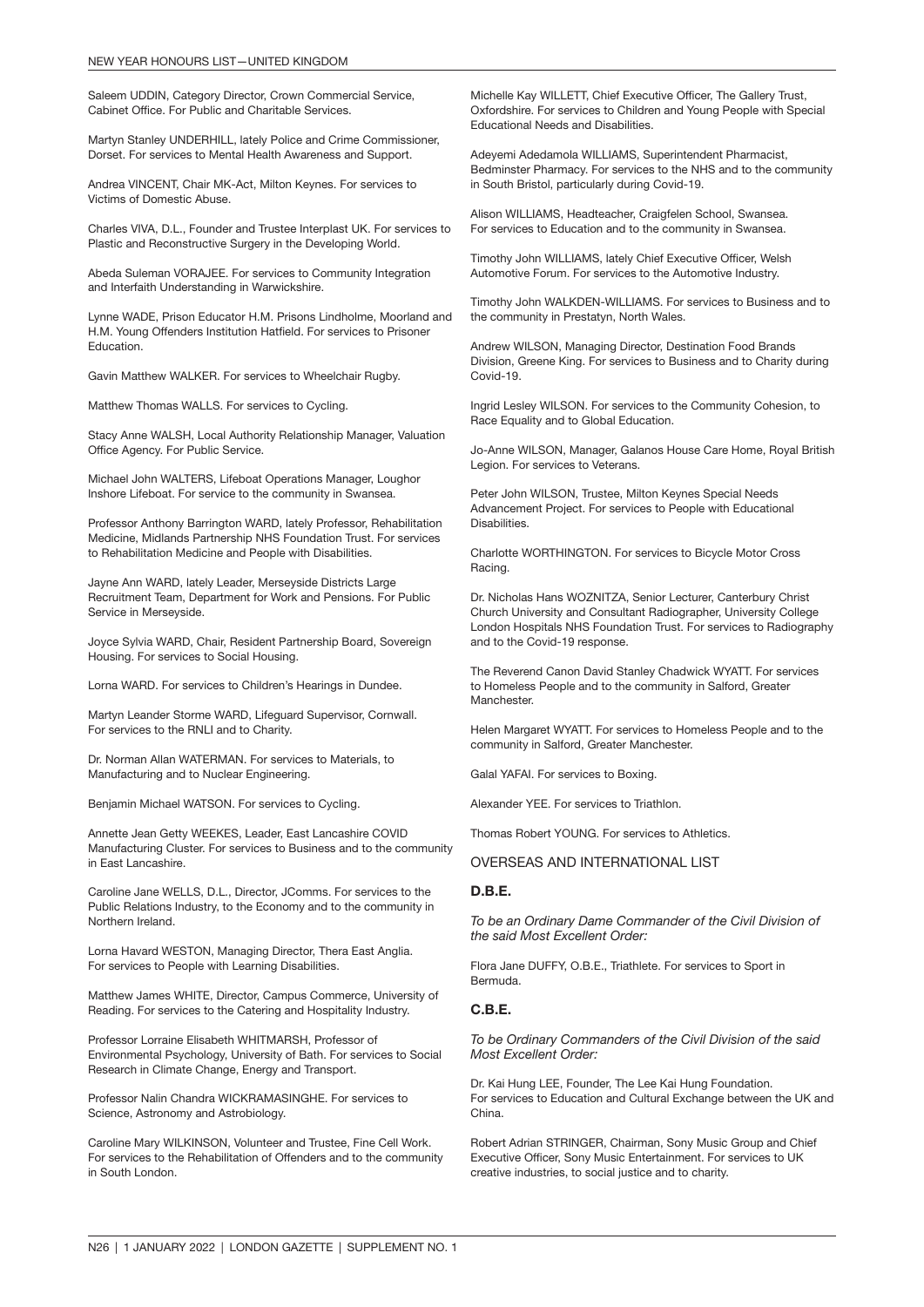Saleem UDDIN, Category Director, Crown Commercial Service, Cabinet Office. For Public and Charitable Services.

Martyn Stanley UNDERHILL, lately Police and Crime Commissioner, Dorset. For services to Mental Health Awareness and Support.

Andrea VINCENT, Chair MK-Act, Milton Keynes. For services to Victims of Domestic Abuse.

Charles VIVA, D.L., Founder and Trustee Interplast UK. For services to Plastic and Reconstructive Surgery in the Developing World.

Abeda Suleman VORAJEE. For services to Community Integration and Interfaith Understanding in Warwickshire.

Lynne WADE, Prison Educator H.M. Prisons Lindholme, Moorland and H.M. Young Offenders Institution Hatfield. For services to Prisoner Education.

Gavin Matthew WALKER. For services to Wheelchair Rugby.

Matthew Thomas WALLS. For services to Cycling.

Stacy Anne WALSH, Local Authority Relationship Manager, Valuation Office Agency. For Public Service.

Michael John WALTERS, Lifeboat Operations Manager, Loughor Inshore Lifeboat. For service to the community in Swansea.

Professor Anthony Barrington WARD, lately Professor, Rehabilitation Medicine, Midlands Partnership NHS Foundation Trust. For services to Rehabilitation Medicine and People with Disabilities.

Jayne Ann WARD, lately Leader, Merseyside Districts Large Recruitment Team, Department for Work and Pensions. For Public Service in Merseyside.

Joyce Sylvia WARD, Chair, Resident Partnership Board, Sovereign Housing. For services to Social Housing.

Lorna WARD. For services to Children's Hearings in Dundee.

Martyn Leander Storme WARD, Lifeguard Supervisor, Cornwall. For services to the RNLI and to Charity.

Dr. Norman Allan WATERMAN. For services to Materials, to Manufacturing and to Nuclear Engineering.

Benjamin Michael WATSON. For services to Cycling.

Annette Jean Getty WEEKES, Leader, East Lancashire COVID Manufacturing Cluster. For services to Business and to the community in East Lancashire.

Caroline Jane WELLS, D.L., Director, JComms. For services to the Public Relations Industry, to the Economy and to the community in Northern Ireland.

Lorna Havard WESTON, Managing Director, Thera East Anglia. For services to People with Learning Disabilities.

Matthew James WHITE, Director, Campus Commerce, University of Reading. For services to the Catering and Hospitality Industry.

Professor Lorraine Elisabeth WHITMARSH, Professor of Environmental Psychology, University of Bath. For services to Social Research in Climate Change, Energy and Transport.

Professor Nalin Chandra WICKRAMASINGHE. For services to Science, Astronomy and Astrobiology.

Caroline Mary WILKINSON, Volunteer and Trustee, Fine Cell Work. For services to the Rehabilitation of Offenders and to the community in South London.

Michelle Kay WILLETT, Chief Executive Officer, The Gallery Trust, Oxfordshire. For services to Children and Young People with Special Educational Needs and Disabilities.

Adeyemi Adedamola WILLIAMS, Superintendent Pharmacist, Bedminster Pharmacy. For services to the NHS and to the community in South Bristol, particularly during Covid-19.

Alison WILLIAMS, Headteacher, Craigfelen School, Swansea. For services to Education and to the community in Swansea.

Timothy John WILLIAMS, lately Chief Executive Officer, Welsh Automotive Forum. For services to the Automotive Industry.

Timothy John WALKDEN-WILLIAMS. For services to Business and to the community in Prestatyn, North Wales.

Andrew WILSON, Managing Director, Destination Food Brands Division, Greene King. For services to Business and to Charity during Covid-19.

Ingrid Lesley WILSON. For services to the Community Cohesion, to Race Equality and to Global Education.

Jo-Anne WILSON, Manager, Galanos House Care Home, Royal British Legion. For services to Veterans.

Peter John WILSON, Trustee, Milton Keynes Special Needs Advancement Project. For services to People with Educational Disabilities.

Charlotte WORTHINGTON. For services to Bicycle Motor Cross Racing.

Dr. Nicholas Hans WOZNITZA, Senior Lecturer, Canterbury Christ Church University and Consultant Radiographer, University College London Hospitals NHS Foundation Trust. For services to Radiography and to the Covid-19 response.

The Reverend Canon David Stanley Chadwick WYATT. For services to Homeless People and to the community in Salford, Greater Manchester.

Helen Margaret WYATT. For services to Homeless People and to the community in Salford, Greater Manchester.

Galal YAFAI. For services to Boxing.

Alexander YEE. For services to Triathlon.

Thomas Robert YOUNG. For services to Athletics.

OVERSEAS AND INTERNATIONAL LIST

#### D.B.E.

*To be an Ordinary Dame Commander of the Civil Division of the said Most Excellent Order:*

Flora Jane DUFFY, O.B.E., Triathlete. For services to Sport in Bermuda.

#### C.B.E.

*To be Ordinary Commanders of the Civil Division of the said Most Excellent Order:*

Dr. Kai Hung LEE, Founder, The Lee Kai Hung Foundation. For services to Education and Cultural Exchange between the UK and China.

Robert Adrian STRINGER, Chairman, Sony Music Group and Chief Executive Officer, Sony Music Entertainment. For services to UK creative industries, to social justice and to charity.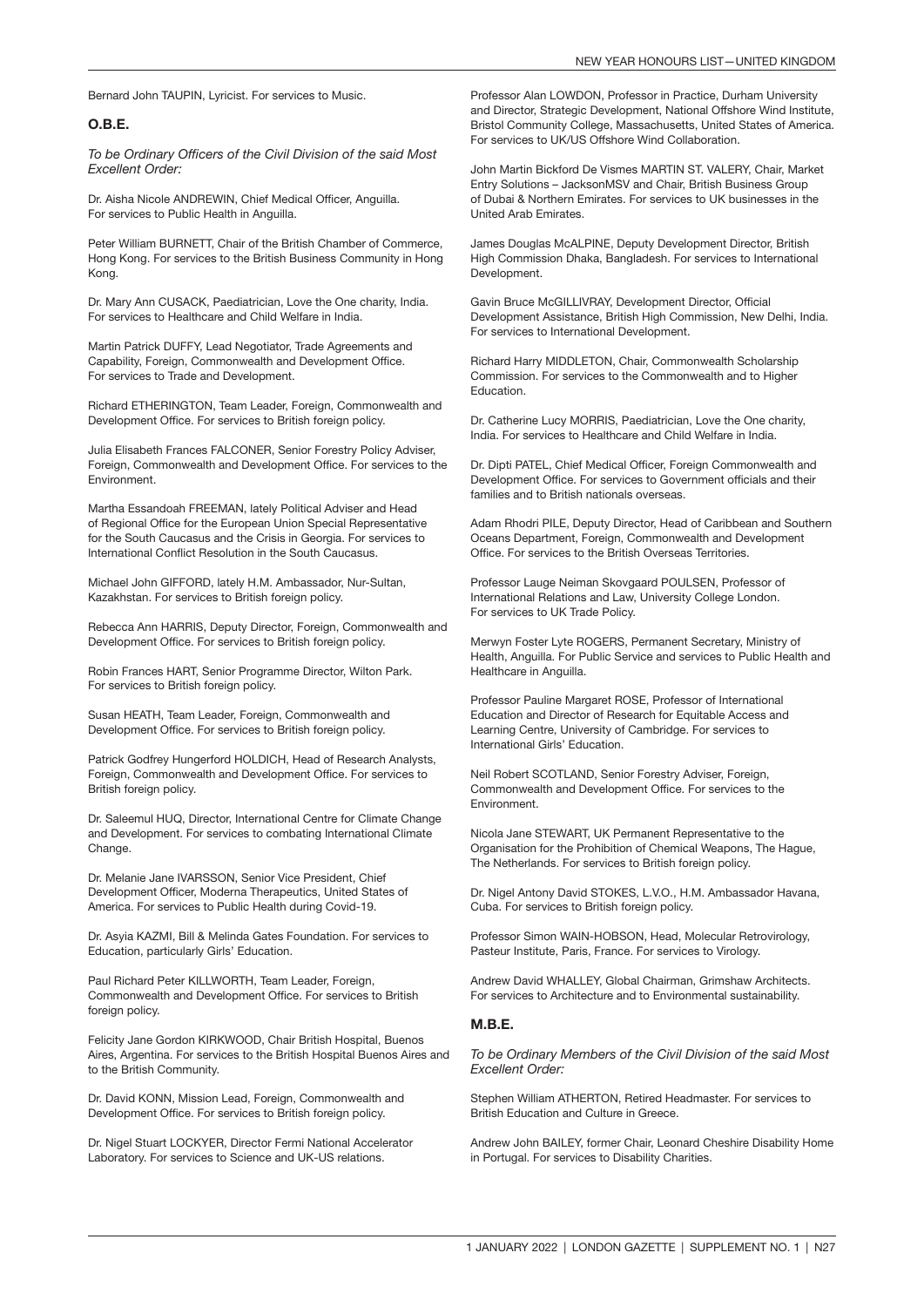Bernard John TAUPIN, Lyricist. For services to Music.

#### O.B.E.

*To be Ordinary Officers of the Civil Division of the said Most Excellent Order:*

Dr. Aisha Nicole ANDREWIN, Chief Medical Officer, Anguilla. For services to Public Health in Anguilla.

Peter William BURNETT, Chair of the British Chamber of Commerce, Hong Kong. For services to the British Business Community in Hong Kong.

Dr. Mary Ann CUSACK, Paediatrician, Love the One charity, India. For services to Healthcare and Child Welfare in India.

Martin Patrick DUFFY, Lead Negotiator, Trade Agreements and Capability, Foreign, Commonwealth and Development Office. For services to Trade and Development.

Richard ETHERINGTON, Team Leader, Foreign, Commonwealth and Development Office. For services to British foreign policy.

Julia Elisabeth Frances FALCONER, Senior Forestry Policy Adviser, Foreign, Commonwealth and Development Office. For services to the Environment.

Martha Essandoah FREEMAN, lately Political Adviser and Head of Regional Office for the European Union Special Representative for the South Caucasus and the Crisis in Georgia. For services to International Conflict Resolution in the South Caucasus.

Michael John GIFFORD, lately H.M. Ambassador, Nur-Sultan, Kazakhstan. For services to British foreign policy.

Rebecca Ann HARRIS, Deputy Director, Foreign, Commonwealth and Development Office. For services to British foreign policy.

Robin Frances HART, Senior Programme Director, Wilton Park. For services to British foreign policy.

Susan HEATH, Team Leader, Foreign, Commonwealth and Development Office. For services to British foreign policy.

Patrick Godfrey Hungerford HOLDICH, Head of Research Analysts, Foreign, Commonwealth and Development Office. For services to British foreign policy.

Dr. Saleemul HUQ, Director, International Centre for Climate Change and Development. For services to combating International Climate Change.

Dr. Melanie Jane IVARSSON, Senior Vice President, Chief Development Officer, Moderna Therapeutics, United States of America. For services to Public Health during Covid-19.

Dr. Asyia KAZMI, Bill & Melinda Gates Foundation. For services to Education, particularly Girls' Education.

Paul Richard Peter KILLWORTH, Team Leader, Foreign, Commonwealth and Development Office. For services to British foreign policy.

Felicity Jane Gordon KIRKWOOD, Chair British Hospital, Buenos Aires, Argentina. For services to the British Hospital Buenos Aires and to the British Community.

Dr. David KONN, Mission Lead, Foreign, Commonwealth and Development Office. For services to British foreign policy.

Dr. Nigel Stuart LOCKYER, Director Fermi National Accelerator Laboratory. For services to Science and UK-US relations.

Professor Alan LOWDON, Professor in Practice, Durham University and Director, Strategic Development, National Offshore Wind Institute, Bristol Community College, Massachusetts, United States of America. For services to UK/US Offshore Wind Collaboration.

John Martin Bickford De Vismes MARTIN ST. VALERY, Chair, Market Entry Solutions – JacksonMSV and Chair, British Business Group of Dubai & Northern Emirates. For services to UK businesses in the United Arab Emirates.

James Douglas McALPINE, Deputy Development Director, British High Commission Dhaka, Bangladesh. For services to International Development.

Gavin Bruce McGILLIVRAY, Development Director, Official Development Assistance, British High Commission, New Delhi, India. For services to International Development.

Richard Harry MIDDLETON, Chair, Commonwealth Scholarship Commission. For services to the Commonwealth and to Higher Education.

Dr. Catherine Lucy MORRIS, Paediatrician, Love the One charity, India. For services to Healthcare and Child Welfare in India.

Dr. Dipti PATEL, Chief Medical Officer, Foreign Commonwealth and Development Office. For services to Government officials and their families and to British nationals overseas.

Adam Rhodri PILE, Deputy Director, Head of Caribbean and Southern Oceans Department, Foreign, Commonwealth and Development Office. For services to the British Overseas Territories.

Professor Lauge Neiman Skovgaard POULSEN, Professor of International Relations and Law, University College London. For services to UK Trade Policy.

Merwyn Foster Lyte ROGERS, Permanent Secretary, Ministry of Health, Anguilla. For Public Service and services to Public Health and Healthcare in Anguilla.

Professor Pauline Margaret ROSE, Professor of International Education and Director of Research for Equitable Access and Learning Centre, University of Cambridge. For services to International Girls' Education.

Neil Robert SCOTLAND, Senior Forestry Adviser, Foreign, Commonwealth and Development Office. For services to the Environment.

Nicola Jane STEWART, UK Permanent Representative to the Organisation for the Prohibition of Chemical Weapons, The Hague, The Netherlands. For services to British foreign policy.

Dr. Nigel Antony David STOKES, L.V.O., H.M. Ambassador Havana, Cuba. For services to British foreign policy.

Professor Simon WAIN-HOBSON, Head, Molecular Retrovirology, Pasteur Institute, Paris, France. For services to Virology.

Andrew David WHALLEY, Global Chairman, Grimshaw Architects. For services to Architecture and to Environmental sustainability.

#### MRF.

*To be Ordinary Members of the Civil Division of the said Most Excellent Order:*

Stephen William ATHERTON, Retired Headmaster. For services to British Education and Culture in Greece.

Andrew John BAILEY, former Chair, Leonard Cheshire Disability Home in Portugal. For services to Disability Charities.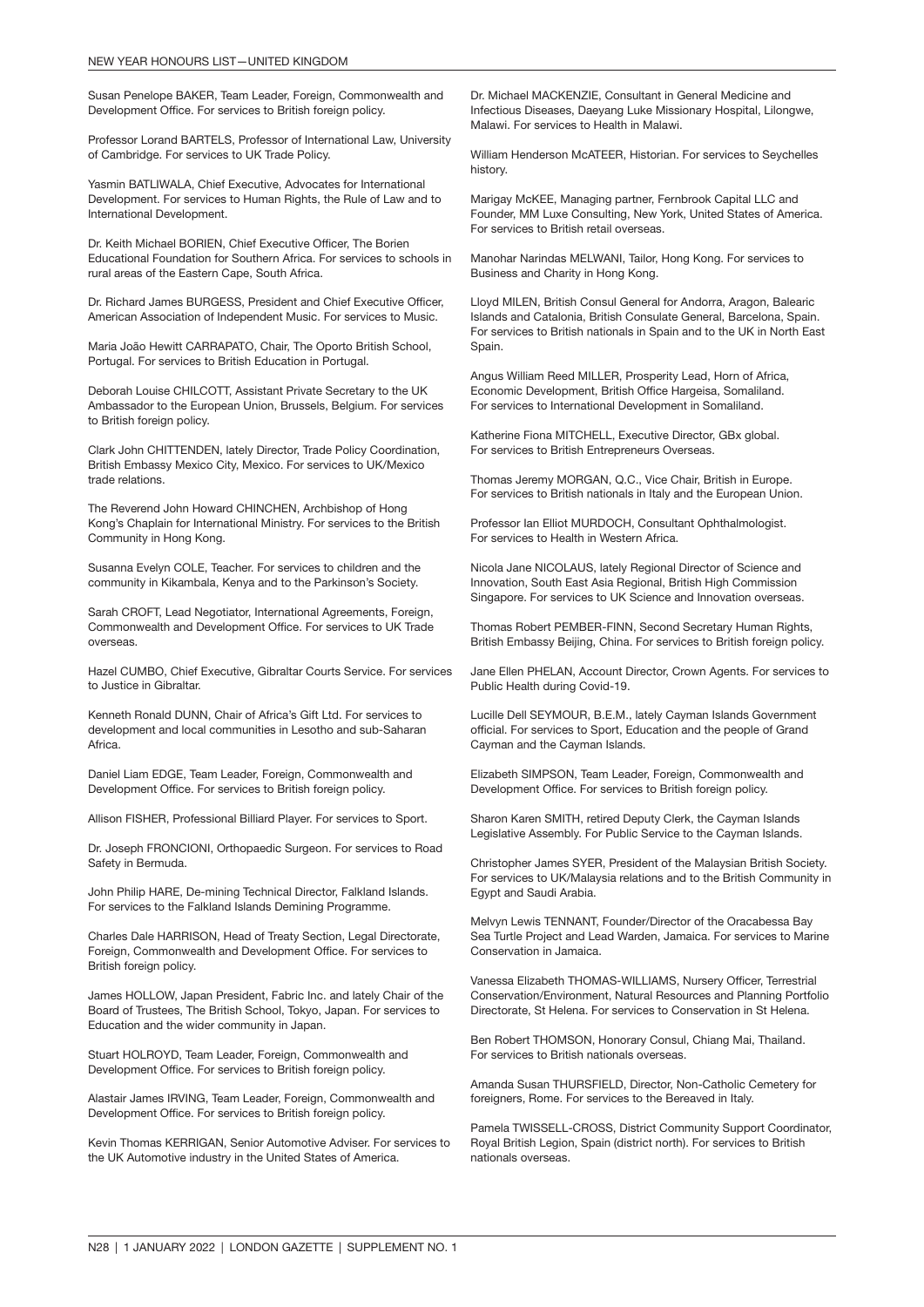Susan Penelope BAKER, Team Leader, Foreign, Commonwealth and Development Office. For services to British foreign policy.

Professor Lorand BARTELS, Professor of International Law, University of Cambridge. For services to UK Trade Policy.

Yasmin BATLIWALA, Chief Executive, Advocates for International Development. For services to Human Rights, the Rule of Law and to International Development.

Dr. Keith Michael BORIEN, Chief Executive Officer, The Borien Educational Foundation for Southern Africa. For services to schools in rural areas of the Eastern Cape, South Africa.

Dr. Richard James BURGESS, President and Chief Executive Officer, American Association of Independent Music. For services to Music.

Maria João Hewitt CARRAPATO, Chair, The Oporto British School, Portugal. For services to British Education in Portugal.

Deborah Louise CHILCOTT, Assistant Private Secretary to the UK Ambassador to the European Union, Brussels, Belgium. For services to British foreign policy.

Clark John CHITTENDEN, lately Director, Trade Policy Coordination, British Embassy Mexico City, Mexico. For services to UK/Mexico trade relations.

The Reverend John Howard CHINCHEN, Archbishop of Hong Kong's Chaplain for International Ministry. For services to the British Community in Hong Kong.

Susanna Evelyn COLE, Teacher. For services to children and the community in Kikambala, Kenya and to the Parkinson's Society.

Sarah CROFT, Lead Negotiator, International Agreements, Foreign, Commonwealth and Development Office. For services to UK Trade overseas.

Hazel CUMBO, Chief Executive, Gibraltar Courts Service. For services to Justice in Gibraltar.

Kenneth Ronald DUNN, Chair of Africa's Gift Ltd. For services to development and local communities in Lesotho and sub-Saharan Africa.

Daniel Liam EDGE, Team Leader, Foreign, Commonwealth and Development Office. For services to British foreign policy.

Allison FISHER, Professional Billiard Player. For services to Sport.

Dr. Joseph FRONCIONI, Orthopaedic Surgeon. For services to Road Safety in Bermuda.

John Philip HARE, De-mining Technical Director, Falkland Islands. For services to the Falkland Islands Demining Programme.

Charles Dale HARRISON, Head of Treaty Section, Legal Directorate, Foreign, Commonwealth and Development Office. For services to British foreign policy.

James HOLLOW, Japan President, Fabric Inc. and lately Chair of the Board of Trustees, The British School, Tokyo, Japan. For services to Education and the wider community in Japan.

Stuart HOLROYD, Team Leader, Foreign, Commonwealth and Development Office. For services to British foreign policy.

Alastair James IRVING, Team Leader, Foreign, Commonwealth and Development Office. For services to British foreign policy.

Kevin Thomas KERRIGAN, Senior Automotive Adviser. For services to the UK Automotive industry in the United States of America.

Dr. Michael MACKENZIE, Consultant in General Medicine and Infectious Diseases, Daeyang Luke Missionary Hospital, Lilongwe, Malawi. For services to Health in Malawi.

William Henderson McATEER, Historian. For services to Seychelles history.

Marigay McKEE, Managing partner, Fernbrook Capital LLC and Founder, MM Luxe Consulting, New York, United States of America. For services to British retail overseas.

Manohar Narindas MELWANI, Tailor, Hong Kong. For services to Business and Charity in Hong Kong.

Lloyd MILEN, British Consul General for Andorra, Aragon, Balearic Islands and Catalonia, British Consulate General, Barcelona, Spain. For services to British nationals in Spain and to the UK in North East Spain.

Angus William Reed MILLER, Prosperity Lead, Horn of Africa, Economic Development, British Office Hargeisa, Somaliland. For services to International Development in Somaliland.

Katherine Fiona MITCHELL, Executive Director, GBx global. For services to British Entrepreneurs Overseas.

Thomas Jeremy MORGAN, Q.C., Vice Chair, British in Europe. For services to British nationals in Italy and the European Union.

Professor Ian Elliot MURDOCH, Consultant Ophthalmologist. For services to Health in Western Africa.

Nicola Jane NICOLAUS, lately Regional Director of Science and Innovation, South East Asia Regional, British High Commission Singapore. For services to UK Science and Innovation overseas.

Thomas Robert PEMBER-FINN, Second Secretary Human Rights, British Embassy Beijing, China. For services to British foreign policy.

Jane Ellen PHELAN, Account Director, Crown Agents. For services to Public Health during Covid-19.

Lucille Dell SEYMOUR, B.E.M., lately Cayman Islands Government official. For services to Sport, Education and the people of Grand Cayman and the Cayman Islands.

Elizabeth SIMPSON, Team Leader, Foreign, Commonwealth and Development Office. For services to British foreign policy.

Sharon Karen SMITH, retired Deputy Clerk, the Cayman Islands Legislative Assembly. For Public Service to the Cayman Islands.

Christopher James SYER, President of the Malaysian British Society. For services to UK/Malaysia relations and to the British Community in Egypt and Saudi Arabia.

Melvyn Lewis TENNANT, Founder/Director of the Oracabessa Bay Sea Turtle Project and Lead Warden, Jamaica. For services to Marine Conservation in Jamaica.

Vanessa Elizabeth THOMAS-WILLIAMS, Nursery Officer, Terrestrial Conservation/Environment, Natural Resources and Planning Portfolio Directorate, St Helena. For services to Conservation in St Helena.

Ben Robert THOMSON, Honorary Consul, Chiang Mai, Thailand. For services to British nationals overseas.

Amanda Susan THURSFIELD, Director, Non-Catholic Cemetery for foreigners. Rome. For services to the Bereaved in Italy.

Pamela TWISSELL-CROSS, District Community Support Coordinator, Royal British Legion, Spain (district north). For services to British nationals overseas.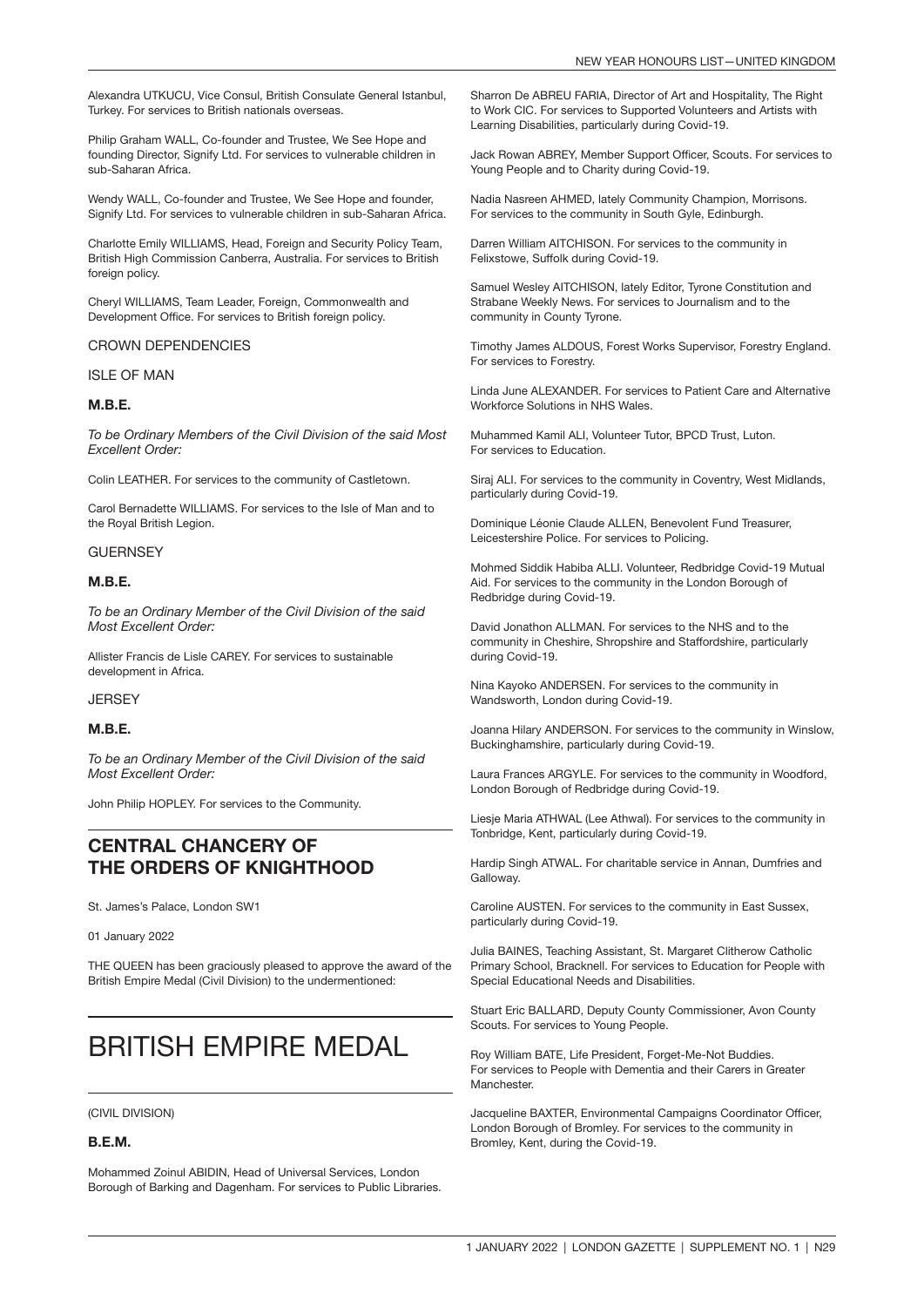Alexandra UTKUCU, Vice Consul, British Consulate General Istanbul, Turkey. For services to British nationals overseas.

Philip Graham WALL, Co-founder and Trustee, We See Hope and founding Director, Signify Ltd. For services to vulnerable children in sub-Saharan Africa.

Wendy WALL, Co-founder and Trustee, We See Hope and founder, Signify Ltd. For services to vulnerable children in sub-Saharan Africa.

Charlotte Emily WILLIAMS, Head, Foreign and Security Policy Team, British High Commission Canberra, Australia. For services to British foreign policy.

Cheryl WILLIAMS, Team Leader, Foreign, Commonwealth and Development Office. For services to British foreign policy.

#### CROWN DEPENDENCIES

#### ISLE OF MAN

#### M.B.E.

*To be Ordinary Members of the Civil Division of the said Most Excellent Order:*

Colin LEATHER. For services to the community of Castletown.

Carol Bernadette WILLIAMS. For services to the Isle of Man and to the Royal British Legion.

#### **GUERNSEY**

#### M.B.E.

*To be an Ordinary Member of the Civil Division of the said Most Excellent Order:*

Allister Francis de Lisle CAREY. For services to sustainable development in Africa.

**JERSEY** 

#### M.B.E.

*To be an Ordinary Member of the Civil Division of the said Most Excellent Order:*

John Philip HOPLEY. For services to the Community.

### CENTRAL CHANCERY OF THE ORDERS OF KNIGHTHOOD

St. James's Palace, London SW1

01 January 2022

THE QUEEN has been graciously pleased to approve the award of the British Empire Medal (Civil Division) to the undermentioned:

## BRITISH EMPIRE MEDAL

#### (CIVIL DIVISION)

#### B.E.M.

Mohammed Zoinul ABIDIN, Head of Universal Services, London Borough of Barking and Dagenham. For services to Public Libraries.

Sharron De ABREU FARIA, Director of Art and Hospitality, The Right to Work CIC. For services to Supported Volunteers and Artists with Learning Disabilities, particularly during Covid-19.

Jack Rowan ABREY, Member Support Officer, Scouts. For services to Young People and to Charity during Covid-19.

Nadia Nasreen AHMED, lately Community Champion, Morrisons. For services to the community in South Gyle, Edinburgh.

Darren William AITCHISON. For services to the community in Felixstowe, Suffolk during Covid-19.

Samuel Wesley AITCHISON, lately Editor, Tyrone Constitution and Strabane Weekly News. For services to Journalism and to the community in County Tyrone.

Timothy James ALDOUS, Forest Works Supervisor, Forestry England. For services to Forestry.

Linda June ALEXANDER. For services to Patient Care and Alternative Workforce Solutions in NHS Wales.

Muhammed Kamil ALI, Volunteer Tutor, BPCD Trust, Luton. For services to Education.

Siraj ALI. For services to the community in Coventry, West Midlands, particularly during Covid-19.

Dominique Léonie Claude ALLEN, Benevolent Fund Treasurer, Leicestershire Police. For services to Policing.

Mohmed Siddik Habiba ALLI. Volunteer, Redbridge Covid-19 Mutual Aid. For services to the community in the London Borough of Redbridge during Covid-19.

David Jonathon ALLMAN. For services to the NHS and to the community in Cheshire, Shropshire and Staffordshire, particularly during Covid-19.

Nina Kayoko ANDERSEN. For services to the community in Wandsworth, London during Covid-19.

Joanna Hilary ANDERSON. For services to the community in Winslow, Buckinghamshire, particularly during Covid-19.

Laura Frances ARGYLE. For services to the community in Woodford, London Borough of Redbridge during Covid-19.

Liesje Maria ATHWAL (Lee Athwal). For services to the community in Tonbridge, Kent, particularly during Covid-19.

Hardip Singh ATWAL. For charitable service in Annan, Dumfries and Galloway.

Caroline AUSTEN. For services to the community in East Sussex, particularly during Covid-19.

Julia BAINES, Teaching Assistant, St. Margaret Clitherow Catholic Primary School, Bracknell. For services to Education for People with Special Educational Needs and Disabilities.

Stuart Eric BALLARD, Deputy County Commissioner, Avon County Scouts. For services to Young People.

Roy William BATE, Life President, Forget-Me-Not Buddies. For services to People with Dementia and their Carers in Greater **Manchester** 

Jacqueline BAXTER, Environmental Campaigns Coordinator Officer, London Borough of Bromley. For services to the community in Bromley, Kent, during the Covid-19.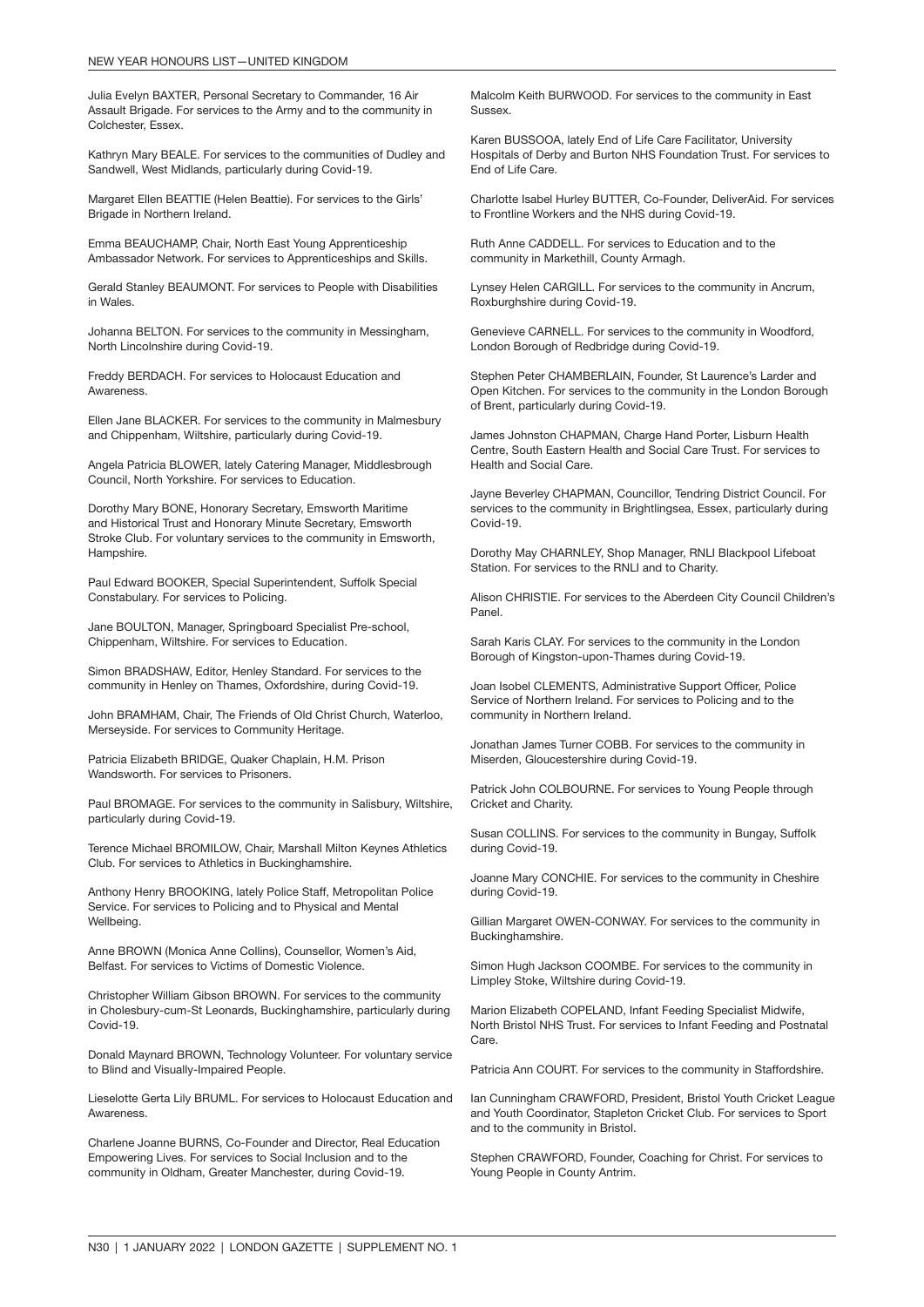Julia Evelyn BAXTER, Personal Secretary to Commander, 16 Air Assault Brigade. For services to the Army and to the community in Colchester, Essex.

Kathryn Mary BEALE. For services to the communities of Dudley and Sandwell, West Midlands, particularly during Covid-19.

Margaret Ellen BEATTIE (Helen Beattie). For services to the Girls' Brigade in Northern Ireland.

Emma BEAUCHAMP, Chair, North East Young Apprenticeship Ambassador Network. For services to Apprenticeships and Skills.

Gerald Stanley BEAUMONT. For services to People with Disabilities in Wales.

Johanna BELTON. For services to the community in Messingham, North Lincolnshire during Covid-19.

Freddy BERDACH. For services to Holocaust Education and **Awareness** 

Ellen Jane BLACKER. For services to the community in Malmesbury and Chippenham, Wiltshire, particularly during Covid-19.

Angela Patricia BLOWER, lately Catering Manager, Middlesbrough Council, North Yorkshire. For services to Education.

Dorothy Mary BONE, Honorary Secretary, Emsworth Maritime and Historical Trust and Honorary Minute Secretary, Emsworth Stroke Club. For voluntary services to the community in Emsworth, Hampshire.

Paul Edward BOOKER, Special Superintendent, Suffolk Special Constabulary. For services to Policing.

Jane BOULTON, Manager, Springboard Specialist Pre-school, Chippenham, Wiltshire. For services to Education.

Simon BRADSHAW, Editor, Henley Standard. For services to the community in Henley on Thames, Oxfordshire, during Covid-19.

John BRAMHAM, Chair, The Friends of Old Christ Church, Waterloo, Merseyside. For services to Community Heritage.

Patricia Elizabeth BRIDGE, Quaker Chaplain, H.M. Prison Wandsworth. For services to Prisoners.

Paul BROMAGE. For services to the community in Salisbury, Wiltshire, particularly during Covid-19.

Terence Michael BROMILOW, Chair, Marshall Milton Keynes Athletics Club. For services to Athletics in Buckinghamshire.

Anthony Henry BROOKING, lately Police Staff, Metropolitan Police Service. For services to Policing and to Physical and Mental **Wellbeing** 

Anne BROWN (Monica Anne Collins), Counsellor, Women's Aid, Belfast. For services to Victims of Domestic Violence.

Christopher William Gibson BROWN. For services to the community in Cholesbury-cum-St Leonards, Buckinghamshire, particularly during Covid-19.

Donald Maynard BROWN, Technology Volunteer. For voluntary service to Blind and Visually-Impaired People.

Lieselotte Gerta Lily BRUML. For services to Holocaust Education and Awareness.

Charlene Joanne BURNS, Co-Founder and Director, Real Education Empowering Lives. For services to Social Inclusion and to the community in Oldham, Greater Manchester, during Covid-19.

Malcolm Keith BURWOOD. For services to the community in East **Sussex** 

Karen BUSSOOA, lately End of Life Care Facilitator, University Hospitals of Derby and Burton NHS Foundation Trust. For services to End of Life Care.

Charlotte Isabel Hurley BUTTER, Co-Founder, DeliverAid. For services to Frontline Workers and the NHS during Covid-19.

Ruth Anne CADDELL. For services to Education and to the community in Markethill, County Armagh.

Lynsey Helen CARGILL. For services to the community in Ancrum, Roxburghshire during Covid-19.

Genevieve CARNELL. For services to the community in Woodford, London Borough of Redbridge during Covid-19.

Stephen Peter CHAMBERLAIN, Founder, St Laurence's Larder and Open Kitchen. For services to the community in the London Borough of Brent, particularly during Covid-19.

James Johnston CHAPMAN, Charge Hand Porter, Lisburn Health Centre, South Eastern Health and Social Care Trust. For services to Health and Social Care.

Jayne Beverley CHAPMAN, Councillor, Tendring District Council. For services to the community in Brightlingsea, Essex, particularly during Covid-19.

Dorothy May CHARNLEY, Shop Manager, RNLI Blackpool Lifeboat Station. For services to the RNLI and to Charity.

Alison CHRISTIE. For services to the Aberdeen City Council Children's Panel.

Sarah Karis CLAY. For services to the community in the London Borough of Kingston-upon-Thames during Covid-19.

Joan Isobel CLEMENTS, Administrative Support Officer, Police Service of Northern Ireland. For services to Policing and to the community in Northern Ireland.

Jonathan James Turner COBB. For services to the community in Miserden, Gloucestershire during Covid-19.

Patrick John COLBOURNE. For services to Young People through Cricket and Charity.

Susan COLLINS. For services to the community in Bungay, Suffolk during Covid-19.

Joanne Mary CONCHIE. For services to the community in Cheshire during Covid-19.

Gillian Margaret OWEN-CONWAY. For services to the community in Buckinghamshire.

Simon Hugh Jackson COOMBE. For services to the community in Limpley Stoke, Wiltshire during Covid-19.

Marion Elizabeth COPELAND, Infant Feeding Specialist Midwife, North Bristol NHS Trust. For services to Infant Feeding and Postnatal Care.

Patricia Ann COURT. For services to the community in Staffordshire.

Ian Cunningham CRAWFORD, President, Bristol Youth Cricket League and Youth Coordinator, Stapleton Cricket Club. For services to Sport and to the community in Bristol.

Stephen CRAWFORD, Founder, Coaching for Christ. For services to Young People in County Antrim.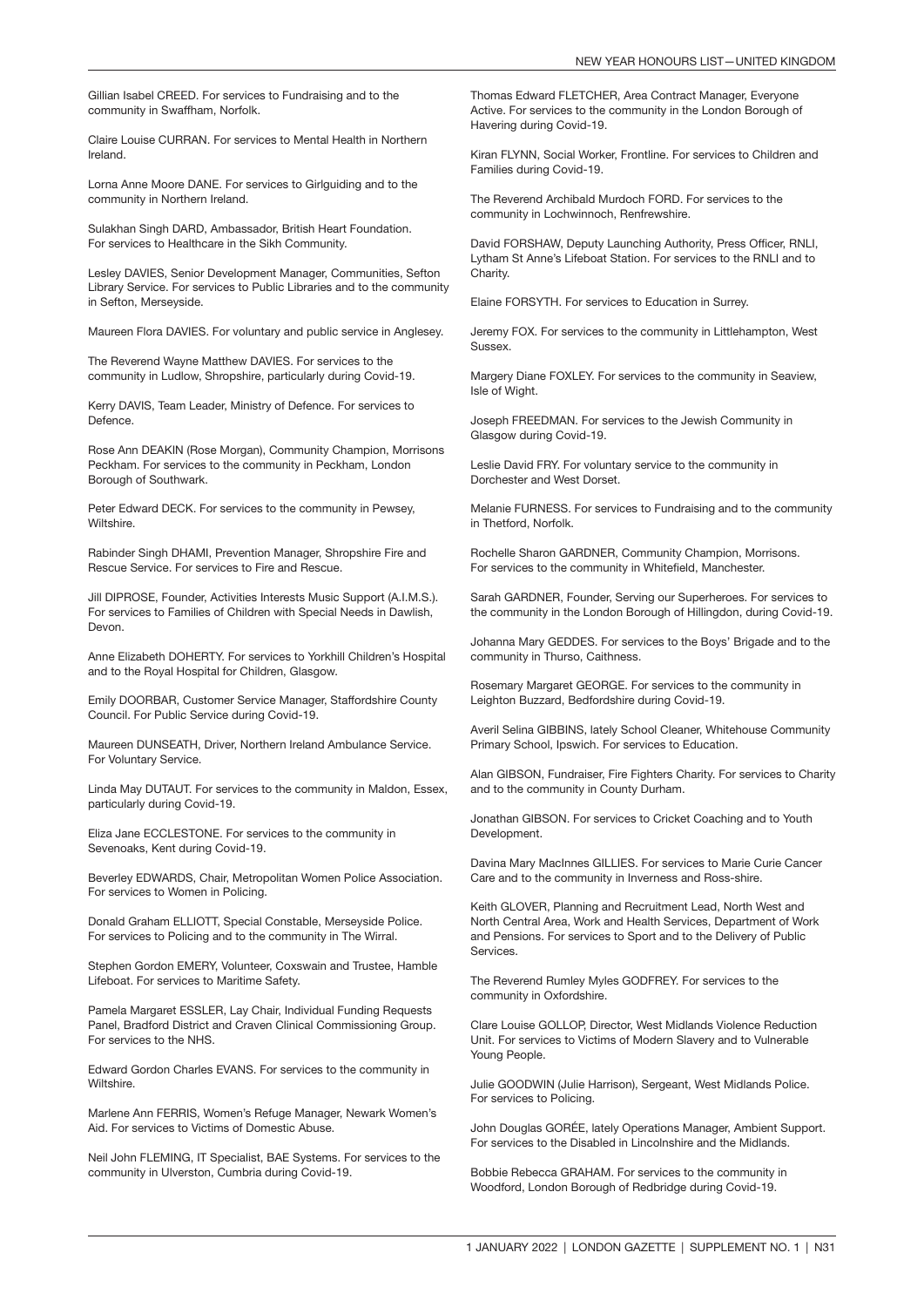Gillian Isabel CREED. For services to Fundraising and to the community in Swaffham, Norfolk.

Claire Louise CURRAN. For services to Mental Health in Northern Ireland.

Lorna Anne Moore DANE. For services to Girlguiding and to the community in Northern Ireland.

Sulakhan Singh DARD, Ambassador, British Heart Foundation. For services to Healthcare in the Sikh Community.

Lesley DAVIES, Senior Development Manager, Communities, Sefton Library Service. For services to Public Libraries and to the community in Sefton, Merseyside.

Maureen Flora DAVIES. For voluntary and public service in Anglesey.

The Reverend Wayne Matthew DAVIES. For services to the community in Ludlow, Shropshire, particularly during Covid-19.

Kerry DAVIS, Team Leader, Ministry of Defence. For services to Defence.

Rose Ann DEAKIN (Rose Morgan), Community Champion, Morrisons Peckham. For services to the community in Peckham, London Borough of Southwark.

Peter Edward DECK. For services to the community in Pewsey, Wiltshire.

Rabinder Singh DHAMI, Prevention Manager, Shropshire Fire and Rescue Service. For services to Fire and Rescue.

Jill DIPROSE, Founder, Activities Interests Music Support (A.I.M.S.). For services to Families of Children with Special Needs in Dawlish, Devon.

Anne Elizabeth DOHERTY. For services to Yorkhill Children's Hospital and to the Royal Hospital for Children, Glasgow.

Emily DOORBAR, Customer Service Manager, Staffordshire County Council. For Public Service during Covid-19.

Maureen DUNSEATH, Driver, Northern Ireland Ambulance Service. For Voluntary Service.

Linda May DUTAUT. For services to the community in Maldon, Essex, particularly during Covid-19.

Eliza Jane ECCLESTONE. For services to the community in Sevenoaks, Kent during Covid-19.

Beverley EDWARDS, Chair, Metropolitan Women Police Association. For services to Women in Policing.

Donald Graham ELLIOTT, Special Constable, Merseyside Police. For services to Policing and to the community in The Wirral.

Stephen Gordon EMERY, Volunteer, Coxswain and Trustee, Hamble Lifeboat. For services to Maritime Safety.

Pamela Margaret ESSLER, Lay Chair, Individual Funding Requests Panel, Bradford District and Craven Clinical Commissioning Group. For services to the NHS.

Edward Gordon Charles EVANS. For services to the community in Wiltshire.

Marlene Ann FERRIS, Women's Refuge Manager, Newark Women's Aid. For services to Victims of Domestic Abuse.

Neil John FLEMING, IT Specialist, BAE Systems. For services to the community in Ulverston, Cumbria during Covid-19.

Thomas Edward FLETCHER, Area Contract Manager, Everyone Active. For services to the community in the London Borough of Havering during Covid-19.

Kiran FLYNN, Social Worker, Frontline. For services to Children and Families during Covid-19.

The Reverend Archibald Murdoch FORD. For services to the community in Lochwinnoch, Renfrewshire.

David FORSHAW, Deputy Launching Authority, Press Officer, RNLI, Lytham St Anne's Lifeboat Station. For services to the RNLI and to Charity.

Elaine FORSYTH. For services to Education in Surrey.

Jeremy FOX. For services to the community in Littlehampton, West Sussex.

Margery Diane FOXLEY. For services to the community in Seaview, Isle of Wight.

Joseph FREEDMAN. For services to the Jewish Community in Glasgow during Covid-19.

Leslie David FRY. For voluntary service to the community in Dorchester and West Dorset.

Melanie FURNESS. For services to Fundraising and to the community in Thetford, Norfolk.

Rochelle Sharon GARDNER, Community Champion, Morrisons. For services to the community in Whitefield, Manchester.

Sarah GARDNER, Founder, Serving our Superheroes. For services to the community in the London Borough of Hillingdon, during Covid-19.

Johanna Mary GEDDES. For services to the Boys' Brigade and to the community in Thurso, Caithness.

Rosemary Margaret GEORGE. For services to the community in Leighton Buzzard, Bedfordshire during Covid-19.

Averil Selina GIBBINS, lately School Cleaner, Whitehouse Community Primary School, Ipswich. For services to Education.

Alan GIBSON, Fundraiser, Fire Fighters Charity. For services to Charity and to the community in County Durham.

Jonathan GIBSON. For services to Cricket Coaching and to Youth Development.

Davina Mary MacInnes GILLIES. For services to Marie Curie Cancer Care and to the community in Inverness and Ross-shire.

Keith GLOVER, Planning and Recruitment Lead, North West and North Central Area, Work and Health Services, Department of Work and Pensions. For services to Sport and to the Delivery of Public **Services** 

The Reverend Rumley Myles GODFREY. For services to the community in Oxfordshire.

Clare Louise GOLLOP, Director, West Midlands Violence Reduction Unit. For services to Victims of Modern Slavery and to Vulnerable Young People.

Julie GOODWIN (Julie Harrison), Sergeant, West Midlands Police. For services to Policing.

John Douglas GORÉE, lately Operations Manager, Ambient Support. For services to the Disabled in Lincolnshire and the Midlands.

Bobbie Rebecca GRAHAM. For services to the community in Woodford, London Borough of Redbridge during Covid-19.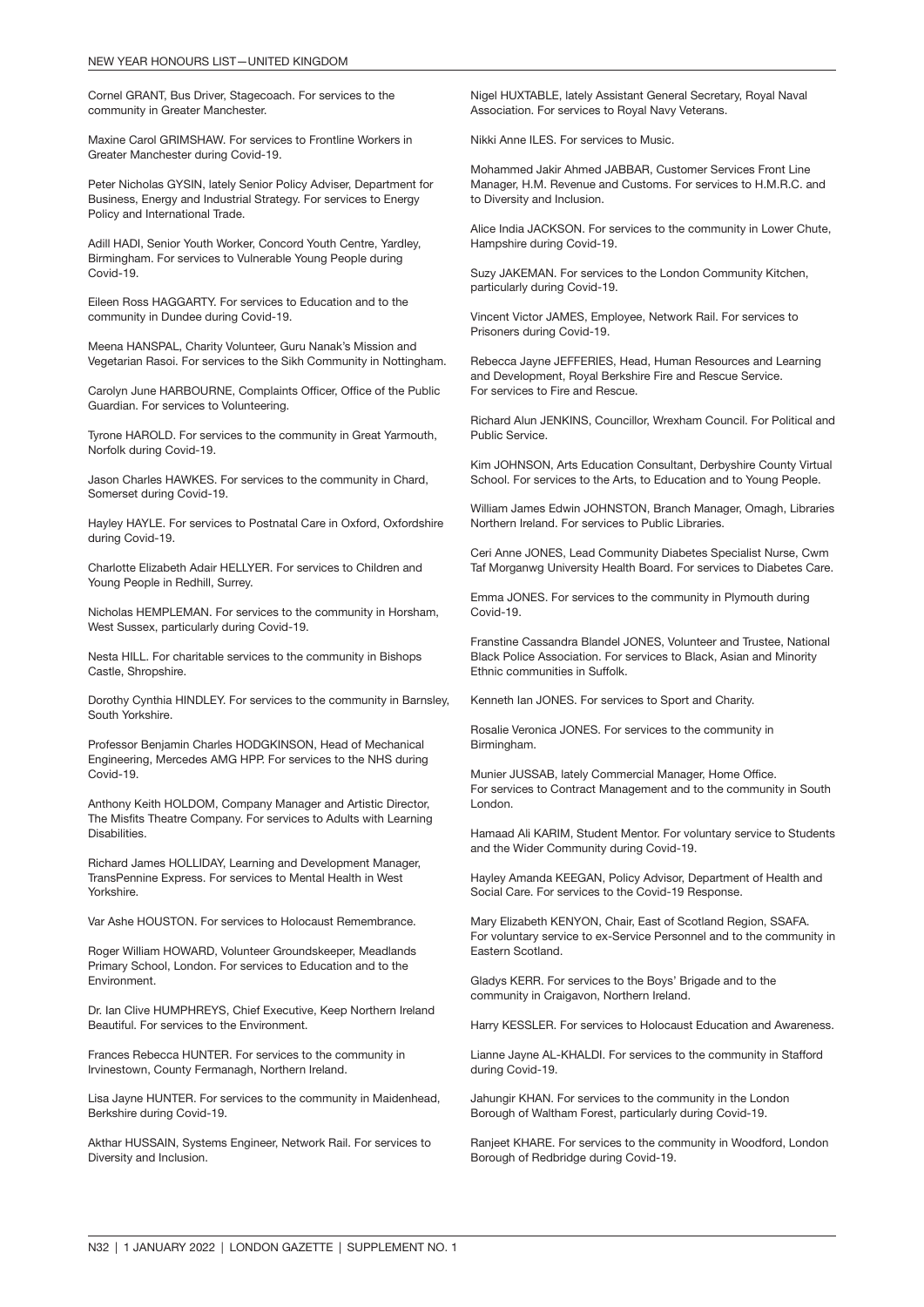Cornel GRANT, Bus Driver, Stagecoach. For services to the community in Greater Manchester.

Maxine Carol GRIMSHAW. For services to Frontline Workers in Greater Manchester during Covid-19.

Peter Nicholas GYSIN, lately Senior Policy Adviser, Department for Business, Energy and Industrial Strategy. For services to Energy Policy and International Trade.

Adill HADI, Senior Youth Worker, Concord Youth Centre, Yardley, Birmingham. For services to Vulnerable Young People during Covid-19.

Eileen Ross HAGGARTY. For services to Education and to the community in Dundee during Covid-19.

Meena HANSPAL, Charity Volunteer, Guru Nanak's Mission and Vegetarian Rasoi. For services to the Sikh Community in Nottingham.

Carolyn June HARBOURNE, Complaints Officer, Office of the Public Guardian. For services to Volunteering.

Tyrone HAROLD. For services to the community in Great Yarmouth, Norfolk during Covid-19.

Jason Charles HAWKES. For services to the community in Chard, Somerset during Covid-19.

Hayley HAYLE. For services to Postnatal Care in Oxford, Oxfordshire during Covid-19.

Charlotte Elizabeth Adair HELLYER. For services to Children and Young People in Redhill, Surrey.

Nicholas HEMPLEMAN. For services to the community in Horsham, West Sussex, particularly during Covid-19.

Nesta HILL. For charitable services to the community in Bishops Castle, Shropshire.

Dorothy Cynthia HINDLEY. For services to the community in Barnsley, South Yorkshire.

Professor Benjamin Charles HODGKINSON, Head of Mechanical Engineering, Mercedes AMG HPP. For services to the NHS during Covid-19.

Anthony Keith HOLDOM, Company Manager and Artistic Director, The Misfits Theatre Company. For services to Adults with Learning Disabilities.

Richard James HOLLIDAY, Learning and Development Manager, TransPennine Express. For services to Mental Health in West Yorkshire.

Var Ashe HOUSTON. For services to Holocaust Remembrance.

Roger William HOWARD, Volunteer Groundskeeper, Meadlands Primary School, London. For services to Education and to the Environment.

Dr. Ian Clive HUMPHREYS, Chief Executive, Keep Northern Ireland Beautiful. For services to the Environment.

Frances Rebecca HUNTER. For services to the community in Irvinestown, County Fermanagh, Northern Ireland.

Lisa Jayne HUNTER. For services to the community in Maidenhead, Berkshire during Covid-19.

Akthar HUSSAIN, Systems Engineer, Network Rail. For services to Diversity and Inclusion.

Nigel HUXTABLE, lately Assistant General Secretary, Royal Naval Association. For services to Royal Navy Veterans.

Nikki Anne ILES. For services to Music.

Mohammed Jakir Ahmed JABBAR, Customer Services Front Line Manager, H.M. Revenue and Customs. For services to H.M.R.C. and to Diversity and Inclusion.

Alice India JACKSON. For services to the community in Lower Chute, Hampshire during Covid-19.

Suzy JAKEMAN. For services to the London Community Kitchen, particularly during Covid-19.

Vincent Victor JAMES, Employee, Network Rail. For services to Prisoners during Covid-19.

Rebecca Jayne JEFFERIES, Head, Human Resources and Learning and Development, Royal Berkshire Fire and Rescue Service. For services to Fire and Rescue.

Richard Alun JENKINS, Councillor, Wrexham Council. For Political and Public Service.

Kim JOHNSON, Arts Education Consultant, Derbyshire County Virtual School. For services to the Arts, to Education and to Young People.

William James Edwin JOHNSTON, Branch Manager, Omagh, Libraries Northern Ireland. For services to Public Libraries.

Ceri Anne JONES, Lead Community Diabetes Specialist Nurse, Cwm Taf Morganwg University Health Board. For services to Diabetes Care.

Emma JONES. For services to the community in Plymouth during Covid-19.

Franstine Cassandra Blandel JONES, Volunteer and Trustee, National Black Police Association. For services to Black, Asian and Minority Ethnic communities in Suffolk.

Kenneth Ian JONES. For services to Sport and Charity.

Rosalie Veronica JONES. For services to the community in Birmingham.

Munier JUSSAB, lately Commercial Manager, Home Office. For services to Contract Management and to the community in South London.

Hamaad Ali KARIM, Student Mentor. For voluntary service to Students and the Wider Community during Covid-19.

Hayley Amanda KEEGAN, Policy Advisor, Department of Health and Social Care. For services to the Covid-19 Response.

Mary Elizabeth KENYON, Chair, East of Scotland Region, SSAFA. For voluntary service to ex-Service Personnel and to the community in Eastern Scotland.

Gladys KERR. For services to the Boys' Brigade and to the community in Craigavon, Northern Ireland.

Harry KESSLER. For services to Holocaust Education and Awareness.

Lianne Jayne AL-KHALDI. For services to the community in Stafford during Covid-19.

Jahungir KHAN. For services to the community in the London Borough of Waltham Forest, particularly during Covid-19.

Ranjeet KHARE. For services to the community in Woodford, London Borough of Redbridge during Covid-19.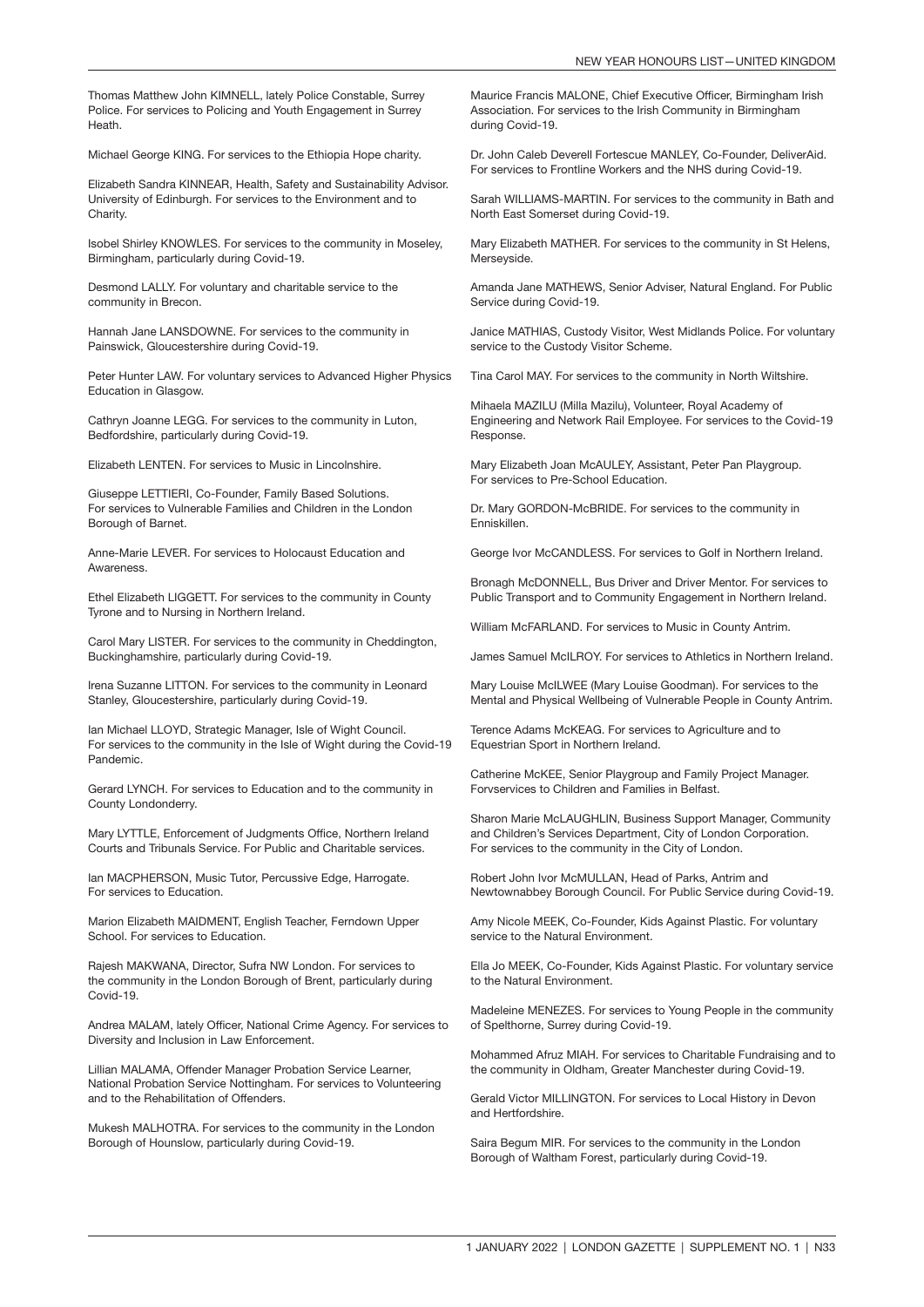Thomas Matthew John KIMNELL, lately Police Constable, Surrey Police. For services to Policing and Youth Engagement in Surrey Heath.

Michael George KING. For services to the Ethiopia Hope charity.

Elizabeth Sandra KINNEAR, Health, Safety and Sustainability Advisor. University of Edinburgh. For services to the Environment and to Charity.

Isobel Shirley KNOWLES. For services to the community in Moseley, Birmingham, particularly during Covid-19.

Desmond LALLY. For voluntary and charitable service to the community in Brecon.

Hannah Jane LANSDOWNE. For services to the community in Painswick, Gloucestershire during Covid-19.

Peter Hunter LAW. For voluntary services to Advanced Higher Physics Education in Glasgow.

Cathryn Joanne LEGG. For services to the community in Luton, Bedfordshire, particularly during Covid-19.

Elizabeth LENTEN. For services to Music in Lincolnshire.

Giuseppe LETTIERI, Co-Founder, Family Based Solutions. For services to Vulnerable Families and Children in the London Borough of Barnet.

Anne-Marie LEVER. For services to Holocaust Education and Awareness.

Ethel Elizabeth LIGGETT. For services to the community in County Tyrone and to Nursing in Northern Ireland.

Carol Mary LISTER. For services to the community in Cheddington, Buckinghamshire, particularly during Covid-19.

Irena Suzanne LITTON. For services to the community in Leonard Stanley, Gloucestershire, particularly during Covid-19.

Ian Michael LLOYD, Strategic Manager, Isle of Wight Council. For services to the community in the Isle of Wight during the Covid-19 Pandemic.

Gerard LYNCH. For services to Education and to the community in County Londonderry.

Mary LYTTLE, Enforcement of Judgments Office, Northern Ireland Courts and Tribunals Service. For Public and Charitable services.

Ian MACPHERSON, Music Tutor, Percussive Edge, Harrogate. For services to Education.

Marion Elizabeth MAIDMENT, English Teacher, Ferndown Upper School. For services to Education.

Rajesh MAKWANA, Director, Sufra NW London. For services to the community in the London Borough of Brent, particularly during Covid-19.

Andrea MALAM, lately Officer, National Crime Agency. For services to Diversity and Inclusion in Law Enforcement.

Lillian MALAMA, Offender Manager Probation Service Learner, National Probation Service Nottingham. For services to Volunteering and to the Rehabilitation of Offenders.

Mukesh MALHOTRA. For services to the community in the London Borough of Hounslow, particularly during Covid-19.

Maurice Francis MALONE, Chief Executive Officer, Birmingham Irish Association. For services to the Irish Community in Birmingham during Covid-19.

Dr. John Caleb Deverell Fortescue MANLEY, Co-Founder, DeliverAid. For services to Frontline Workers and the NHS during Covid-19.

Sarah WILLIAMS-MARTIN. For services to the community in Bath and North East Somerset during Covid-19.

Mary Elizabeth MATHER. For services to the community in St Helens, Merseyside.

Amanda Jane MATHEWS, Senior Adviser, Natural England. For Public Service during Covid-19.

Janice MATHIAS, Custody Visitor, West Midlands Police. For voluntary service to the Custody Visitor Scheme.

Tina Carol MAY. For services to the community in North Wiltshire.

Mihaela MAZILU (Milla Mazilu), Volunteer, Royal Academy of Engineering and Network Rail Employee. For services to the Covid-19 Response.

Mary Elizabeth Joan McAULEY, Assistant, Peter Pan Playgroup. For services to Pre-School Education.

Dr. Mary GORDON-McBRIDE. For services to the community in Enniskillen.

George Ivor McCANDLESS. For services to Golf in Northern Ireland.

Bronagh McDONNELL, Bus Driver and Driver Mentor. For services to Public Transport and to Community Engagement in Northern Ireland.

William McFARLAND. For services to Music in County Antrim.

James Samuel McILROY. For services to Athletics in Northern Ireland.

Mary Louise McILWEE (Mary Louise Goodman). For services to the Mental and Physical Wellbeing of Vulnerable People in County Antrim.

Terence Adams McKEAG. For services to Agriculture and to Equestrian Sport in Northern Ireland.

Catherine McKEE, Senior Playgroup and Family Project Manager. Forvservices to Children and Families in Belfast.

Sharon Marie McLAUGHLIN, Business Support Manager, Community and Children's Services Department, City of London Corporation. For services to the community in the City of London.

Robert John Ivor McMULLAN, Head of Parks, Antrim and Newtownabbey Borough Council. For Public Service during Covid-19.

Amy Nicole MEEK, Co-Founder, Kids Against Plastic. For voluntary service to the Natural Environment.

Ella Jo MEEK, Co-Founder, Kids Against Plastic. For voluntary service to the Natural Environment.

Madeleine MENEZES. For services to Young People in the community of Spelthorne, Surrey during Covid-19.

Mohammed Afruz MIAH. For services to Charitable Fundraising and to the community in Oldham, Greater Manchester during Covid-19.

Gerald Victor MILLINGTON. For services to Local History in Devon and Hertfordshire.

Saira Begum MIR. For services to the community in the London Borough of Waltham Forest, particularly during Covid-19.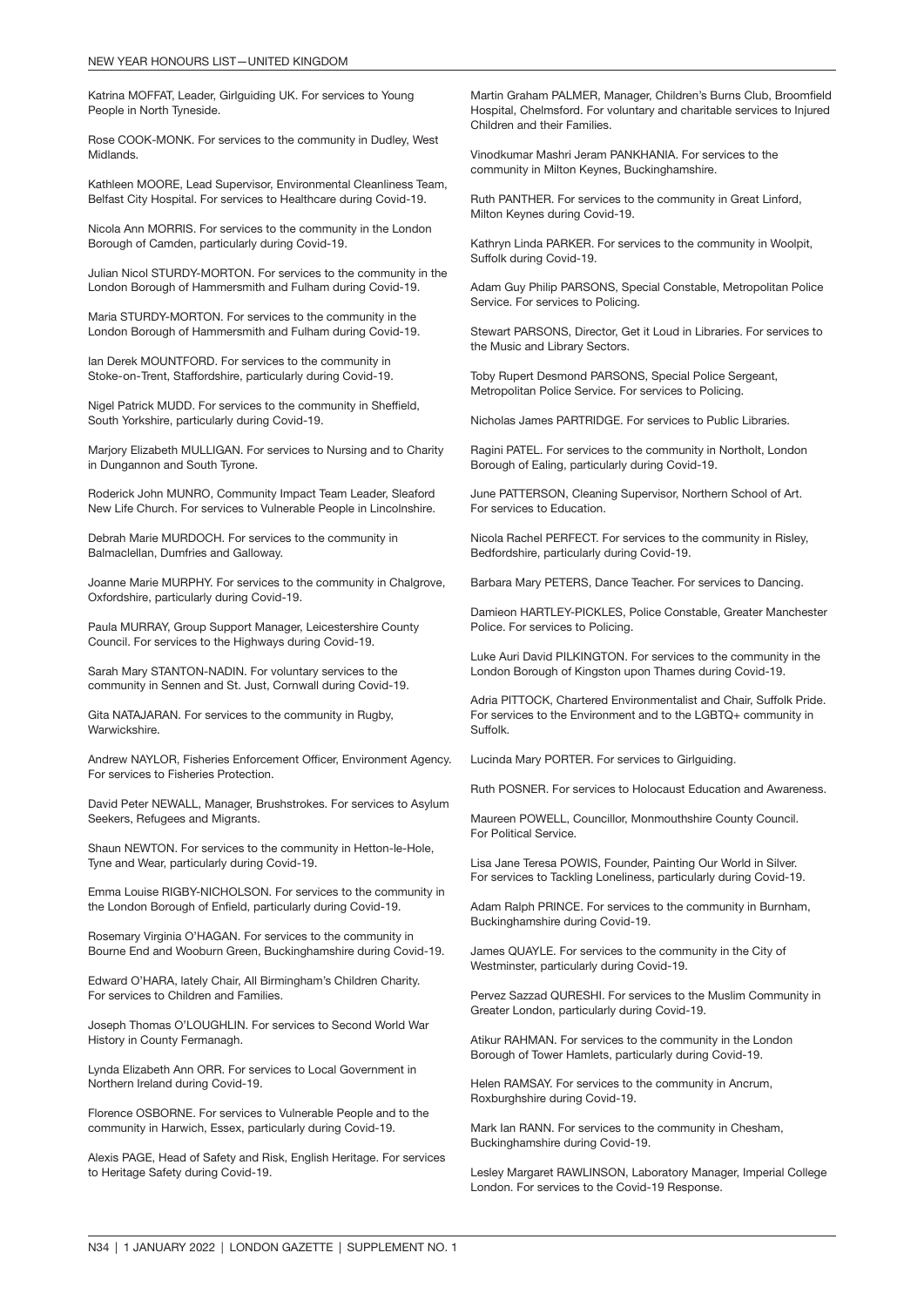Katrina MOFFAT, Leader, Girlguiding UK. For services to Young People in North Tyneside.

Rose COOK-MONK. For services to the community in Dudley, West Midlands.

Kathleen MOORE, Lead Supervisor, Environmental Cleanliness Team, Belfast City Hospital. For services to Healthcare during Covid-19.

Nicola Ann MORRIS. For services to the community in the London Borough of Camden, particularly during Covid-19.

Julian Nicol STURDY-MORTON. For services to the community in the London Borough of Hammersmith and Fulham during Covid-19.

Maria STURDY-MORTON. For services to the community in the London Borough of Hammersmith and Fulham during Covid-19.

Ian Derek MOUNTFORD. For services to the community in Stoke-on-Trent, Staffordshire, particularly during Covid-19.

Nigel Patrick MUDD. For services to the community in Sheffield, South Yorkshire, particularly during Covid-19.

Marjory Elizabeth MULLIGAN. For services to Nursing and to Charity in Dungannon and South Tyrone.

Roderick John MUNRO, Community Impact Team Leader, Sleaford New Life Church. For services to Vulnerable People in Lincolnshire.

Debrah Marie MURDOCH. For services to the community in Balmaclellan, Dumfries and Galloway.

Joanne Marie MURPHY. For services to the community in Chalgrove, Oxfordshire, particularly during Covid-19.

Paula MURRAY, Group Support Manager, Leicestershire County Council. For services to the Highways during Covid-19.

Sarah Mary STANTON-NADIN. For voluntary services to the community in Sennen and St. Just, Cornwall during Covid-19.

Gita NATAJARAN. For services to the community in Rugby, **Warwickshire** 

Andrew NAYLOR, Fisheries Enforcement Officer, Environment Agency. For services to Fisheries Protection.

David Peter NEWALL, Manager, Brushstrokes. For services to Asylum Seekers, Refugees and Migrants.

Shaun NEWTON. For services to the community in Hetton-le-Hole, Tyne and Wear, particularly during Covid-19.

Emma Louise RIGBY-NICHOLSON. For services to the community in the London Borough of Enfield, particularly during Covid-19.

Rosemary Virginia O'HAGAN. For services to the community in Bourne End and Wooburn Green, Buckinghamshire during Covid-19.

Edward O'HARA, lately Chair, All Birmingham's Children Charity. For services to Children and Families.

Joseph Thomas O'LOUGHLIN. For services to Second World War History in County Fermanagh.

Lynda Elizabeth Ann ORR. For services to Local Government in Northern Ireland during Covid-19.

Florence OSBORNE. For services to Vulnerable People and to the community in Harwich, Essex, particularly during Covid-19.

Alexis PAGE, Head of Safety and Risk, English Heritage. For services to Heritage Safety during Covid-19.

Martin Graham PALMER, Manager, Children's Burns Club, Broomfield Hospital, Chelmsford. For voluntary and charitable services to Injured Children and their Families.

Vinodkumar Mashri Jeram PANKHANIA. For services to the community in Milton Keynes, Buckinghamshire.

Ruth PANTHER. For services to the community in Great Linford, Milton Keynes during Covid-19.

Kathryn Linda PARKER. For services to the community in Woolpit, Suffolk during Covid-19.

Adam Guy Philip PARSONS, Special Constable, Metropolitan Police Service. For services to Policing.

Stewart PARSONS, Director, Get it Loud in Libraries. For services to the Music and Library Sectors.

Toby Rupert Desmond PARSONS, Special Police Sergeant, Metropolitan Police Service. For services to Policing.

Nicholas James PARTRIDGE. For services to Public Libraries.

Ragini PATEL. For services to the community in Northolt, London Borough of Ealing, particularly during Covid-19.

June PATTERSON, Cleaning Supervisor, Northern School of Art. For services to Education.

Nicola Rachel PERFECT. For services to the community in Risley, Bedfordshire, particularly during Covid-19.

Barbara Mary PETERS, Dance Teacher. For services to Dancing.

Damieon HARTLEY-PICKLES, Police Constable, Greater Manchester Police. For services to Policing.

Luke Auri David PILKINGTON. For services to the community in the London Borough of Kingston upon Thames during Covid-19.

Adria PITTOCK, Chartered Environmentalist and Chair, Suffolk Pride. For services to the Environment and to the LGBTQ+ community in Suffolk.

Lucinda Mary PORTER. For services to Girlguiding.

Ruth POSNER. For services to Holocaust Education and Awareness.

Maureen POWELL, Councillor, Monmouthshire County Council. For Political Service.

Lisa Jane Teresa POWIS, Founder, Painting Our World in Silver. For services to Tackling Loneliness, particularly during Covid-19.

Adam Ralph PRINCE. For services to the community in Burnham, Buckinghamshire during Covid-19.

James QUAYLE. For services to the community in the City of Westminster, particularly during Covid-19.

Pervez Sazzad QURESHI. For services to the Muslim Community in Greater London, particularly during Covid-19.

Atikur RAHMAN. For services to the community in the London Borough of Tower Hamlets, particularly during Covid-19.

Helen RAMSAY. For services to the community in Ancrum, Roxburghshire during Covid-19.

Mark Ian RANN. For services to the community in Chesham, Buckinghamshire during Covid-19.

Lesley Margaret RAWLINSON, Laboratory Manager, Imperial College London. For services to the Covid-19 Response.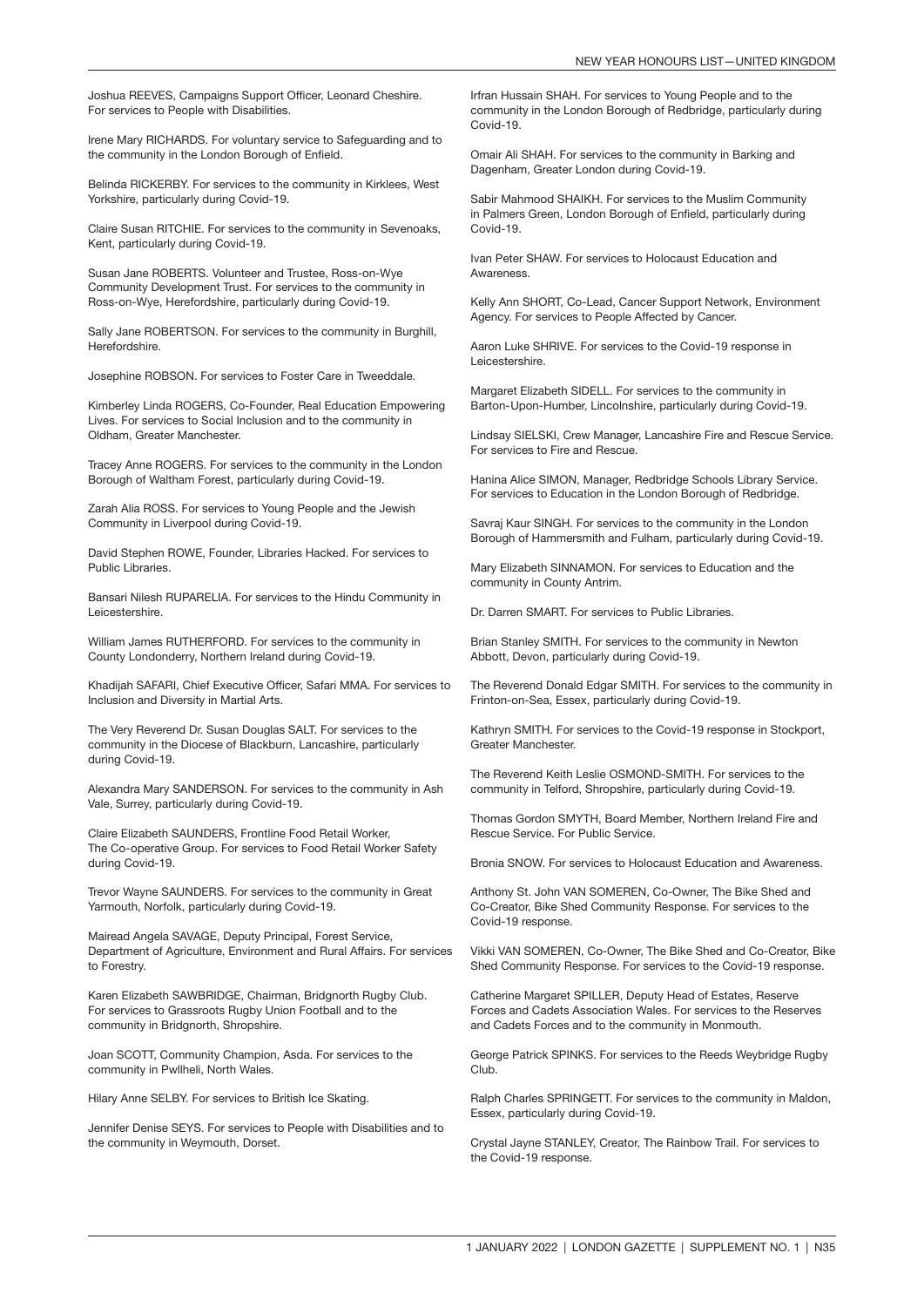Joshua REEVES, Campaigns Support Officer, Leonard Cheshire. For services to People with Disabilities.

Irene Mary RICHARDS. For voluntary service to Safeguarding and to the community in the London Borough of Enfield.

Belinda RICKERBY. For services to the community in Kirklees, West Yorkshire, particularly during Covid-19.

Claire Susan RITCHIE. For services to the community in Sevenoaks, Kent, particularly during Covid-19.

Susan Jane ROBERTS. Volunteer and Trustee, Ross-on-Wye Community Development Trust. For services to the community in Ross-on-Wye, Herefordshire, particularly during Covid-19.

Sally Jane ROBERTSON. For services to the community in Burghill, Herefordshire.

Josephine ROBSON. For services to Foster Care in Tweeddale.

Kimberley Linda ROGERS, Co-Founder, Real Education Empowering Lives. For services to Social Inclusion and to the community in Oldham, Greater Manchester.

Tracey Anne ROGERS. For services to the community in the London Borough of Waltham Forest, particularly during Covid-19.

Zarah Alia ROSS. For services to Young People and the Jewish Community in Liverpool during Covid-19.

David Stephen ROWE, Founder, Libraries Hacked. For services to Public Libraries.

Bansari Nilesh RUPARELIA. For services to the Hindu Community in Leicestershire.

William James RUTHERFORD. For services to the community in County Londonderry, Northern Ireland during Covid-19.

Khadijah SAFARI, Chief Executive Officer, Safari MMA. For services to Inclusion and Diversity in Martial Arts.

The Very Reverend Dr. Susan Douglas SALT. For services to the community in the Diocese of Blackburn, Lancashire, particularly during Covid-19.

Alexandra Mary SANDERSON. For services to the community in Ash Vale, Surrey, particularly during Covid-19.

Claire Elizabeth SAUNDERS, Frontline Food Retail Worker, The Co-operative Group. For services to Food Retail Worker Safety during Covid-19.

Trevor Wayne SAUNDERS. For services to the community in Great Yarmouth, Norfolk, particularly during Covid-19.

Mairead Angela SAVAGE, Deputy Principal, Forest Service, Department of Agriculture, Environment and Rural Affairs. For services to Forestry.

Karen Elizabeth SAWBRIDGE, Chairman, Bridgnorth Rugby Club. For services to Grassroots Rugby Union Football and to the community in Bridgnorth, Shropshire.

Joan SCOTT, Community Champion, Asda. For services to the community in Pwllheli, North Wales.

Hilary Anne SELBY. For services to British Ice Skating.

Jennifer Denise SEYS. For services to People with Disabilities and to the community in Weymouth, Dorset.

Irfran Hussain SHAH. For services to Young People and to the community in the London Borough of Redbridge, particularly during Covid-19.

Omair Ali SHAH. For services to the community in Barking and Dagenham, Greater London during Covid-19.

Sabir Mahmood SHAIKH. For services to the Muslim Community in Palmers Green, London Borough of Enfield, particularly during Covid-19.

Ivan Peter SHAW. For services to Holocaust Education and **Awareness** 

Kelly Ann SHORT, Co-Lead, Cancer Support Network, Environment Agency. For services to People Affected by Cancer.

Aaron Luke SHRIVE. For services to the Covid-19 response in Leicestershire.

Margaret Elizabeth SIDELL. For services to the community in Barton-Upon-Humber, Lincolnshire, particularly during Covid-19.

Lindsay SIELSKI, Crew Manager, Lancashire Fire and Rescue Service. For services to Fire and Rescue.

Hanina Alice SIMON, Manager, Redbridge Schools Library Service. For services to Education in the London Borough of Redbridge.

Savraj Kaur SINGH. For services to the community in the London Borough of Hammersmith and Fulham, particularly during Covid-19.

Mary Elizabeth SINNAMON. For services to Education and the community in County Antrim.

Dr. Darren SMART. For services to Public Libraries.

Brian Stanley SMITH. For services to the community in Newton Abbott, Devon, particularly during Covid-19.

The Reverend Donald Edgar SMITH. For services to the community in Frinton-on-Sea, Essex, particularly during Covid-19.

Kathryn SMITH. For services to the Covid-19 response in Stockport, Greater Manchester.

The Reverend Keith Leslie OSMOND-SMITH. For services to the community in Telford, Shropshire, particularly during Covid-19.

Thomas Gordon SMYTH, Board Member, Northern Ireland Fire and Rescue Service. For Public Service.

Bronia SNOW. For services to Holocaust Education and Awareness.

Anthony St. John VAN SOMEREN, Co-Owner, The Bike Shed and Co-Creator, Bike Shed Community Response. For services to the Covid-19 response.

Vikki VAN SOMEREN, Co-Owner, The Bike Shed and Co-Creator, Bike Shed Community Response. For services to the Covid-19 response.

Catherine Margaret SPILLER, Deputy Head of Estates, Reserve Forces and Cadets Association Wales. For services to the Reserves and Cadets Forces and to the community in Monmouth.

George Patrick SPINKS. For services to the Reeds Weybridge Rugby Club.

Ralph Charles SPRINGETT. For services to the community in Maldon, Essex, particularly during Covid-19.

Crystal Jayne STANLEY, Creator, The Rainbow Trail. For services to the Covid-19 response.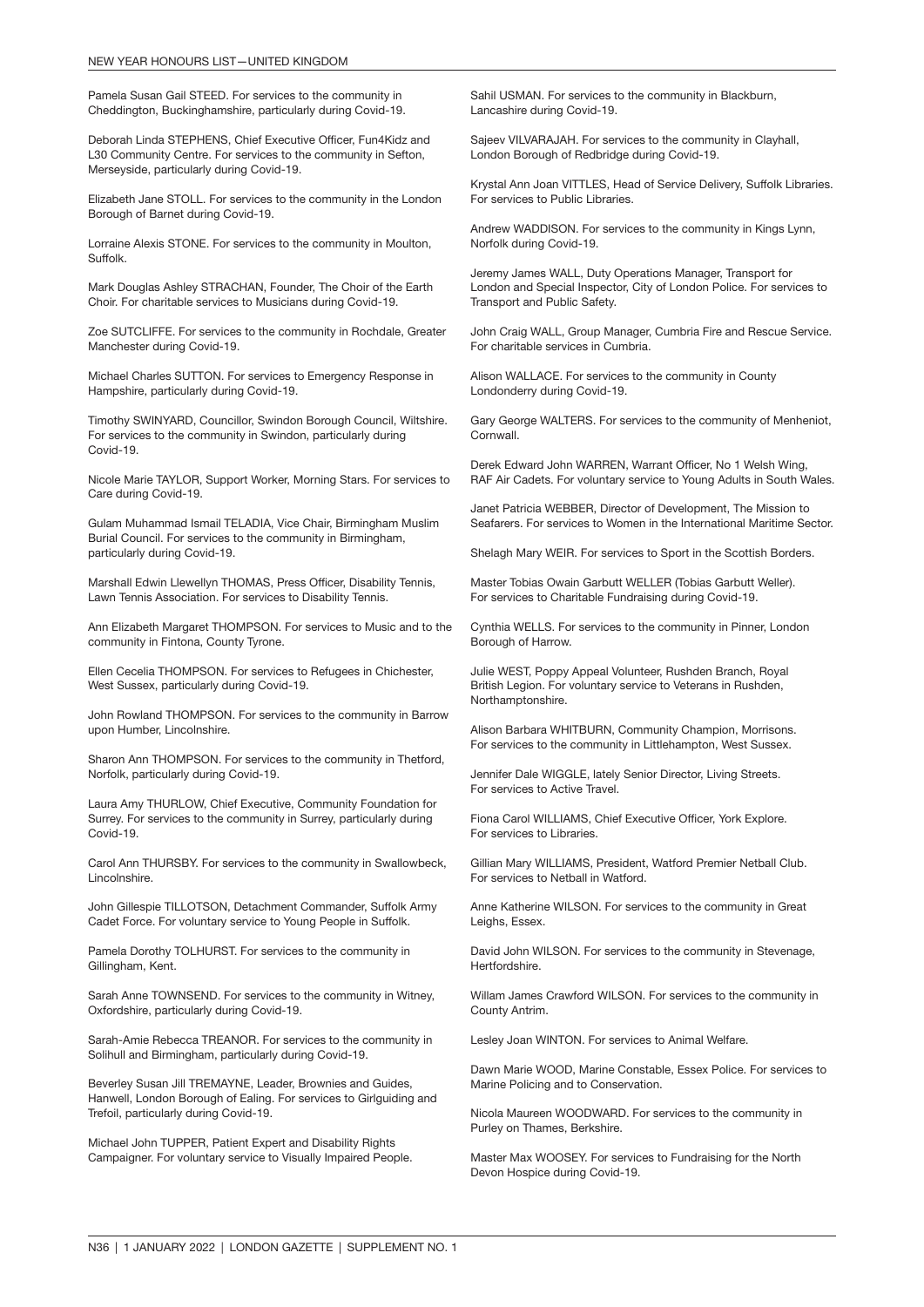Pamela Susan Gail STEED. For services to the community in Cheddington, Buckinghamshire, particularly during Covid-19.

Deborah Linda STEPHENS, Chief Executive Officer, Fun4Kidz and L30 Community Centre. For services to the community in Sefton, Merseyside, particularly during Covid-19.

Elizabeth Jane STOLL. For services to the community in the London Borough of Barnet during Covid-19.

Lorraine Alexis STONE. For services to the community in Moulton, Suffolk.

Mark Douglas Ashley STRACHAN, Founder, The Choir of the Earth Choir. For charitable services to Musicians during Covid-19.

Zoe SUTCLIFFE. For services to the community in Rochdale, Greater Manchester during Covid-19.

Michael Charles SUTTON. For services to Emergency Response in Hampshire, particularly during Covid-19.

Timothy SWINYARD, Councillor, Swindon Borough Council, Wiltshire. For services to the community in Swindon, particularly during Covid-19.

Nicole Marie TAYLOR, Support Worker, Morning Stars. For services to Care during Covid-19.

Gulam Muhammad Ismail TELADIA, Vice Chair, Birmingham Muslim Burial Council. For services to the community in Birmingham, particularly during Covid-19.

Marshall Edwin Llewellyn THOMAS, Press Officer, Disability Tennis, Lawn Tennis Association. For services to Disability Tennis.

Ann Elizabeth Margaret THOMPSON. For services to Music and to the community in Fintona, County Tyrone.

Ellen Cecelia THOMPSON. For services to Refugees in Chichester, West Sussex, particularly during Covid-19.

John Rowland THOMPSON. For services to the community in Barrow upon Humber, Lincolnshire.

Sharon Ann THOMPSON. For services to the community in Thetford, Norfolk, particularly during Covid-19.

Laura Amy THURLOW, Chief Executive, Community Foundation for Surrey. For services to the community in Surrey, particularly during Covid-19.

Carol Ann THURSBY. For services to the community in Swallowbeck, Lincolnshire.

John Gillespie TILLOTSON, Detachment Commander, Suffolk Army Cadet Force. For voluntary service to Young People in Suffolk.

Pamela Dorothy TOLHURST. For services to the community in Gillingham, Kent.

Sarah Anne TOWNSEND. For services to the community in Witney, Oxfordshire, particularly during Covid-19.

Sarah-Amie Rebecca TREANOR. For services to the community in Solihull and Birmingham, particularly during Covid-19.

Beverley Susan Jill TREMAYNE, Leader, Brownies and Guides, Hanwell, London Borough of Ealing. For services to Girlguiding and Trefoil, particularly during Covid-19.

Michael John TUPPER, Patient Expert and Disability Rights Campaigner. For voluntary service to Visually Impaired People.

Sahil USMAN. For services to the community in Blackburn, Lancashire during Covid-19.

Sajeev VILVARAJAH. For services to the community in Clayhall, London Borough of Redbridge during Covid-19.

Krystal Ann Joan VITTLES, Head of Service Delivery, Suffolk Libraries. For services to Public Libraries.

Andrew WADDISON. For services to the community in Kings Lynn, Norfolk during Covid-19.

Jeremy James WALL, Duty Operations Manager, Transport for London and Special Inspector, City of London Police. For services to Transport and Public Safety.

John Craig WALL, Group Manager, Cumbria Fire and Rescue Service. For charitable services in Cumbria.

Alison WALLACE. For services to the community in County Londonderry during Covid-19.

Gary George WALTERS. For services to the community of Menheniot, Cornwall.

Derek Edward John WARREN, Warrant Officer, No 1 Welsh Wing, RAF Air Cadets. For voluntary service to Young Adults in South Wales.

Janet Patricia WEBBER, Director of Development, The Mission to Seafarers. For services to Women in the International Maritime Sector.

Shelagh Mary WEIR. For services to Sport in the Scottish Borders.

Master Tobias Owain Garbutt WELLER (Tobias Garbutt Weller). For services to Charitable Fundraising during Covid-19.

Cynthia WELLS. For services to the community in Pinner, London Borough of Harrow.

Julie WEST, Poppy Appeal Volunteer, Rushden Branch, Royal British Legion. For voluntary service to Veterans in Rushden, Northamptonshire.

Alison Barbara WHITBURN, Community Champion, Morrisons. For services to the community in Littlehampton, West Sussex.

Jennifer Dale WIGGLE, lately Senior Director, Living Streets. For services to Active Travel.

Fiona Carol WILLIAMS, Chief Executive Officer, York Explore. For services to Libraries.

Gillian Mary WILLIAMS, President, Watford Premier Netball Club. For services to Netball in Watford.

Anne Katherine WILSON. For services to the community in Great Leighs, Essex.

David John WILSON. For services to the community in Stevenage, Hertfordshire.

Willam James Crawford WILSON. For services to the community in County Antrim.

Lesley Joan WINTON. For services to Animal Welfare.

Dawn Marie WOOD, Marine Constable, Essex Police. For services to Marine Policing and to Conservation.

Nicola Maureen WOODWARD. For services to the community in Purley on Thames, Berkshire.

Master Max WOOSEY. For services to Fundraising for the North Devon Hospice during Covid-19.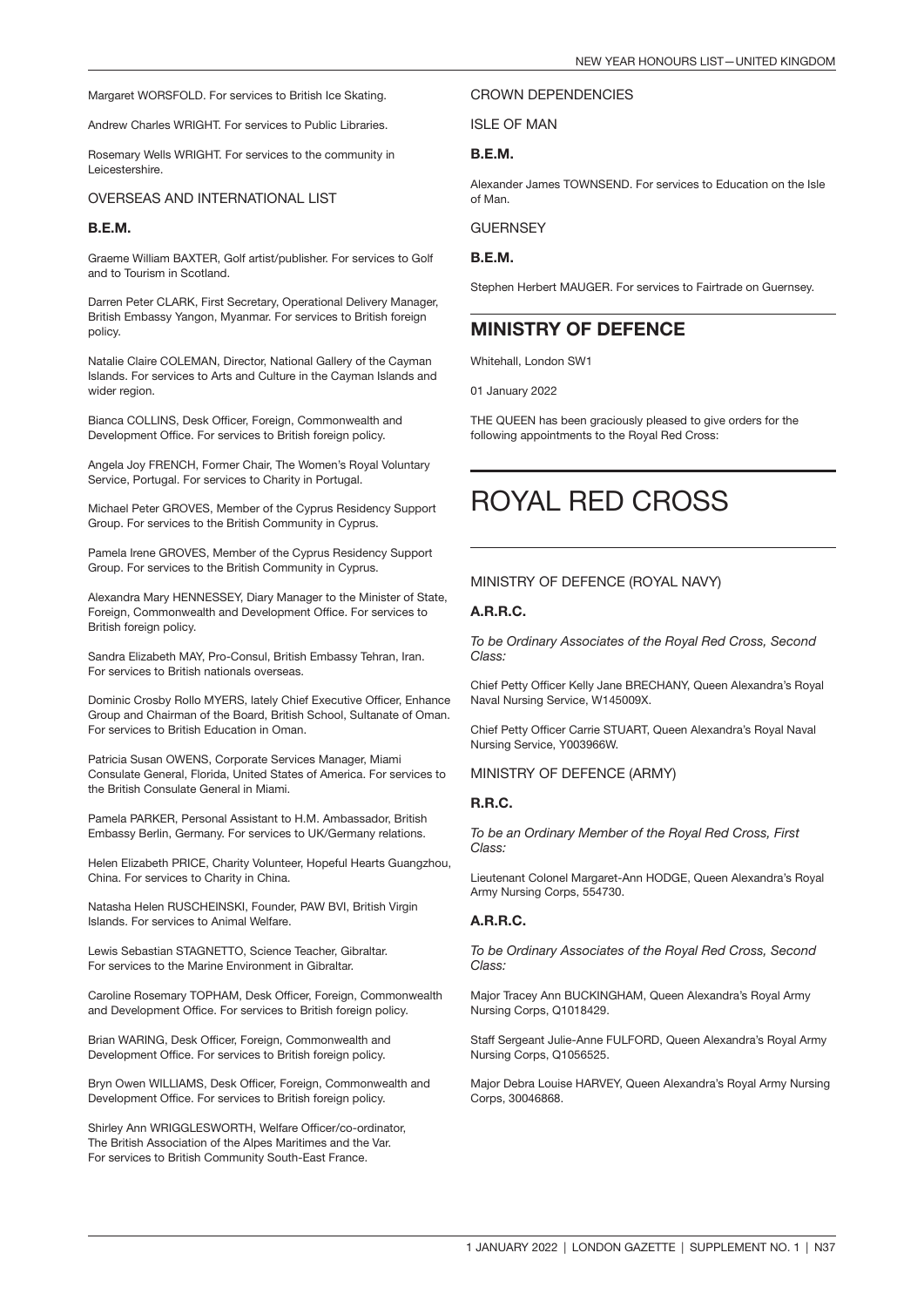Margaret WORSFOLD. For services to British Ice Skating.

Andrew Charles WRIGHT. For services to Public Libraries.

Rosemary Wells WRIGHT. For services to the community in Leicestershire.

#### OVERSEAS AND INTERNATIONAL LIST

#### B.E.M.

Graeme William BAXTER, Golf artist/publisher. For services to Golf and to Tourism in Scotland.

Darren Peter CLARK, First Secretary, Operational Delivery Manager, British Embassy Yangon, Myanmar. For services to British foreign policy.

Natalie Claire COLEMAN, Director, National Gallery of the Cayman Islands. For services to Arts and Culture in the Cayman Islands and wider region.

Bianca COLLINS, Desk Officer, Foreign, Commonwealth and Development Office. For services to British foreign policy.

Angela Joy FRENCH, Former Chair, The Women's Royal Voluntary Service, Portugal. For services to Charity in Portugal.

Michael Peter GROVES, Member of the Cyprus Residency Support Group. For services to the British Community in Cyprus.

Pamela Irene GROVES, Member of the Cyprus Residency Support Group. For services to the British Community in Cyprus.

Alexandra Mary HENNESSEY, Diary Manager to the Minister of State, Foreign, Commonwealth and Development Office. For services to British foreign policy.

Sandra Elizabeth MAY, Pro-Consul, British Embassy Tehran, Iran. For services to British nationals overseas.

Dominic Crosby Rollo MYERS, lately Chief Executive Officer, Enhance Group and Chairman of the Board, British School, Sultanate of Oman. For services to British Education in Oman.

Patricia Susan OWENS, Corporate Services Manager, Miami Consulate General, Florida, United States of America. For services to the British Consulate General in Miami.

Pamela PARKER, Personal Assistant to H.M. Ambassador, British Embassy Berlin, Germany. For services to UK/Germany relations.

Helen Elizabeth PRICE, Charity Volunteer, Hopeful Hearts Guangzhou, China. For services to Charity in China.

Natasha Helen RUSCHEINSKI, Founder, PAW BVI, British Virgin Islands. For services to Animal Welfare.

Lewis Sebastian STAGNETTO, Science Teacher, Gibraltar. For services to the Marine Environment in Gibraltar.

Caroline Rosemary TOPHAM, Desk Officer, Foreign, Commonwealth and Development Office. For services to British foreign policy.

Brian WARING, Desk Officer, Foreign, Commonwealth and Development Office. For services to British foreign policy.

Bryn Owen WILLIAMS, Desk Officer, Foreign, Commonwealth and Development Office. For services to British foreign policy.

Shirley Ann WRIGGLESWORTH, Welfare Officer/co-ordinator, The British Association of the Alpes Maritimes and the Var. For services to British Community South-East France.

#### CROWN DEPENDENCIES

ISLE OF MAN

#### B.E.M.

Alexander James TOWNSEND. For services to Education on the Isle of Man.

**GUERNSEY** 

B.E.M.

Stephen Herbert MAUGER. For services to Fairtrade on Guernsey.

### MINISTRY OF DEFENCE

Whitehall, London SW1

01 January 2022

THE QUEEN has been graciously pleased to give orders for the following appointments to the Royal Red Cross:

### ROYAL RED CROSS

#### MINISTRY OF DEFENCE (ROYAL NAVY)

#### A.R.R.C.

*To be Ordinary Associates of the Royal Red Cross, Second Class:*

Chief Petty Officer Kelly Jane BRECHANY, Queen Alexandra's Royal Naval Nursing Service, W145009X.

Chief Petty Officer Carrie STUART, Queen Alexandra's Royal Naval Nursing Service, Y003966W.

#### MINISTRY OF DEFENCE (ARMY)

#### R.R.C.

*To be an Ordinary Member of the Royal Red Cross, First Class:*

Lieutenant Colonel Margaret-Ann HODGE, Queen Alexandra's Royal Army Nursing Corps, 554730.

#### A.R.R.C.

*To be Ordinary Associates of the Royal Red Cross, Second Class:*

Major Tracey Ann BUCKINGHAM, Queen Alexandra's Royal Army Nursing Corps, Q1018429.

Staff Sergeant Julie-Anne FULFORD, Queen Alexandra's Royal Army Nursing Corps, Q1056525.

Major Debra Louise HARVEY, Queen Alexandra's Royal Army Nursing Corps, 30046868.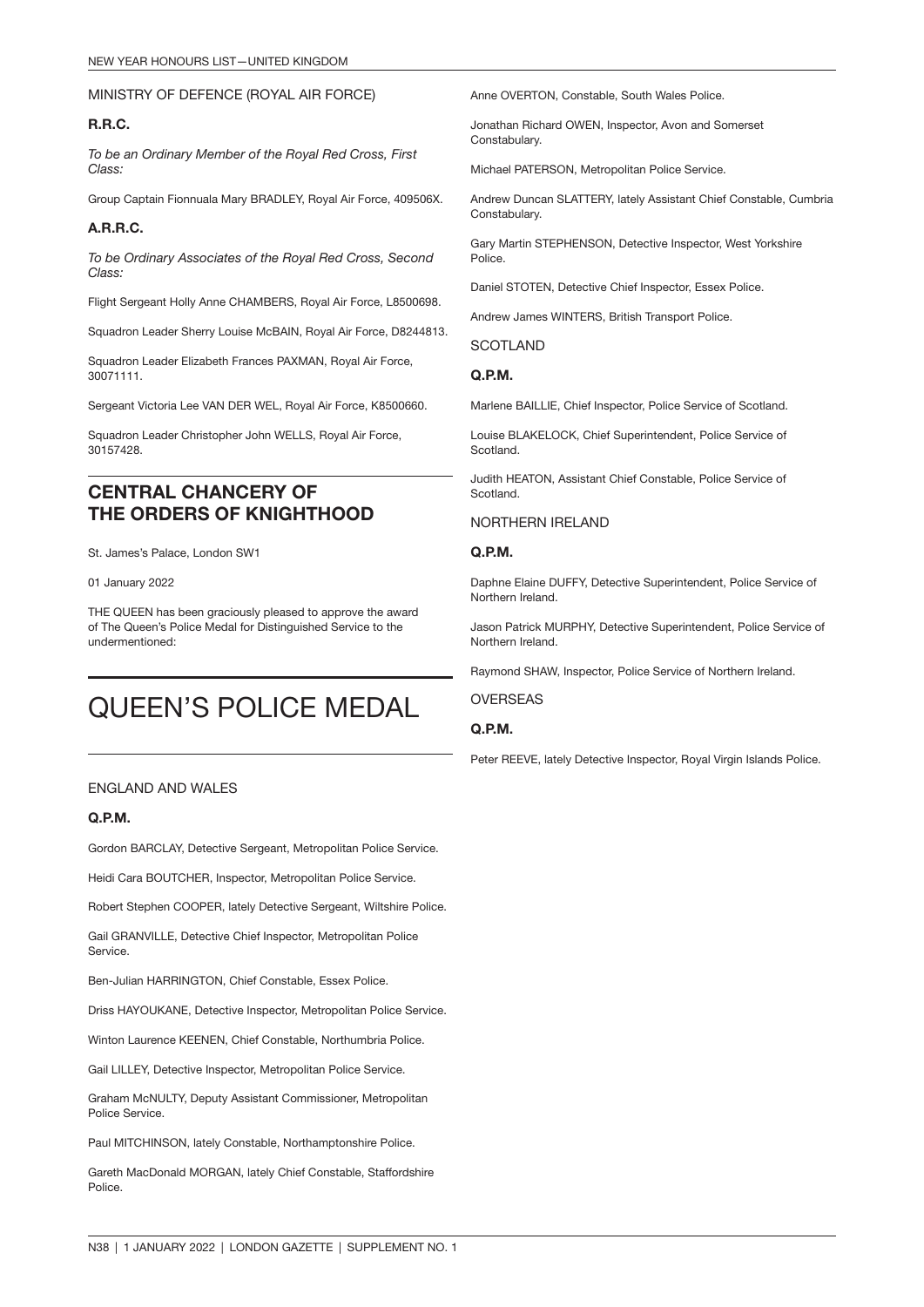#### MINISTRY OF DEFENCE (ROYAL AIR FORCE)

#### R.R.C.

*To be an Ordinary Member of the Royal Red Cross, First Class:*

Group Captain Fionnuala Mary BRADLEY, Royal Air Force, 409506X.

#### A.R.R.C.

*To be Ordinary Associates of the Royal Red Cross, Second Class:*

Flight Sergeant Holly Anne CHAMBERS, Royal Air Force, L8500698.

Squadron Leader Sherry Louise McBAIN, Royal Air Force, D8244813.

Squadron Leader Elizabeth Frances PAXMAN, Royal Air Force, 30071111.

Sergeant Victoria Lee VAN DER WEL, Royal Air Force, K8500660.

Squadron Leader Christopher John WELLS, Royal Air Force, 30157428.

### CENTRAL CHANCERY OF THE ORDERS OF KNIGHTHOOD

St. James's Palace, London SW1

01 January 2022

THE QUEEN has been graciously pleased to approve the award of The Queen's Police Medal for Distinguished Service to the undermentioned:

## QUEEN'S POLICE MEDAL

#### ENGLAND AND WALES

#### Q.P.M.

Gordon BARCLAY, Detective Sergeant, Metropolitan Police Service.

Heidi Cara BOUTCHER, Inspector, Metropolitan Police Service.

Robert Stephen COOPER, lately Detective Sergeant, Wiltshire Police.

Gail GRANVILLE, Detective Chief Inspector, Metropolitan Police Service.

Ben-Julian HARRINGTON, Chief Constable, Essex Police.

Driss HAYOUKANE, Detective Inspector, Metropolitan Police Service.

Winton Laurence KEENEN, Chief Constable, Northumbria Police.

Gail LILLEY, Detective Inspector, Metropolitan Police Service.

Graham McNULTY, Deputy Assistant Commissioner, Metropolitan Police Service.

Paul MITCHINSON, lately Constable, Northamptonshire Police.

Gareth MacDonald MORGAN, lately Chief Constable, Staffordshire Police.

Anne OVERTON, Constable, South Wales Police.

Jonathan Richard OWEN, Inspector, Avon and Somerset Constabulary.

Michael PATERSON, Metropolitan Police Service.

Andrew Duncan SLATTERY, lately Assistant Chief Constable, Cumbria Constabulary.

Gary Martin STEPHENSON, Detective Inspector, West Yorkshire Police.

Daniel STOTEN, Detective Chief Inspector, Essex Police.

Andrew James WINTERS, British Transport Police.

SCOTLAND

#### Q.P.M.

Marlene BAILLIE, Chief Inspector, Police Service of Scotland.

Louise BLAKELOCK, Chief Superintendent, Police Service of Scotland.

Judith HEATON, Assistant Chief Constable, Police Service of Scotland.

#### NORTHERN IRELAND

#### Q.P.M.

Daphne Elaine DUFFY, Detective Superintendent, Police Service of Northern Ireland.

Jason Patrick MURPHY, Detective Superintendent, Police Service of Northern Ireland.

Raymond SHAW, Inspector, Police Service of Northern Ireland.

OVERSEAS

#### Q.P.M.

Peter REEVE, lately Detective Inspector, Royal Virgin Islands Police.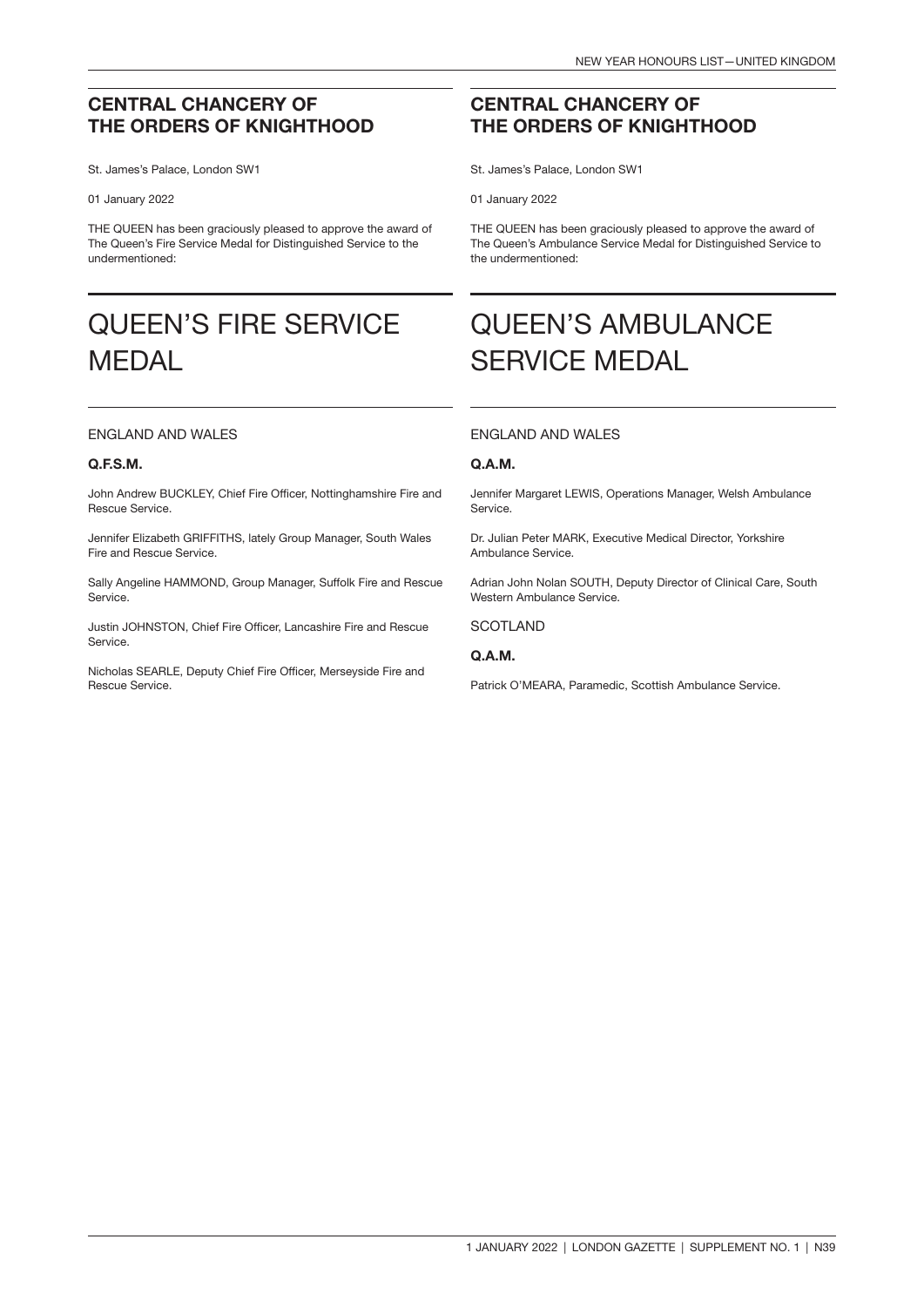### CENTRAL CHANCERY OF THE ORDERS OF KNIGHTHOOD

St. James's Palace, London SW1

#### 01 January 2022

THE QUEEN has been graciously pleased to approve the award of The Queen's Fire Service Medal for Distinguished Service to the undermentioned:

## QUEEN'S FIRE SERVICE MEDAL

#### ENGLAND AND WALES

#### Q.F.S.M.

John Andrew BUCKLEY, Chief Fire Officer, Nottinghamshire Fire and Rescue Service.

Jennifer Elizabeth GRIFFITHS, lately Group Manager, South Wales Fire and Rescue Service.

Sally Angeline HAMMOND, Group Manager, Suffolk Fire and Rescue Service.

Justin JOHNSTON, Chief Fire Officer, Lancashire Fire and Rescue **Service** 

Nicholas SEARLE, Deputy Chief Fire Officer, Merseyside Fire and Rescue Service.

### CENTRAL CHANCERY OF THE ORDERS OF KNIGHTHOOD

St. James's Palace, London SW1

01 January 2022

THE QUEEN has been graciously pleased to approve the award of The Queen's Ambulance Service Medal for Distinguished Service to the undermentioned:

## QUEEN'S AMBULANCE SERVICE MEDAL

#### ENGLAND AND WALES

#### Q.A.M.

Jennifer Margaret LEWIS, Operations Manager, Welsh Ambulance Service.

Dr. Julian Peter MARK, Executive Medical Director, Yorkshire Ambulance Service.

Adrian John Nolan SOUTH, Deputy Director of Clinical Care, South Western Ambulance Service.

**SCOTLAND** 

#### Q.A.M.

Patrick O'MEARA, Paramedic, Scottish Ambulance Service.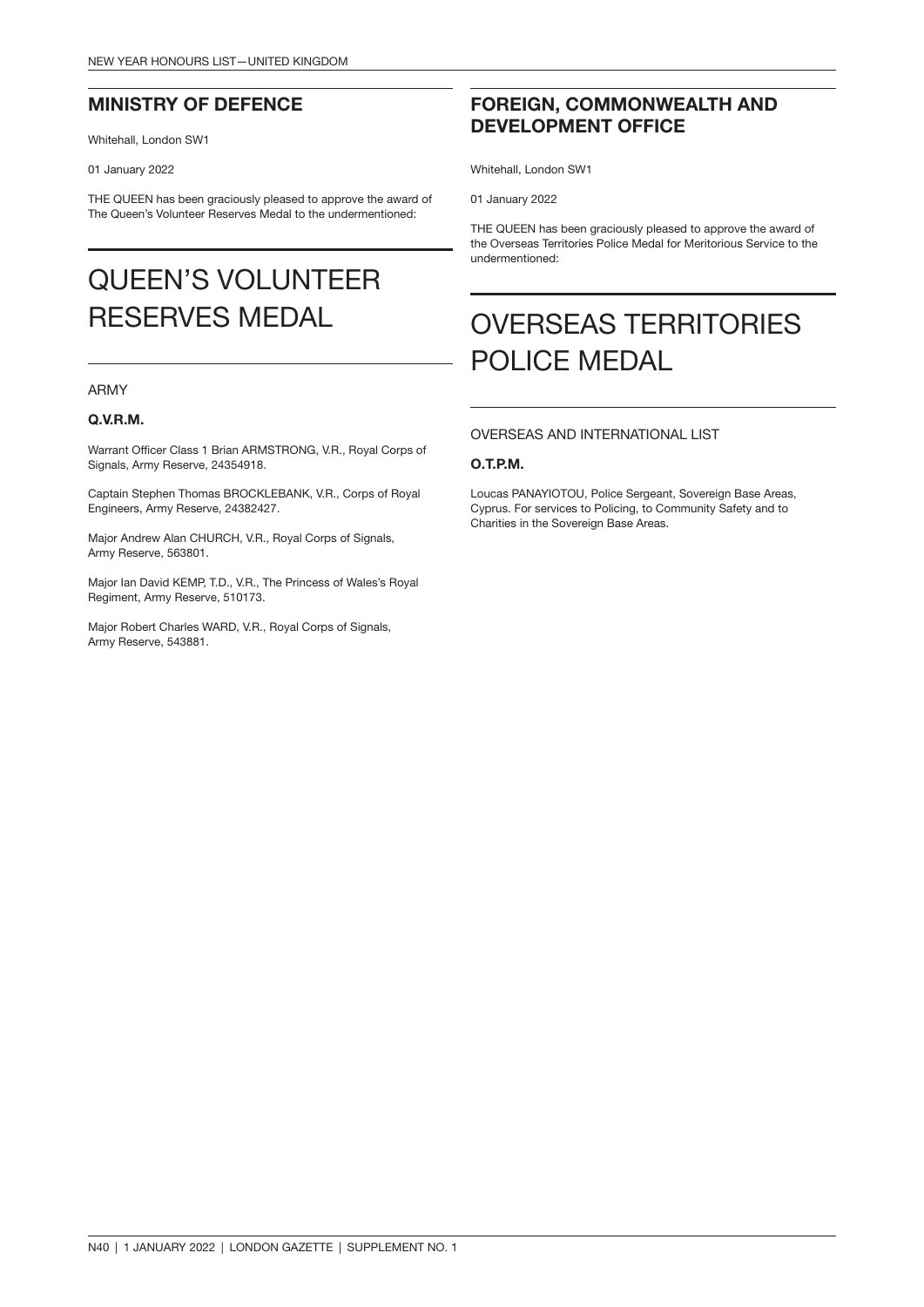### MINISTRY OF DEFENCE

Whitehall, London SW1

01 January 2022

THE QUEEN has been graciously pleased to approve the award of The Queen's Volunteer Reserves Medal to the undermentioned:

## QUEEN'S VOLUNTEER RESERVES MEDAL

#### ARMY

#### Q.V.R.M.

Warrant Officer Class 1 Brian ARMSTRONG, V.R., Royal Corps of Signals, Army Reserve, 24354918.

Captain Stephen Thomas BROCKLEBANK, V.R., Corps of Royal Engineers, Army Reserve, 24382427.

Major Andrew Alan CHURCH, V.R., Royal Corps of Signals, Army Reserve, 563801.

Major Ian David KEMP, T.D., V.R., The Princess of Wales's Royal Regiment, Army Reserve, 510173.

Major Robert Charles WARD, V.R., Royal Corps of Signals, Army Reserve, 543881.

### FOREIGN, COMMONWEALTH AND DEVELOPMENT OFFICE

Whitehall, London SW1

01 January 2022

THE QUEEN has been graciously pleased to approve the award of the Overseas Territories Police Medal for Meritorious Service to the undermentioned:

## OVERSEAS TERRITORIES POLICE MEDAL

#### OVERSEAS AND INTERNATIONAL LIST

#### O.T.P.M.

Loucas PANAYIOTOU, Police Sergeant, Sovereign Base Areas, Cyprus. For services to Policing, to Community Safety and to Charities in the Sovereign Base Areas.